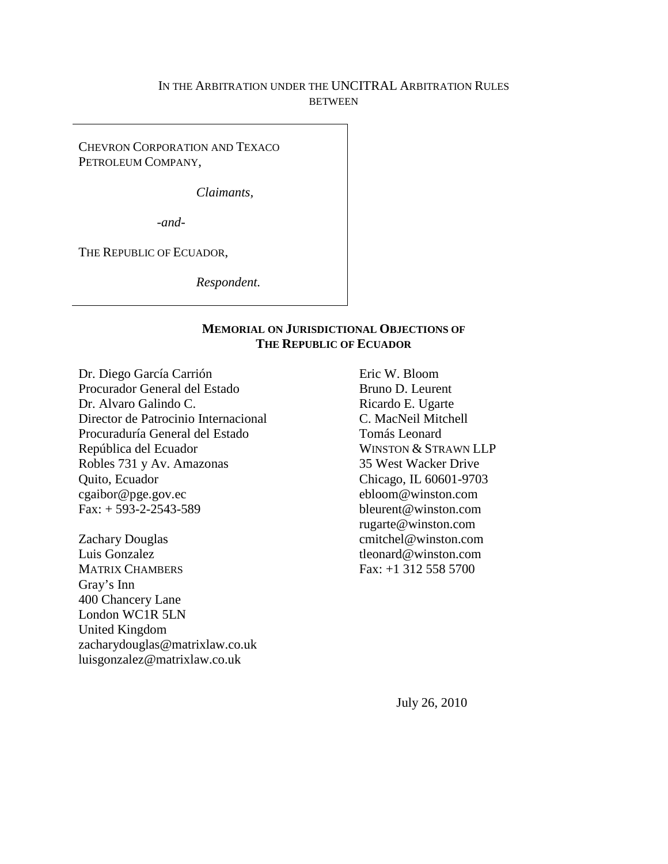# IN THE ARBITRATION UNDER THE UNCITRAL ARBITRATION RULES **BETWEEN**

CHEVRON CORPORATION AND TEXACO PETROLEUM COMPANY,

*Claimants,*

*-and-*

THE REPUBLIC OF ECUADOR,

*Respondent.*

### **MEMORIAL ON JURISDICTIONAL OBJECTIONS OF THE REPUBLIC OF ECUADOR**

Dr. Diego García Carrión Procurador General del Estado Dr. Alvaro Galindo C. Director de Patrocinio Internacional Procuraduría General del Estado República del Ecuador Robles 731 y Av. Amazonas Quito, Ecuador cgaibor@pge.gov.ec  $Fax: + 593-2-2543-589$ 

Zachary Douglas Luis Gonzalez MATRIX CHAMBERS Gray's Inn 400 Chancery Lane London WC1R 5LN United Kingdom zacharydouglas@matrixlaw.co.uk luisgonzalez@matrixlaw.co.uk

Eric W. Bloom Bruno D. Leurent Ricardo E. Ugarte C. MacNeil Mitchell Tomás Leonard WINSTON & STRAWN LLP 35 West Wacker Drive Chicago, IL 60601-9703 ebloom@winston.com bleurent@winston.com rugarte@winston.com cmitchel@winston.com tleonard@winston.com Fax: +1 312 558 5700

July 26, 2010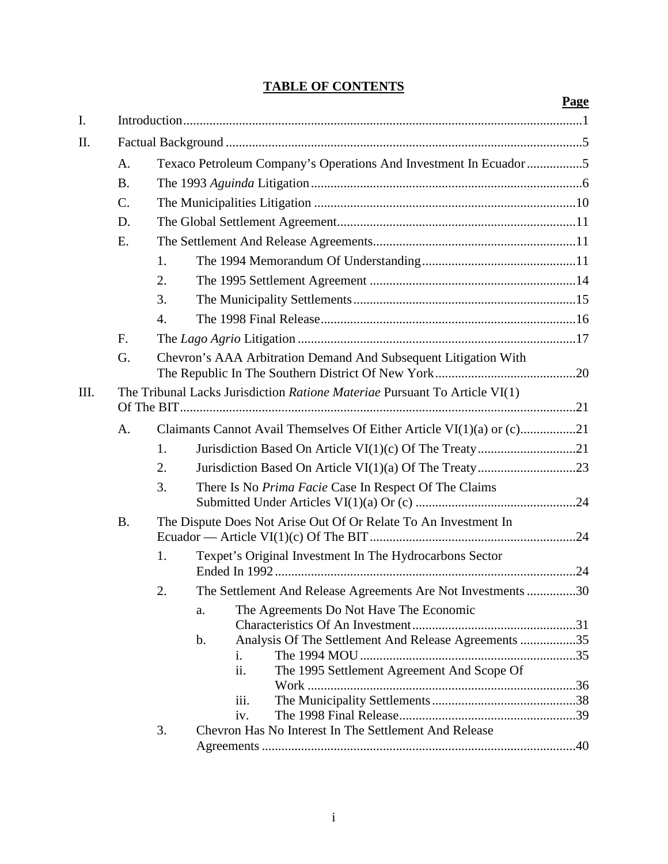# **TABLE OF CONTENTS**

|      |                                                                            |                                                                   |                                                                       | Page |  |  |  |
|------|----------------------------------------------------------------------------|-------------------------------------------------------------------|-----------------------------------------------------------------------|------|--|--|--|
| I.   |                                                                            |                                                                   |                                                                       |      |  |  |  |
| Π.   |                                                                            |                                                                   |                                                                       |      |  |  |  |
|      | A.                                                                         | Texaco Petroleum Company's Operations And Investment In Ecuador 5 |                                                                       |      |  |  |  |
|      | <b>B.</b>                                                                  |                                                                   |                                                                       |      |  |  |  |
|      | $\mathcal{C}$ .                                                            |                                                                   |                                                                       |      |  |  |  |
|      | D.                                                                         |                                                                   |                                                                       |      |  |  |  |
|      | E.                                                                         |                                                                   |                                                                       |      |  |  |  |
|      |                                                                            | 1.                                                                |                                                                       |      |  |  |  |
|      |                                                                            | 2.                                                                |                                                                       |      |  |  |  |
|      |                                                                            | 3.                                                                |                                                                       |      |  |  |  |
|      |                                                                            | $\overline{4}$ .                                                  |                                                                       |      |  |  |  |
|      | F.                                                                         |                                                                   |                                                                       |      |  |  |  |
|      | G.                                                                         | Chevron's AAA Arbitration Demand And Subsequent Litigation With   |                                                                       |      |  |  |  |
| III. | The Tribunal Lacks Jurisdiction Ratione Materiae Pursuant To Article VI(1) |                                                                   |                                                                       |      |  |  |  |
|      | A <sub>1</sub>                                                             |                                                                   |                                                                       |      |  |  |  |
|      |                                                                            | 1.                                                                |                                                                       |      |  |  |  |
|      |                                                                            | 2.                                                                |                                                                       |      |  |  |  |
|      |                                                                            | 3.                                                                | There Is No Prima Facie Case In Respect Of The Claims                 |      |  |  |  |
|      | <b>B.</b>                                                                  | The Dispute Does Not Arise Out Of Or Relate To An Investment In   |                                                                       |      |  |  |  |
|      |                                                                            | 1.                                                                | Texpet's Original Investment In The Hydrocarbons Sector               |      |  |  |  |
|      |                                                                            | 2.                                                                | The Settlement And Release Agreements Are Not Investments 30          |      |  |  |  |
|      |                                                                            |                                                                   | The Agreements Do Not Have The Economic<br>a.                         |      |  |  |  |
|      |                                                                            |                                                                   | Analysis Of The Settlement And Release Agreements 35<br>$\mathbf b$ . |      |  |  |  |
|      |                                                                            |                                                                   | $\mathbf{i}$ .                                                        |      |  |  |  |
|      |                                                                            |                                                                   | ii.<br>The 1995 Settlement Agreement And Scope Of                     |      |  |  |  |
|      |                                                                            |                                                                   | iii.                                                                  |      |  |  |  |
|      |                                                                            |                                                                   | iv.                                                                   |      |  |  |  |
|      |                                                                            | 3.                                                                | Chevron Has No Interest In The Settlement And Release                 |      |  |  |  |
|      |                                                                            |                                                                   |                                                                       |      |  |  |  |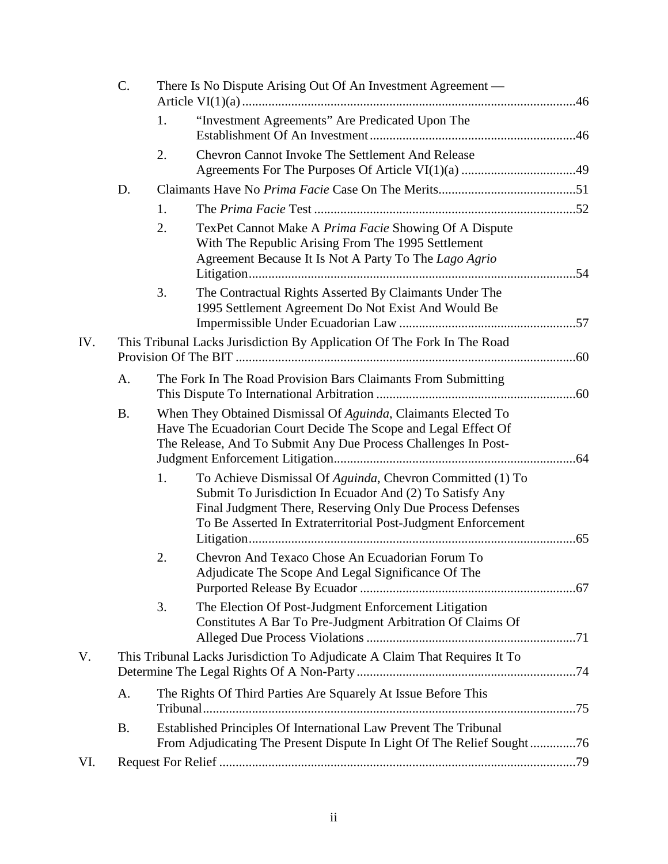|     | C.                                                                         | There Is No Dispute Arising Out Of An Investment Agreement —                                                                                                                                      |                                                                                                                                                                                                                                                    |  |  |
|-----|----------------------------------------------------------------------------|---------------------------------------------------------------------------------------------------------------------------------------------------------------------------------------------------|----------------------------------------------------------------------------------------------------------------------------------------------------------------------------------------------------------------------------------------------------|--|--|
|     |                                                                            | 1.                                                                                                                                                                                                | "Investment Agreements" Are Predicated Upon The                                                                                                                                                                                                    |  |  |
|     |                                                                            | 2.                                                                                                                                                                                                | Chevron Cannot Invoke The Settlement And Release                                                                                                                                                                                                   |  |  |
|     | D.                                                                         |                                                                                                                                                                                                   |                                                                                                                                                                                                                                                    |  |  |
|     |                                                                            | 1.                                                                                                                                                                                                |                                                                                                                                                                                                                                                    |  |  |
|     |                                                                            | 2.                                                                                                                                                                                                | TexPet Cannot Make A Prima Facie Showing Of A Dispute<br>With The Republic Arising From The 1995 Settlement<br>Agreement Because It Is Not A Party To The Lago Agrio                                                                               |  |  |
|     |                                                                            | 3.                                                                                                                                                                                                | The Contractual Rights Asserted By Claimants Under The<br>1995 Settlement Agreement Do Not Exist And Would Be                                                                                                                                      |  |  |
| IV. | This Tribunal Lacks Jurisdiction By Application Of The Fork In The Road    |                                                                                                                                                                                                   |                                                                                                                                                                                                                                                    |  |  |
|     | A.                                                                         | The Fork In The Road Provision Bars Claimants From Submitting                                                                                                                                     |                                                                                                                                                                                                                                                    |  |  |
|     | <b>B.</b>                                                                  | When They Obtained Dismissal Of Aguinda, Claimants Elected To<br>Have The Ecuadorian Court Decide The Scope and Legal Effect Of<br>The Release, And To Submit Any Due Process Challenges In Post- |                                                                                                                                                                                                                                                    |  |  |
|     |                                                                            | 1.                                                                                                                                                                                                | To Achieve Dismissal Of Aguinda, Chevron Committed (1) To<br>Submit To Jurisdiction In Ecuador And (2) To Satisfy Any<br>Final Judgment There, Reserving Only Due Process Defenses<br>To Be Asserted In Extraterritorial Post-Judgment Enforcement |  |  |
|     |                                                                            | 2.                                                                                                                                                                                                | Chevron And Texaco Chose An Ecuadorian Forum To<br>Adjudicate The Scope And Legal Significance Of The                                                                                                                                              |  |  |
|     |                                                                            | 3.                                                                                                                                                                                                | The Election Of Post-Judgment Enforcement Litigation<br>Constitutes A Bar To Pre-Judgment Arbitration Of Claims Of                                                                                                                                 |  |  |
| V.  | This Tribunal Lacks Jurisdiction To Adjudicate A Claim That Requires It To |                                                                                                                                                                                                   |                                                                                                                                                                                                                                                    |  |  |
|     | A.                                                                         | The Rights Of Third Parties Are Squarely At Issue Before This                                                                                                                                     |                                                                                                                                                                                                                                                    |  |  |
|     | <b>B.</b>                                                                  | Established Principles Of International Law Prevent The Tribunal<br>From Adjudicating The Present Dispute In Light Of The Relief Sought76                                                         |                                                                                                                                                                                                                                                    |  |  |
| VI. |                                                                            |                                                                                                                                                                                                   |                                                                                                                                                                                                                                                    |  |  |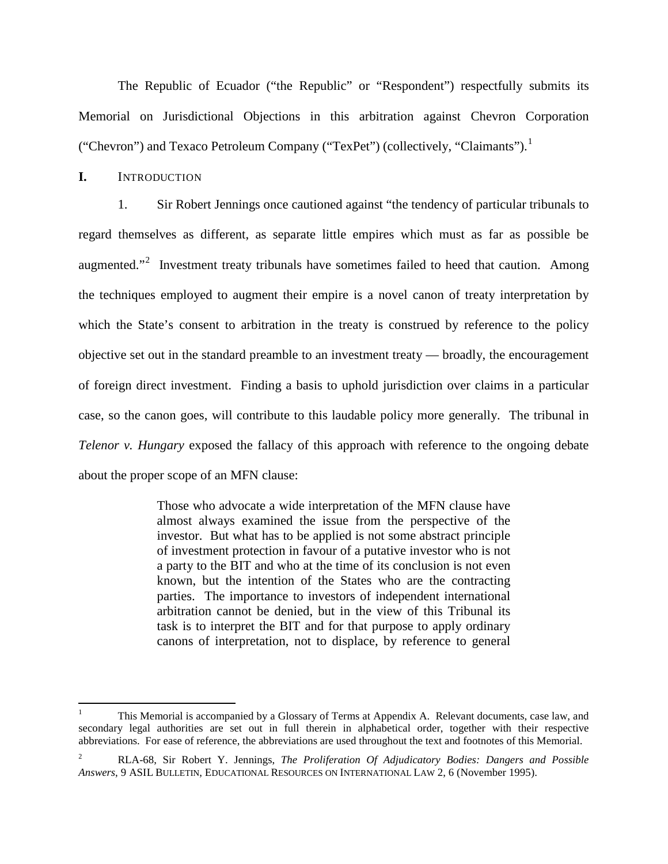The Republic of Ecuador ("the Republic" or "Respondent") respectfully submits its Memorial on Jurisdictional Objections in this arbitration against Chevron Corporation ("Chevron") and Texaco Petroleum Company ("TexPet") (collectively, "Claimants").<sup>[1](#page-3-1)</sup>

#### <span id="page-3-0"></span>**I.** INTRODUCTION

1. Sir Robert Jennings once cautioned against "the tendency of particular tribunals to regard themselves as different, as separate little empires which must as far as possible be augmented."<sup>[2](#page-3-2)</sup> Investment treaty tribunals have sometimes failed to heed that caution. Among the techniques employed to augment their empire is a novel canon of treaty interpretation by which the State's consent to arbitration in the treaty is construed by reference to the policy objective set out in the standard preamble to an investment treaty — broadly, the encouragement of foreign direct investment. Finding a basis to uphold jurisdiction over claims in a particular case, so the canon goes, will contribute to this laudable policy more generally. The tribunal in *Telenor v. Hungary* exposed the fallacy of this approach with reference to the ongoing debate about the proper scope of an MFN clause:

> Those who advocate a wide interpretation of the MFN clause have almost always examined the issue from the perspective of the investor. But what has to be applied is not some abstract principle of investment protection in favour of a putative investor who is not a party to the BIT and who at the time of its conclusion is not even known, but the intention of the States who are the contracting parties. The importance to investors of independent international arbitration cannot be denied, but in the view of this Tribunal its task is to interpret the BIT and for that purpose to apply ordinary canons of interpretation, not to displace, by reference to general

<span id="page-3-1"></span> <sup>1</sup> This Memorial is accompanied by a Glossary of Terms at Appendix A. Relevant documents, case law, and secondary legal authorities are set out in full therein in alphabetical order, together with their respective abbreviations. For ease of reference, the abbreviations are used throughout the text and footnotes of this Memorial.

<span id="page-3-2"></span><sup>2</sup> RLA-68, Sir Robert Y. Jennings, *The Proliferation Of Adjudicatory Bodies: Dangers and Possible Answers*, 9 ASIL BULLETIN, EDUCATIONAL RESOURCES ON INTERNATIONAL LAW 2, 6 (November 1995).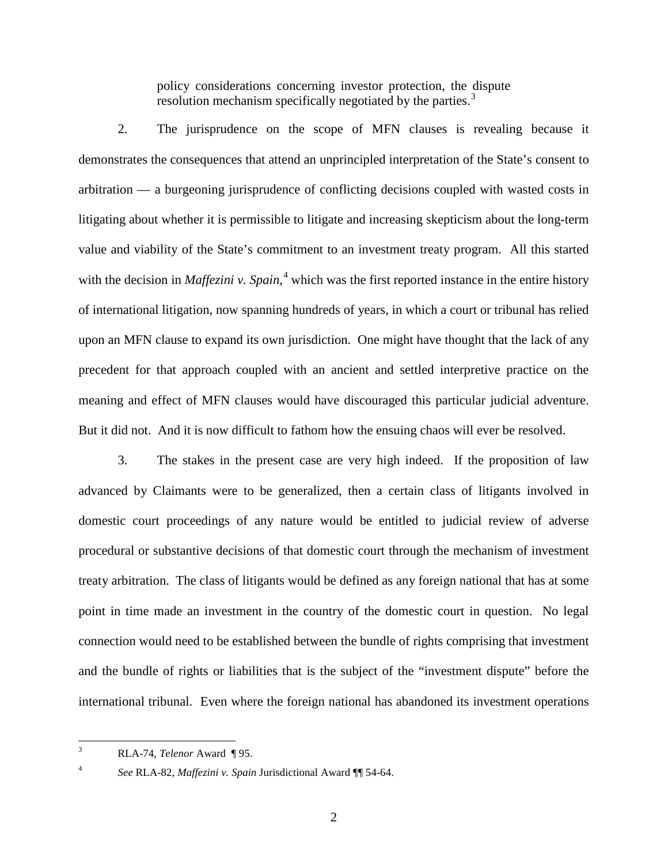policy considerations concerning investor protection, the dispute resolution mechanism specifically negotiated by the parties.<sup>[3](#page-4-0)</sup>

2. The jurisprudence on the scope of MFN clauses is revealing because it demonstrates the consequences that attend an unprincipled interpretation of the State's consent to arbitration — a burgeoning jurisprudence of conflicting decisions coupled with wasted costs in litigating about whether it is permissible to litigate and increasing skepticism about the long-term value and viability of the State's commitment to an investment treaty program. All this started with the decision in *Maffezini v. Spain*,<sup>[4](#page-4-1)</sup> which was the first reported instance in the entire history of international litigation, now spanning hundreds of years, in which a court or tribunal has relied upon an MFN clause to expand its own jurisdiction. One might have thought that the lack of any precedent for that approach coupled with an ancient and settled interpretive practice on the meaning and effect of MFN clauses would have discouraged this particular judicial adventure. But it did not. And it is now difficult to fathom how the ensuing chaos will ever be resolved.

3. The stakes in the present case are very high indeed. If the proposition of law advanced by Claimants were to be generalized, then a certain class of litigants involved in domestic court proceedings of any nature would be entitled to judicial review of adverse procedural or substantive decisions of that domestic court through the mechanism of investment treaty arbitration. The class of litigants would be defined as any foreign national that has at some point in time made an investment in the country of the domestic court in question. No legal connection would need to be established between the bundle of rights comprising that investment and the bundle of rights or liabilities that is the subject of the "investment dispute" before the international tribunal. Even where the foreign national has abandoned its investment operations

 <sup>3</sup> RLA-74, *Telenor* Award ¶ 95.

<span id="page-4-1"></span><span id="page-4-0"></span>

<sup>4</sup> *See* RLA-82, *Maffezini v. Spain* Jurisdictional Award ¶¶ 54-64.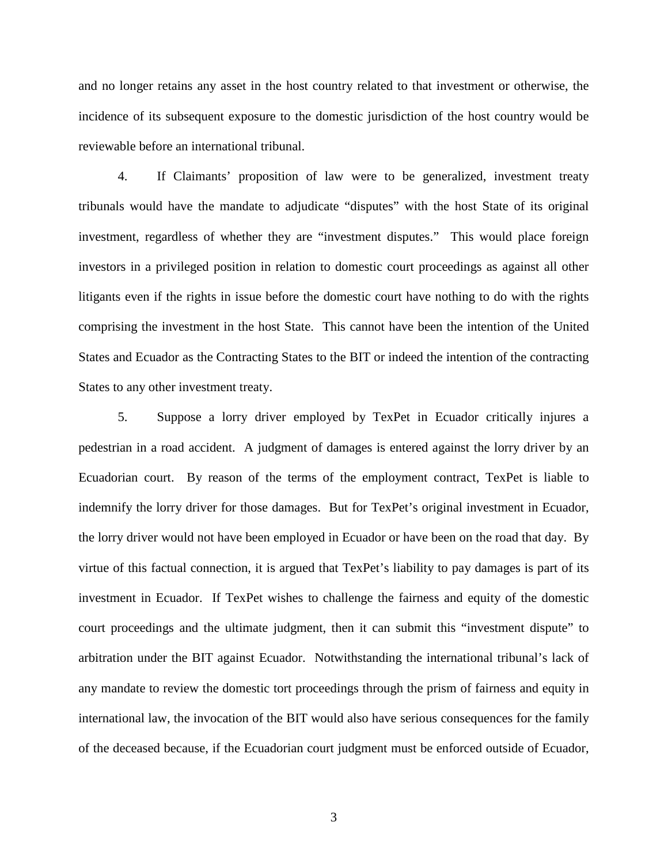and no longer retains any asset in the host country related to that investment or otherwise, the incidence of its subsequent exposure to the domestic jurisdiction of the host country would be reviewable before an international tribunal.

4. If Claimants' proposition of law were to be generalized, investment treaty tribunals would have the mandate to adjudicate "disputes" with the host State of its original investment, regardless of whether they are "investment disputes." This would place foreign investors in a privileged position in relation to domestic court proceedings as against all other litigants even if the rights in issue before the domestic court have nothing to do with the rights comprising the investment in the host State. This cannot have been the intention of the United States and Ecuador as the Contracting States to the BIT or indeed the intention of the contracting States to any other investment treaty.

5. Suppose a lorry driver employed by TexPet in Ecuador critically injures a pedestrian in a road accident. A judgment of damages is entered against the lorry driver by an Ecuadorian court. By reason of the terms of the employment contract, TexPet is liable to indemnify the lorry driver for those damages. But for TexPet's original investment in Ecuador, the lorry driver would not have been employed in Ecuador or have been on the road that day. By virtue of this factual connection, it is argued that TexPet's liability to pay damages is part of its investment in Ecuador. If TexPet wishes to challenge the fairness and equity of the domestic court proceedings and the ultimate judgment, then it can submit this "investment dispute" to arbitration under the BIT against Ecuador. Notwithstanding the international tribunal's lack of any mandate to review the domestic tort proceedings through the prism of fairness and equity in international law, the invocation of the BIT would also have serious consequences for the family of the deceased because, if the Ecuadorian court judgment must be enforced outside of Ecuador,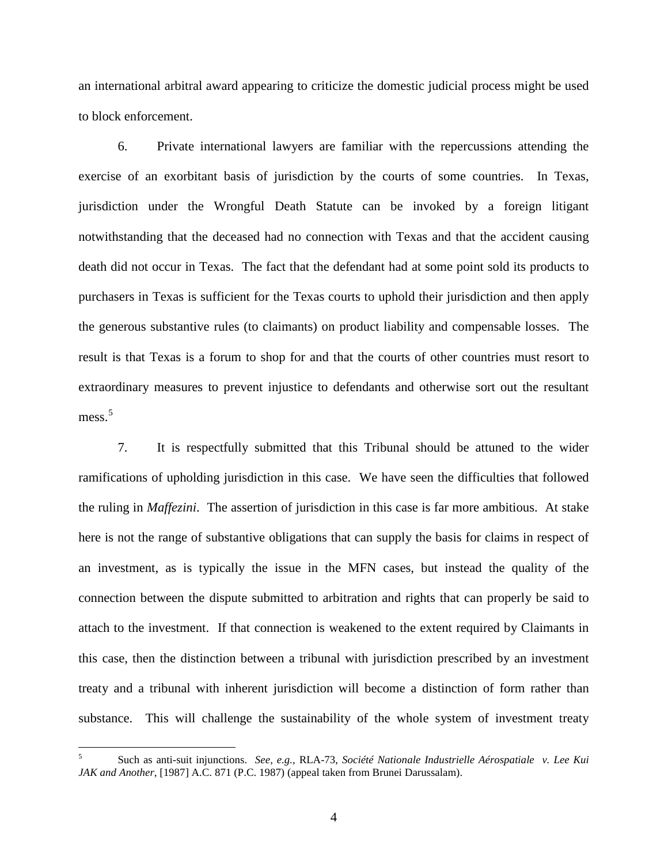an international arbitral award appearing to criticize the domestic judicial process might be used to block enforcement.

6. Private international lawyers are familiar with the repercussions attending the exercise of an exorbitant basis of jurisdiction by the courts of some countries. In Texas, jurisdiction under the Wrongful Death Statute can be invoked by a foreign litigant notwithstanding that the deceased had no connection with Texas and that the accident causing death did not occur in Texas. The fact that the defendant had at some point sold its products to purchasers in Texas is sufficient for the Texas courts to uphold their jurisdiction and then apply the generous substantive rules (to claimants) on product liability and compensable losses. The result is that Texas is a forum to shop for and that the courts of other countries must resort to extraordinary measures to prevent injustice to defendants and otherwise sort out the resultant mess.<sup>[5](#page-6-0)</sup>

7. It is respectfully submitted that this Tribunal should be attuned to the wider ramifications of upholding jurisdiction in this case. We have seen the difficulties that followed the ruling in *Maffezini*. The assertion of jurisdiction in this case is far more ambitious. At stake here is not the range of substantive obligations that can supply the basis for claims in respect of an investment, as is typically the issue in the MFN cases, but instead the quality of the connection between the dispute submitted to arbitration and rights that can properly be said to attach to the investment. If that connection is weakened to the extent required by Claimants in this case, then the distinction between a tribunal with jurisdiction prescribed by an investment treaty and a tribunal with inherent jurisdiction will become a distinction of form rather than substance. This will challenge the sustainability of the whole system of investment treaty

<span id="page-6-0"></span> <sup>5</sup> Such as anti-suit injunctions. *See, e.g.*, RLA-73, *Société Nationale Industrielle Aérospatiale v. Lee Kui JAK and Another*, [1987] A.C. 871 (P.C. 1987) (appeal taken from Brunei Darussalam).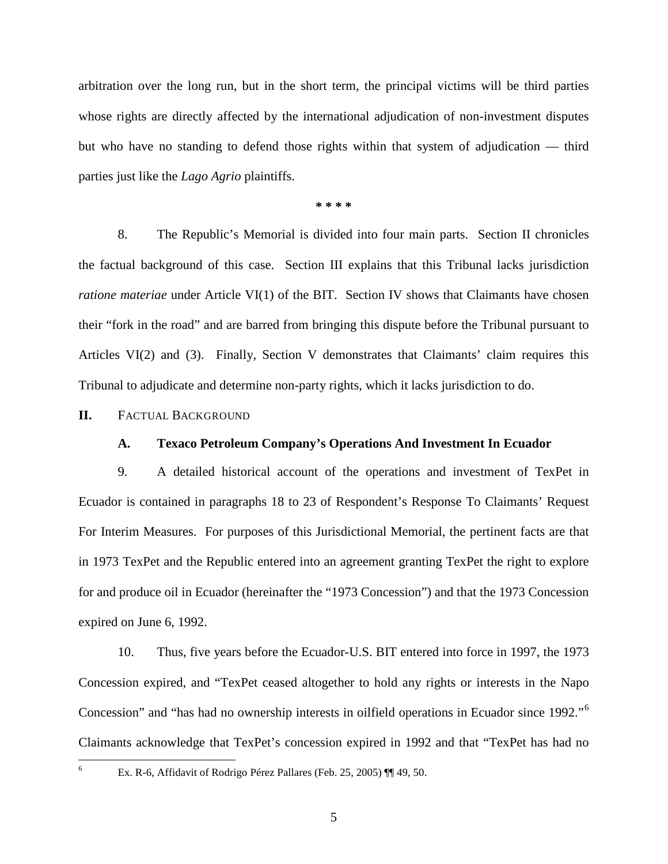arbitration over the long run, but in the short term, the principal victims will be third parties whose rights are directly affected by the international adjudication of non-investment disputes but who have no standing to defend those rights within that system of adjudication — third parties just like the *Lago Agrio* plaintiffs.

#### **\* \* \* \***

8. The Republic's Memorial is divided into four main parts. Section II chronicles the factual background of this case. Section III explains that this Tribunal lacks jurisdiction *ratione materiae* under Article VI(1) of the BIT. Section IV shows that Claimants have chosen their "fork in the road" and are barred from bringing this dispute before the Tribunal pursuant to Articles VI(2) and (3). Finally, Section V demonstrates that Claimants' claim requires this Tribunal to adjudicate and determine non-party rights, which it lacks jurisdiction to do.

#### <span id="page-7-1"></span><span id="page-7-0"></span>**II.** FACTUAL BACKGROUND

# **A. Texaco Petroleum Company's Operations And Investment In Ecuador**

9. A detailed historical account of the operations and investment of TexPet in Ecuador is contained in paragraphs 18 to 23 of Respondent's Response To Claimants' Request For Interim Measures. For purposes of this Jurisdictional Memorial, the pertinent facts are that in 1973 TexPet and the Republic entered into an agreement granting TexPet the right to explore for and produce oil in Ecuador (hereinafter the "1973 Concession") and that the 1973 Concession expired on June 6, 1992.

10. Thus, five years before the Ecuador-U.S. BIT entered into force in 1997, the 1973 Concession expired, and "TexPet ceased altogether to hold any rights or interests in the Napo Concession" and "has had no ownership interests in oilfield operations in Ecuador since 1992."[6](#page-7-2) Claimants acknowledge that TexPet's concession expired in 1992 and that "TexPet has had no

<span id="page-7-2"></span>

 <sup>6</sup> Ex. R-6, Affidavit of Rodrigo Pérez Pallares (Feb. 25, 2005) ¶¶ 49, 50.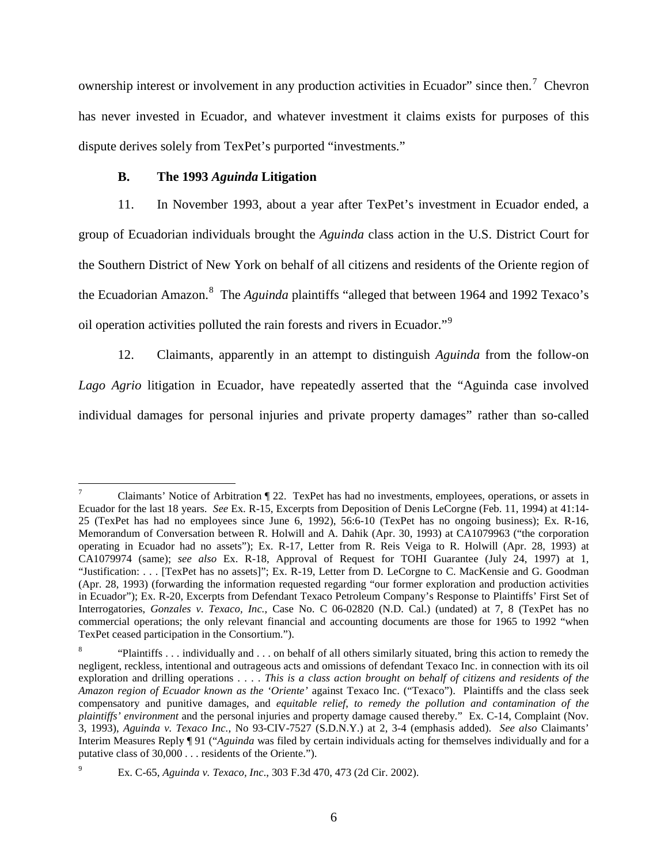ownership interest or involvement in any production activities in Ecuador" since then.<sup>[7](#page-8-1)</sup> Chevron has never invested in Ecuador, and whatever investment it claims exists for purposes of this dispute derives solely from TexPet's purported "investments."

### **B. The 1993** *Aguinda* **Litigation**

<span id="page-8-0"></span>11. In November 1993, about a year after TexPet's investment in Ecuador ended, a group of Ecuadorian individuals brought the *Aguinda* class action in the U.S. District Court for the Southern District of New York on behalf of all citizens and residents of the Oriente region of the Ecuadorian Amazon.<sup>[8](#page-8-2)</sup> The *Aguinda* plaintiffs "alleged that between 1964 and 1992 Texaco's oil operation activities polluted the rain forests and rivers in Ecuador."[9](#page-8-3)

12. Claimants, apparently in an attempt to distinguish *Aguinda* from the follow-on *Lago Agrio* litigation in Ecuador, have repeatedly asserted that the "Aguinda case involved individual damages for personal injuries and private property damages" rather than so-called

<span id="page-8-1"></span> <sup>7</sup> Claimants' Notice of Arbitration ¶ 22. TexPet has had no investments, employees, operations, or assets in Ecuador for the last 18 years. *See* Ex. R-15, Excerpts from Deposition of Denis LeCorgne (Feb. 11, 1994) at 41:14- 25 (TexPet has had no employees since June 6, 1992), 56:6-10 (TexPet has no ongoing business); Ex. R-16, Memorandum of Conversation between R. Holwill and A. Dahik (Apr. 30, 1993) at CA1079963 ("the corporation operating in Ecuador had no assets"); Ex. R-17, Letter from R. Reis Veiga to R. Holwill (Apr. 28, 1993) at CA1079974 (same); *see also* Ex. R-18, Approval of Request for TOHI Guarantee (July 24, 1997) at 1, "Justification: . . . [TexPet has no assets]"; Ex. R-19, Letter from D. LeCorgne to C. MacKensie and G. Goodman (Apr. 28, 1993) (forwarding the information requested regarding "our former exploration and production activities in Ecuador"); Ex. R-20, Excerpts from Defendant Texaco Petroleum Company's Response to Plaintiffs' First Set of Interrogatories, *Gonzales v. Texaco, Inc.*, Case No. C 06-02820 (N.D. Cal.) (undated) at 7, 8 (TexPet has no commercial operations; the only relevant financial and accounting documents are those for 1965 to 1992 "when TexPet ceased participation in the Consortium.").

<span id="page-8-2"></span><sup>8</sup> "Plaintiffs . . . individually and . . . on behalf of all others similarly situated, bring this action to remedy the negligent, reckless, intentional and outrageous acts and omissions of defendant Texaco Inc. in connection with its oil exploration and drilling operations . . . . *This is a class action brought on behalf of citizens and residents of the Amazon region of Ecuador known as the 'Oriente'* against Texaco Inc. ("Texaco"). Plaintiffs and the class seek compensatory and punitive damages, and *equitable relief*, *to remedy the pollution and contamination of the plaintiffs' environment* and the personal injuries and property damage caused thereby." Ex. C-14, Complaint (Nov. 3, 1993), *Aguinda v. Texaco Inc.*, No 93-CIV-7527 (S.D.N.Y.) at 2, 3-4 (emphasis added). *See also* Claimants' Interim Measures Reply ¶ 91 ("*Aguinda* was filed by certain individuals acting for themselves individually and for a putative class of 30,000 . . . residents of the Oriente.").

<span id="page-8-3"></span><sup>9</sup> Ex. C-65, *Aguinda v. Texaco, Inc*., 303 F.3d 470, 473 (2d Cir. 2002).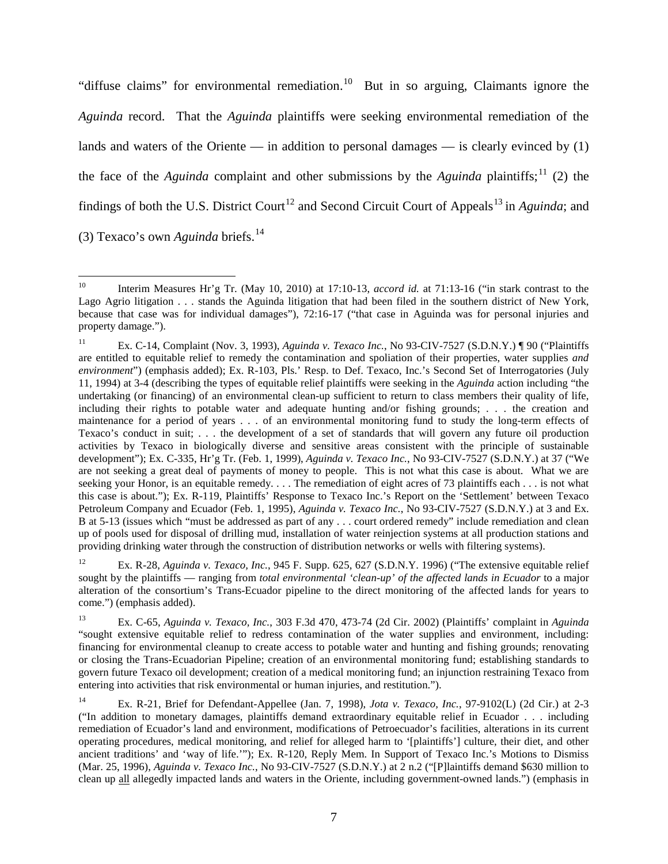"diffuse claims" for environmental remediation.[10](#page-9-0) But in so arguing, Claimants ignore the *Aguinda* record. That the *Aguinda* plaintiffs were seeking environmental remediation of the lands and waters of the Oriente — in addition to personal damages — is clearly evinced by  $(1)$ the face of the *Aguinda* complaint and other submissions by the *Aguinda* plaintiffs;<sup>[11](#page-9-1)</sup> (2) the findings of both the U.S. District Court<sup>[12](#page-9-2)</sup> and Second Circuit Court of Appeals<sup>[13](#page-9-3)</sup> in *Aguinda*; and (3) Texaco's own *Aguinda* briefs.[14](#page-9-4)

<span id="page-9-2"></span><sup>12</sup> Ex. R-28, *Aguinda v. Texaco, Inc.*, 945 F. Supp. 625, 627 (S.D.N.Y. 1996) ("The extensive equitable relief sought by the plaintiffs — ranging from *total environmental 'clean-up' of the affected lands in Ecuador* to a major alteration of the consortium's Trans-Ecuador pipeline to the direct monitoring of the affected lands for years to come.") (emphasis added).

<span id="page-9-3"></span><sup>13</sup> Ex. C-65, *Aguinda v. Texaco, Inc.*, 303 F.3d 470, 473-74 (2d Cir. 2002) (Plaintiffs' complaint in *Aguinda* "sought extensive equitable relief to redress contamination of the water supplies and environment, including: financing for environmental cleanup to create access to potable water and hunting and fishing grounds; renovating or closing the Trans-Ecuadorian Pipeline; creation of an environmental monitoring fund; establishing standards to govern future Texaco oil development; creation of a medical monitoring fund; an injunction restraining Texaco from entering into activities that risk environmental or human injuries, and restitution.").

<span id="page-9-4"></span><sup>14</sup> Ex. R-21, Brief for Defendant-Appellee (Jan. 7, 1998), *Jota v. Texaco, Inc.*, 97-9102(L) (2d Cir.) at 2-3 ("In addition to monetary damages, plaintiffs demand extraordinary equitable relief in Ecuador . . . including remediation of Ecuador's land and environment, modifications of Petroecuador's facilities, alterations in its current operating procedures, medical monitoring, and relief for alleged harm to '[plaintiffs'] culture, their diet, and other ancient traditions' and 'way of life.'"); Ex. R-120, Reply Mem. In Support of Texaco Inc.'s Motions to Dismiss (Mar. 25, 1996), *Aguinda v. Texaco Inc.*, No 93-CIV-7527 (S.D.N.Y.) at 2 n.2 ("[P]laintiffs demand \$630 million to clean up all allegedly impacted lands and waters in the Oriente, including government-owned lands.") (emphasis in

<span id="page-9-0"></span> <sup>10</sup> Interim Measures Hr'g Tr. (May 10, 2010) at 17:10-13, *accord id.* at 71:13-16 ("in stark contrast to the Lago Agrio litigation . . . stands the Aguinda litigation that had been filed in the southern district of New York, because that case was for individual damages"), 72:16-17 ("that case in Aguinda was for personal injuries and property damage.").

<span id="page-9-1"></span><sup>11</sup> Ex. C-14, Complaint (Nov. 3, 1993), *Aguinda v. Texaco Inc.*, No 93-CIV-7527 (S.D.N.Y.) ¶ 90 ("Plaintiffs are entitled to equitable relief to remedy the contamination and spoliation of their properties, water supplies *and environment*") (emphasis added); Ex. R-103, Pls.' Resp. to Def. Texaco, Inc.'s Second Set of Interrogatories (July 11, 1994) at 3-4 (describing the types of equitable relief plaintiffs were seeking in the *Aguinda* action including "the undertaking (or financing) of an environmental clean-up sufficient to return to class members their quality of life, including their rights to potable water and adequate hunting and/or fishing grounds; . . . the creation and maintenance for a period of years . . . of an environmental monitoring fund to study the long-term effects of Texaco's conduct in suit; . . . the development of a set of standards that will govern any future oil production activities by Texaco in biologically diverse and sensitive areas consistent with the principle of sustainable development"); Ex. C-335, Hr'g Tr. (Feb. 1, 1999), *Aguinda v. Texaco Inc.*, No 93-CIV-7527 (S.D.N.Y.) at 37 ("We are not seeking a great deal of payments of money to people. This is not what this case is about. What we are seeking your Honor, is an equitable remedy. . . . The remediation of eight acres of 73 plaintiffs each . . . is not what this case is about."); Ex. R-119, Plaintiffs' Response to Texaco Inc.'s Report on the 'Settlement' between Texaco Petroleum Company and Ecuador (Feb. 1, 1995), *Aguinda v. Texaco Inc.*, No 93-CIV-7527 (S.D.N.Y.) at 3 and Ex. B at 5-13 (issues which "must be addressed as part of any . . . court ordered remedy" include remediation and clean up of pools used for disposal of drilling mud, installation of water reinjection systems at all production stations and providing drinking water through the construction of distribution networks or wells with filtering systems).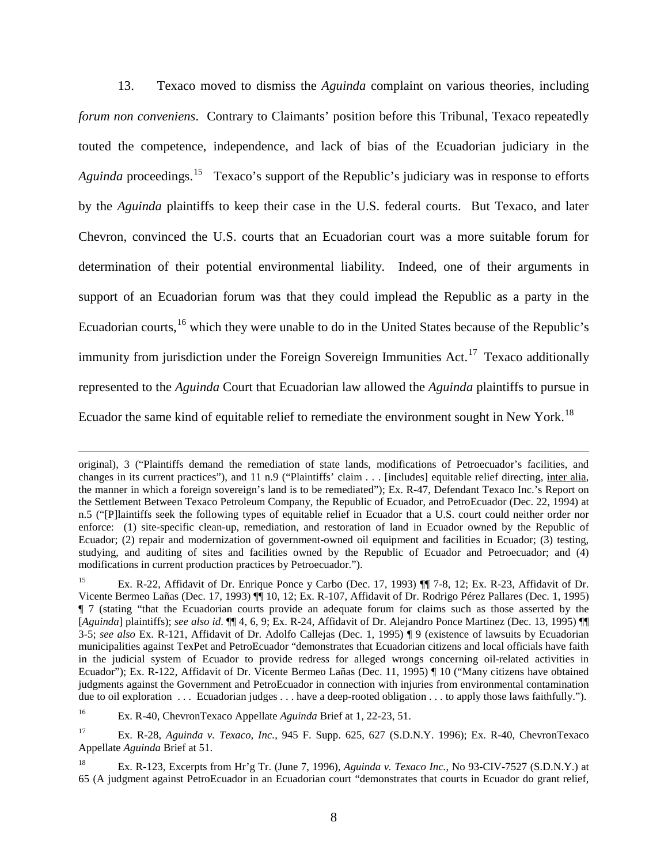13. Texaco moved to dismiss the *Aguinda* complaint on various theories, including *forum non conveniens*. Contrary to Claimants' position before this Tribunal, Texaco repeatedly touted the competence, independence, and lack of bias of the Ecuadorian judiciary in the Aguinda proceedings.<sup>15</sup> Texaco's support of the Republic's judiciary was in response to efforts by the *Aguinda* plaintiffs to keep their case in the U.S. federal courts. But Texaco, and later Chevron, convinced the U.S. courts that an Ecuadorian court was a more suitable forum for determination of their potential environmental liability. Indeed, one of their arguments in support of an Ecuadorian forum was that they could implead the Republic as a party in the Ecuadorian courts,<sup>[16](#page-10-1)</sup> which they were unable to do in the United States because of the Republic's immunity from jurisdiction under the Foreign Sovereign Immunities Act.<sup>[17](#page-10-2)</sup> Texaco additionally represented to the *Aguinda* Court that Ecuadorian law allowed the *Aguinda* plaintiffs to pursue in Ecuador the same kind of equitable relief to remediate the environment sought in New York.[18](#page-10-3)

 $\overline{a}$ 

<span id="page-10-3"></span>original), 3 ("Plaintiffs demand the remediation of state lands, modifications of Petroecuador's facilities, and changes in its current practices"), and 11 n.9 ("Plaintiffs' claim . . . [includes] equitable relief directing, inter alia, the manner in which a foreign sovereign's land is to be remediated"); Ex. R-47, Defendant Texaco Inc.'s Report on the Settlement Between Texaco Petroleum Company, the Republic of Ecuador, and PetroEcuador (Dec. 22, 1994) at n.5 ("[P]laintiffs seek the following types of equitable relief in Ecuador that a U.S. court could neither order nor enforce: (1) site-specific clean-up, remediation, and restoration of land in Ecuador owned by the Republic of Ecuador; (2) repair and modernization of government-owned oil equipment and facilities in Ecuador; (3) testing, studying, and auditing of sites and facilities owned by the Republic of Ecuador and Petroecuador; and (4) modifications in current production practices by Petroecuador.").

<span id="page-10-0"></span><sup>15</sup> Ex. R-22, Affidavit of Dr. Enrique Ponce y Carbo (Dec. 17, 1993) ¶¶ 7-8, 12; Ex. R-23, Affidavit of Dr. Vicente Bermeo Lañas (Dec. 17, 1993) ¶¶ 10, 12; Ex. R-107, Affidavit of Dr. Rodrigo Pérez Pallares (Dec. 1, 1995) ¶ 7 (stating "that the Ecuadorian courts provide an adequate forum for claims such as those asserted by the [*Aguinda*] plaintiffs); *see also id*. ¶¶ 4, 6, 9; Ex. R-24, Affidavit of Dr. Alejandro Ponce Martinez (Dec. 13, 1995) ¶¶ 3-5; *see also* Ex. R-121, Affidavit of Dr. Adolfo Callejas (Dec. 1, 1995) ¶ 9 (existence of lawsuits by Ecuadorian municipalities against TexPet and PetroEcuador "demonstrates that Ecuadorian citizens and local officials have faith in the judicial system of Ecuador to provide redress for alleged wrongs concerning oil-related activities in Ecuador"); Ex. R-122, Affidavit of Dr. Vicente Bermeo Lañas (Dec. 11, 1995) ¶ 10 ("Many citizens have obtained judgments against the Government and PetroEcuador in connection with injuries from environmental contamination due to oil exploration . . . Ecuadorian judges . . . have a deep-rooted obligation . . . to apply those laws faithfully.").

<span id="page-10-1"></span><sup>16</sup> Ex. R-40, ChevronTexaco Appellate *Aguinda* Brief at 1, 22-23, 51.

<span id="page-10-2"></span><sup>17</sup> Ex. R-28, *Aguinda v. Texaco, Inc.*, 945 F. Supp. 625, 627 (S.D.N.Y. 1996); Ex. R-40, ChevronTexaco Appellate *Aguinda* Brief at 51.

<sup>18</sup> Ex. R-123, Excerpts from Hr'g Tr. (June 7, 1996), *Aguinda v. Texaco Inc.*, No 93-CIV-7527 (S.D.N.Y.) at 65 (A judgment against PetroEcuador in an Ecuadorian court "demonstrates that courts in Ecuador do grant relief,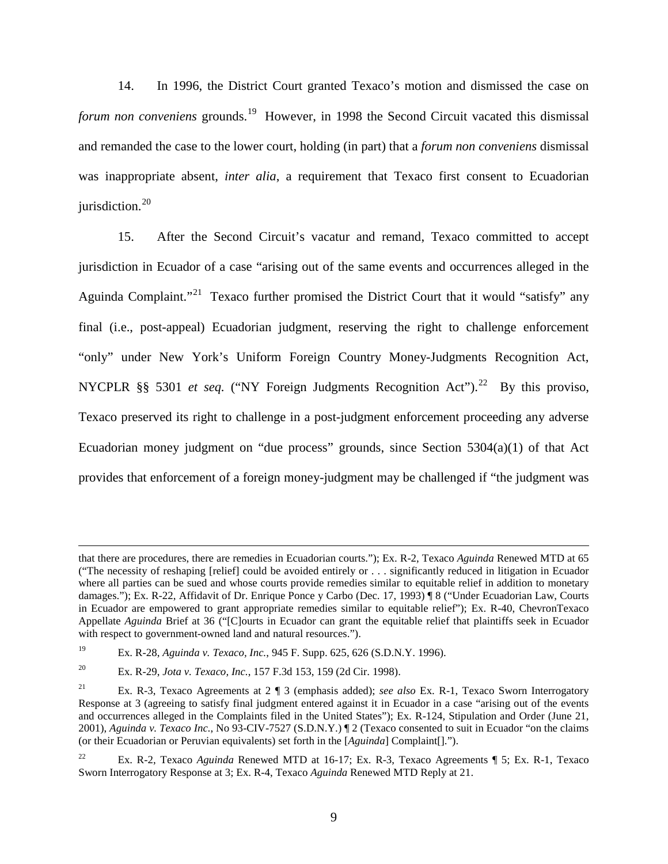14. In 1996, the District Court granted Texaco's motion and dismissed the case on forum non conveniens grounds.<sup>[19](#page-11-0)</sup> However, in 1998 the Second Circuit vacated this dismissal and remanded the case to the lower court, holding (in part) that a *forum non conveniens* dismissal was inappropriate absent, *inter alia*, a requirement that Texaco first consent to Ecuadorian jurisdiction.<sup>[20](#page-11-1)</sup>

15. After the Second Circuit's vacatur and remand, Texaco committed to accept jurisdiction in Ecuador of a case "arising out of the same events and occurrences alleged in the Aguinda Complaint."<sup>[21](#page-11-2)</sup> Texaco further promised the District Court that it would "satisfy" any final (i.e., post-appeal) Ecuadorian judgment, reserving the right to challenge enforcement "only" under New York's Uniform Foreign Country Money-Judgments Recognition Act, NYCPLR §§ 5301 *et seq.* ("NY Foreign Judgments Recognition Act").<sup>[22](#page-11-3)</sup> By this proviso, Texaco preserved its right to challenge in a post-judgment enforcement proceeding any adverse Ecuadorian money judgment on "due process" grounds, since Section 5304(a)(1) of that Act provides that enforcement of a foreign money-judgment may be challenged if "the judgment was

 $\overline{a}$ 

that there are procedures, there are remedies in Ecuadorian courts."); Ex. R-2, Texaco *Aguinda* Renewed MTD at 65 ("The necessity of reshaping [relief] could be avoided entirely or . . . significantly reduced in litigation in Ecuador where all parties can be sued and whose courts provide remedies similar to equitable relief in addition to monetary damages."); Ex. R-22, Affidavit of Dr. Enrique Ponce y Carbo (Dec. 17, 1993) ¶ 8 ("Under Ecuadorian Law, Courts in Ecuador are empowered to grant appropriate remedies similar to equitable relief"); Ex. R-40, ChevronTexaco Appellate *Aguinda* Brief at 36 ("[C]ourts in Ecuador can grant the equitable relief that plaintiffs seek in Ecuador with respect to government-owned land and natural resources.").

<span id="page-11-0"></span><sup>19</sup> Ex. R-28, *Aguinda v. Texaco, Inc.*, 945 F. Supp. 625, 626 (S.D.N.Y. 1996).

<span id="page-11-1"></span><sup>20</sup> Ex. R-29, *Jota v. Texaco, Inc.*, 157 F.3d 153, 159 (2d Cir. 1998).

<span id="page-11-2"></span><sup>21</sup> Ex. R-3, Texaco Agreements at 2 ¶ 3 (emphasis added); *see also* Ex. R-1, Texaco Sworn Interrogatory Response at 3 (agreeing to satisfy final judgment entered against it in Ecuador in a case "arising out of the events and occurrences alleged in the Complaints filed in the United States"); Ex. R-124, Stipulation and Order (June 21, 2001), *Aguinda v. Texaco Inc.*, No 93-CIV-7527 (S.D.N.Y.)  $\parallel$  2 (Texaco consented to suit in Ecuador "on the claims" (or their Ecuadorian or Peruvian equivalents) set forth in the [*Aguinda*] Complaint[].").

<span id="page-11-3"></span><sup>22</sup> Ex. R-2, Texaco *Aguinda* Renewed MTD at 16-17; Ex. R-3, Texaco Agreements ¶ 5; Ex. R-1, Texaco Sworn Interrogatory Response at 3; Ex. R-4, Texaco *Aguinda* Renewed MTD Reply at 21.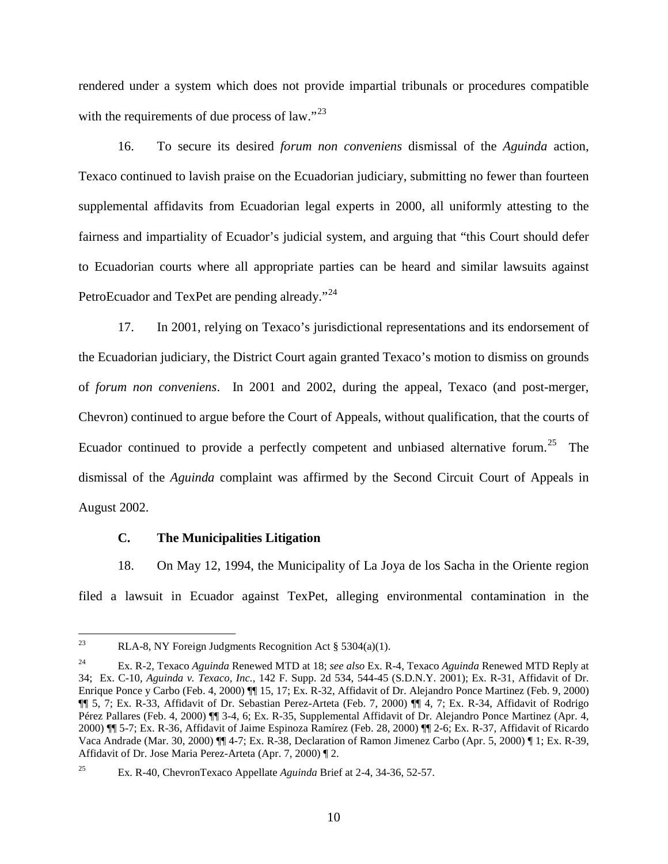rendered under a system which does not provide impartial tribunals or procedures compatible with the requirements of due process of law."<sup>[23](#page-12-1)</sup>

16. To secure its desired *forum non conveniens* dismissal of the *Aguinda* action, Texaco continued to lavish praise on the Ecuadorian judiciary, submitting no fewer than fourteen supplemental affidavits from Ecuadorian legal experts in 2000, all uniformly attesting to the fairness and impartiality of Ecuador's judicial system, and arguing that "this Court should defer to Ecuadorian courts where all appropriate parties can be heard and similar lawsuits against PetroEcuador and TexPet are pending already."<sup>[24](#page-12-2)</sup>

17. In 2001, relying on Texaco's jurisdictional representations and its endorsement of the Ecuadorian judiciary, the District Court again granted Texaco's motion to dismiss on grounds of *forum non conveniens*. In 2001 and 2002, during the appeal, Texaco (and post-merger, Chevron) continued to argue before the Court of Appeals, without qualification, that the courts of Ecuador continued to provide a perfectly competent and unbiased alternative forum.<sup>[25](#page-12-3)</sup> The dismissal of the *Aguinda* complaint was affirmed by the Second Circuit Court of Appeals in August 2002.

#### **C. The Municipalities Litigation**

<span id="page-12-0"></span>18. On May 12, 1994, the Municipality of La Joya de los Sacha in the Oriente region filed a lawsuit in Ecuador against TexPet, alleging environmental contamination in the

<span id="page-12-1"></span><sup>&</sup>lt;sup>23</sup> RLA-8, NY Foreign Judgments Recognition Act § 5304(a)(1).

<span id="page-12-2"></span><sup>24</sup> Ex. R-2, Texaco *Aguinda* Renewed MTD at 18; *see also* Ex. R-4, Texaco *Aguinda* Renewed MTD Reply at 34; Ex. C-10, *Aguinda v. Texaco, Inc.*, 142 F. Supp. 2d 534, 544-45 (S.D.N.Y. 2001); Ex. R-31, Affidavit of Dr. Enrique Ponce y Carbo (Feb. 4, 2000) ¶¶ 15, 17; Ex. R-32, Affidavit of Dr. Alejandro Ponce Martinez (Feb. 9, 2000) ¶¶ 5, 7; Ex. R-33, Affidavit of Dr. Sebastian Perez-Arteta (Feb. 7, 2000) ¶¶ 4, 7; Ex. R-34, Affidavit of Rodrigo Pérez Pallares (Feb. 4, 2000) ¶¶ 3-4, 6; Ex. R-35, Supplemental Affidavit of Dr. Alejandro Ponce Martinez (Apr. 4, 2000) ¶¶ 5-7; Ex. R-36, Affidavit of Jaime Espinoza Ramírez (Feb. 28, 2000) ¶¶ 2-6; Ex. R-37, Affidavit of Ricardo Vaca Andrade (Mar. 30, 2000) ¶¶ 4-7; Ex. R-38, Declaration of Ramon Jimenez Carbo (Apr. 5, 2000) ¶ 1; Ex. R-39, Affidavit of Dr. Jose Maria Perez-Arteta (Apr. 7, 2000) ¶ 2.

<span id="page-12-3"></span><sup>25</sup> Ex. R-40, ChevronTexaco Appellate *Aguinda* Brief at 2-4, 34-36, 52-57.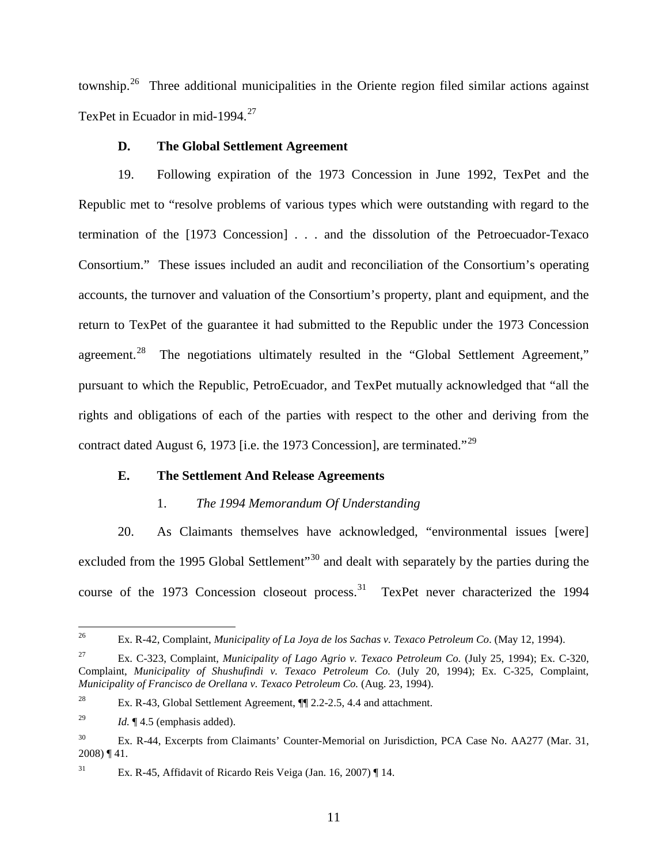township.<sup>[26](#page-13-3)</sup> Three additional municipalities in the Oriente region filed similar actions against TexPet in Ecuador in mid-1994.<sup>[27](#page-13-4)</sup>

### **D. The Global Settlement Agreement**

<span id="page-13-0"></span>19. Following expiration of the 1973 Concession in June 1992, TexPet and the Republic met to "resolve problems of various types which were outstanding with regard to the termination of the [1973 Concession] . . . and the dissolution of the Petroecuador-Texaco Consortium." These issues included an audit and reconciliation of the Consortium's operating accounts, the turnover and valuation of the Consortium's property, plant and equipment, and the return to TexPet of the guarantee it had submitted to the Republic under the 1973 Concession agreement.<sup>[28](#page-13-5)</sup> The negotiations ultimately resulted in the "Global Settlement Agreement," pursuant to which the Republic, PetroEcuador, and TexPet mutually acknowledged that "all the rights and obligations of each of the parties with respect to the other and deriving from the contract dated August 6, 1973 [i.e. the 1973 Concession], are terminated."<sup>[29](#page-13-6)</sup>

# <span id="page-13-1"></span>**E. The Settlement And Release Agreements**

# 1. *The 1994 Memorandum Of Understanding*

<span id="page-13-2"></span>20. As Claimants themselves have acknowledged, "environmental issues [were] excluded from the 1995 Global Settlement<sup>"[30](#page-13-7)</sup> and dealt with separately by the parties during the course of the 1973 Concession closeout process.<sup>[31](#page-13-8)</sup> TexPet never characterized the 1994

<span id="page-13-3"></span> <sup>26</sup> Ex. R-42, Complaint, *Municipality of La Joya de los Sachas v. Texaco Petroleum Co*. (May 12, 1994).

<span id="page-13-4"></span><sup>&</sup>lt;sup>27</sup> Ex. C-323, Complaint, *Municipality of Lago Agrio v. Texaco Petroleum Co.* (July 25, 1994); Ex. C-320, Complaint, *Municipality of Shushufindi v. Texaco Petroleum Co.* (July 20, 1994); Ex. C-325, Complaint, *Municipality of Francisco de Orellana v. Texaco Petroleum Co.* (Aug. 23, 1994).

<span id="page-13-5"></span><sup>28</sup> Ex. R-43, Global Settlement Agreement, ¶¶ 2.2-2.5, 4.4 and attachment.

<span id="page-13-6"></span><sup>&</sup>lt;sup>29</sup> *Id.*  $\llbracket$  4.5 (emphasis added).

<span id="page-13-7"></span><sup>&</sup>lt;sup>30</sup> Ex. R-44, Excerpts from Claimants' Counter-Memorial on Jurisdiction, PCA Case No. AA277 (Mar. 31, 2008) ¶ 41.

<span id="page-13-8"></span><sup>&</sup>lt;sup>31</sup> Ex. R-45, Affidavit of Ricardo Reis Veiga (Jan. 16, 2007) ¶ 14.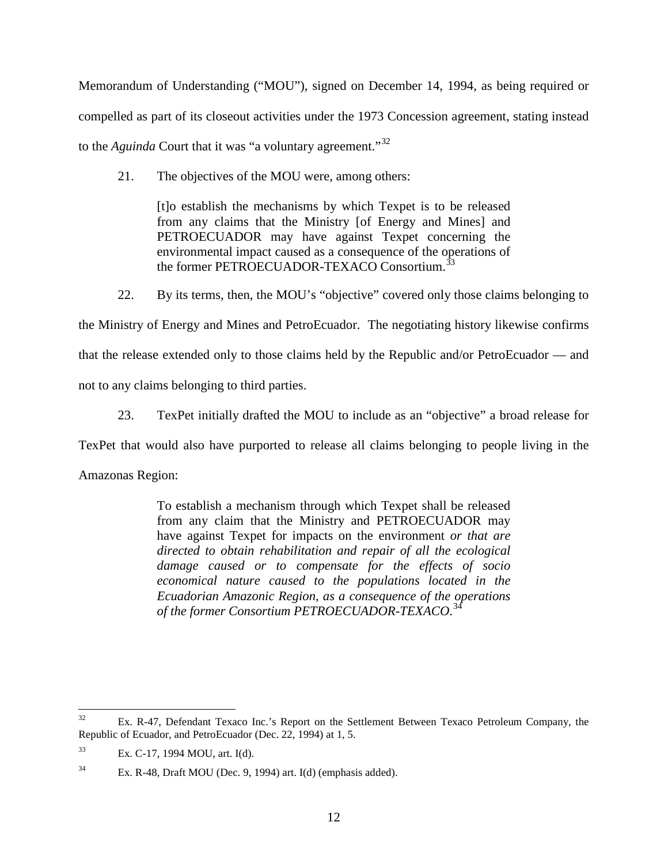Memorandum of Understanding ("MOU"), signed on December 14, 1994, as being required or compelled as part of its closeout activities under the 1973 Concession agreement, stating instead to the *Aguinda* Court that it was "a voluntary agreement."<sup>[32](#page-14-0)</sup>

21. The objectives of the MOU were, among others:

[t]o establish the mechanisms by which Texpet is to be released from any claims that the Ministry [of Energy and Mines] and PETROECUADOR may have against Texpet concerning the environmental impact caused as a consequence of the operations of the former PETROECUADOR-TEXACO Consortium.<sup>[33](#page-14-1)</sup>

22. By its terms, then, the MOU's "objective" covered only those claims belonging to the Ministry of Energy and Mines and PetroEcuador. The negotiating history likewise confirms that the release extended only to those claims held by the Republic and/or PetroEcuador — and not to any claims belonging to third parties.

23. TexPet initially drafted the MOU to include as an "objective" a broad release for

TexPet that would also have purported to release all claims belonging to people living in the

Amazonas Region:

To establish a mechanism through which Texpet shall be released from any claim that the Ministry and PETROECUADOR may have against Texpet for impacts on the environment *or that are directed to obtain rehabilitation and repair of all the ecological damage caused or to compensate for the effects of socio economical nature caused to the populations located in the Ecuadorian Amazonic Region, as a consequence of the operations of the former Consortium PETROECUADOR-TEXACO*. [34](#page-14-2)

<span id="page-14-0"></span><sup>&</sup>lt;sup>32</sup> Ex. R-47, Defendant Texaco Inc.'s Report on the Settlement Between Texaco Petroleum Company, the Republic of Ecuador, and PetroEcuador (Dec. 22, 1994) at 1, 5.

<span id="page-14-1"></span><sup>33</sup> Ex. C-17, 1994 MOU, art. I(d).

<span id="page-14-2"></span><sup>34</sup> Ex. R-48, Draft MOU (Dec. 9, 1994) art. I(d) (emphasis added).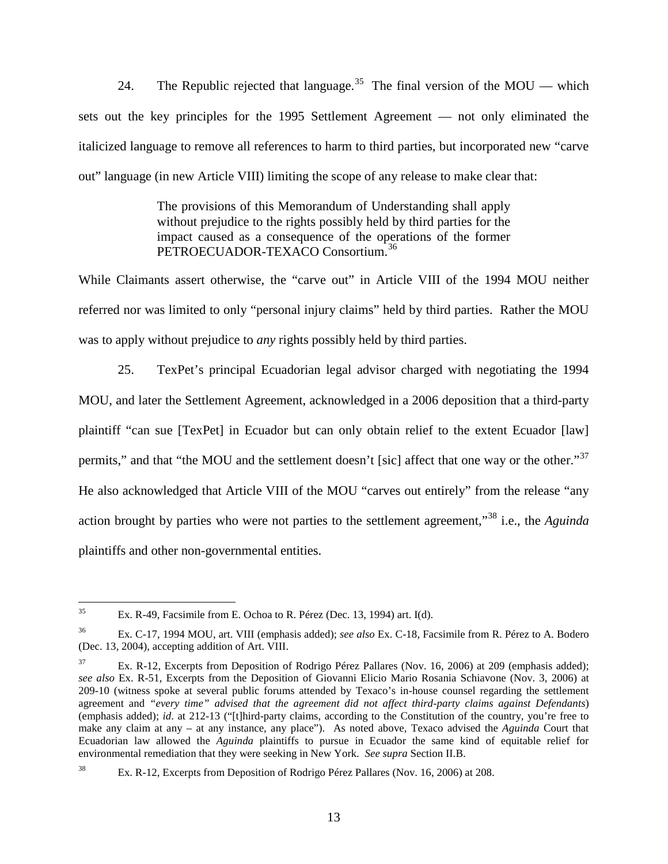24. The Republic rejected that language.<sup>[35](#page-15-0)</sup> The final version of the MOU — which sets out the key principles for the 1995 Settlement Agreement — not only eliminated the italicized language to remove all references to harm to third parties, but incorporated new "carve out" language (in new Article VIII) limiting the scope of any release to make clear that:

> The provisions of this Memorandum of Understanding shall apply without prejudice to the rights possibly held by third parties for the impact caused as a consequence of the operations of the former PETROECUADOR-TEXACO Consortium.<sup>[36](#page-15-1)</sup>

While Claimants assert otherwise, the "carve out" in Article VIII of the 1994 MOU neither referred nor was limited to only "personal injury claims" held by third parties. Rather the MOU was to apply without prejudice to *any* rights possibly held by third parties.

25. TexPet's principal Ecuadorian legal advisor charged with negotiating the 1994 MOU, and later the Settlement Agreement, acknowledged in a 2006 deposition that a third-party plaintiff "can sue [TexPet] in Ecuador but can only obtain relief to the extent Ecuador [law] permits," and that "the MOU and the settlement doesn't [sic] affect that one way or the other."<sup>[37](#page-15-2)</sup> He also acknowledged that Article VIII of the MOU "carves out entirely" from the release "any action brought by parties who were not parties to the settlement agreement,"[38](#page-15-3) i.e., the *Aguinda*  plaintiffs and other non-governmental entities.

<span id="page-15-0"></span><sup>&</sup>lt;sup>35</sup> Ex. R-49, Facsimile from E. Ochoa to R. Pérez (Dec. 13, 1994) art. I(d).

<span id="page-15-1"></span><sup>36</sup> Ex. C-17, 1994 MOU, art. VIII (emphasis added); *see also* Ex. C-18, Facsimile from R. Pérez to A. Bodero (Dec. 13, 2004), accepting addition of Art. VIII.

<span id="page-15-2"></span>Ex. R-12, Excerpts from Deposition of Rodrigo Pérez Pallares (Nov. 16, 2006) at 209 (emphasis added); *see also* Ex. R-51, Excerpts from the Deposition of Giovanni Elicio Mario Rosania Schiavone (Nov. 3, 2006) at 209-10 (witness spoke at several public forums attended by Texaco's in-house counsel regarding the settlement agreement and *"every time" advised that the agreement did not affect third-party claims against Defendants*) (emphasis added); *id*. at 212-13 ("[t]hird-party claims, according to the Constitution of the country, you're free to make any claim at any – at any instance, any place"). As noted above, Texaco advised the *Aguinda* Court that Ecuadorian law allowed the *Aguinda* plaintiffs to pursue in Ecuador the same kind of equitable relief for environmental remediation that they were seeking in New York. *See supra* Section II.B.

<span id="page-15-3"></span><sup>&</sup>lt;sup>38</sup> Ex. R-12, Excerpts from Deposition of Rodrigo Pérez Pallares (Nov. 16, 2006) at 208.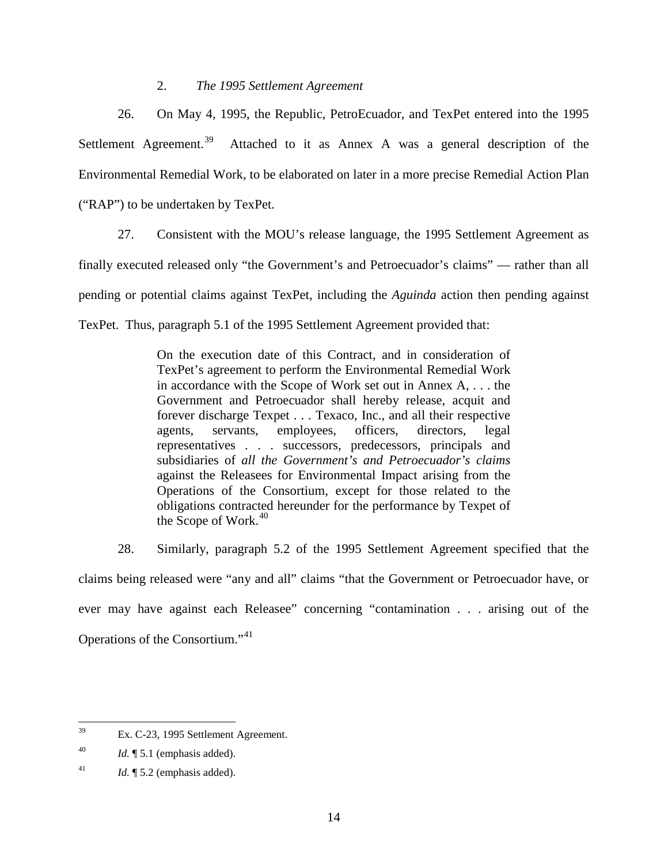### 2. *The 1995 Settlement Agreement*

<span id="page-16-0"></span>26. On May 4, 1995, the Republic, PetroEcuador, and TexPet entered into the 1995 Settlement Agreement.<sup>[39](#page-16-1)</sup> Attached to it as Annex A was a general description of the Environmental Remedial Work, to be elaborated on later in a more precise Remedial Action Plan ("RAP") to be undertaken by TexPet.

27. Consistent with the MOU's release language, the 1995 Settlement Agreement as finally executed released only "the Government's and Petroecuador's claims" — rather than all pending or potential claims against TexPet, including the *Aguinda* action then pending against TexPet. Thus, paragraph 5.1 of the 1995 Settlement Agreement provided that:

> On the execution date of this Contract, and in consideration of TexPet's agreement to perform the Environmental Remedial Work in accordance with the Scope of Work set out in Annex A, . . . the Government and Petroecuador shall hereby release, acquit and forever discharge Texpet . . . Texaco, Inc., and all their respective agents, servants, employees, officers, directors, legal representatives . . . successors, predecessors, principals and subsidiaries of *all the Government's and Petroecuador's claims*  against the Releasees for Environmental Impact arising from the Operations of the Consortium, except for those related to the obligations contracted hereunder for the performance by Texpet of the Scope of Work. $40$

28. Similarly, paragraph 5.2 of the 1995 Settlement Agreement specified that the claims being released were "any and all" claims "that the Government or Petroecuador have, or ever may have against each Releasee" concerning "contamination . . . arising out of the Operations of the Consortium."<sup>[41](#page-16-3)</sup>

<span id="page-16-1"></span> <sup>39</sup> Ex. C-23, 1995 Settlement Agreement.

<span id="page-16-2"></span> $1d. \P 5.1$  (emphasis added).

<span id="page-16-3"></span><sup>&</sup>lt;sup>41</sup> *Id.*  $\llbracket 5.2 \text{ (emphasis added)}$ .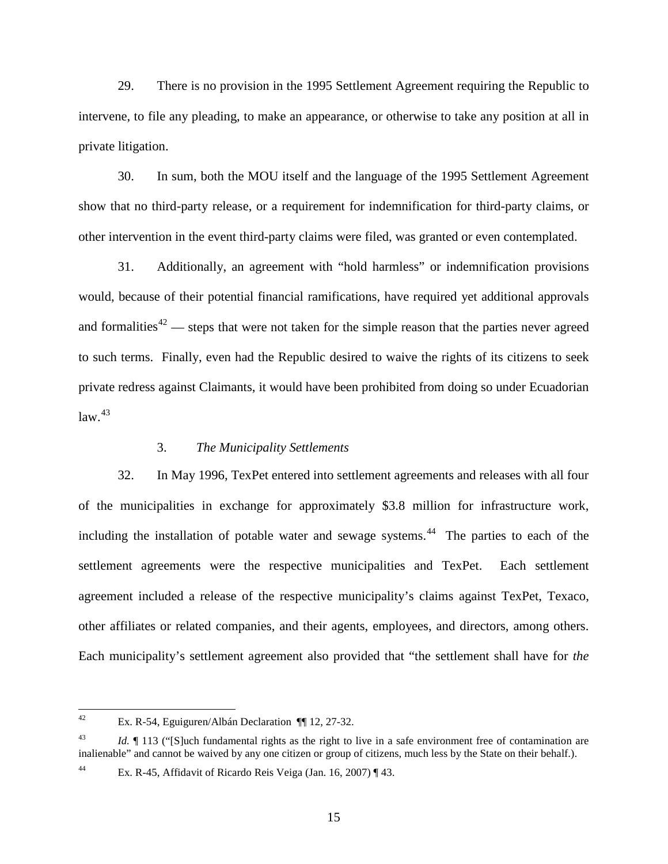29. There is no provision in the 1995 Settlement Agreement requiring the Republic to intervene, to file any pleading, to make an appearance, or otherwise to take any position at all in private litigation.

30. In sum, both the MOU itself and the language of the 1995 Settlement Agreement show that no third-party release, or a requirement for indemnification for third-party claims, or other intervention in the event third-party claims were filed, was granted or even contemplated.

31. Additionally, an agreement with "hold harmless" or indemnification provisions would, because of their potential financial ramifications, have required yet additional approvals and formalities<sup>[42](#page-17-1)</sup> — steps that were not taken for the simple reason that the parties never agreed to such terms. Finally, even had the Republic desired to waive the rights of its citizens to seek private redress against Claimants, it would have been prohibited from doing so under Ecuadorian  $law.<sup>43</sup>$  $law.<sup>43</sup>$  $law.<sup>43</sup>$ 

#### 3. *The Municipality Settlements*

<span id="page-17-0"></span>32. In May 1996, TexPet entered into settlement agreements and releases with all four of the municipalities in exchange for approximately \$3.8 million for infrastructure work, including the installation of potable water and sewage systems. $44$  The parties to each of the settlement agreements were the respective municipalities and TexPet. Each settlement agreement included a release of the respective municipality's claims against TexPet, Texaco, other affiliates or related companies, and their agents, employees, and directors, among others. Each municipality's settlement agreement also provided that "the settlement shall have for *the* 

<span id="page-17-1"></span> <sup>42</sup> Ex. R-54, Eguiguren/Albán Declaration ¶¶ 12, 27-32.

<span id="page-17-2"></span><sup>&</sup>lt;sup>43</sup> *Id.* <sup> $\parallel$ </sup> 113 ("S ] uch fundamental rights as the right to live in a safe environment free of contamination are inalienable" and cannot be waived by any one citizen or group of citizens, much less by the State on their behalf.).

<span id="page-17-3"></span><sup>44</sup> Ex. R-45, Affidavit of Ricardo Reis Veiga (Jan. 16, 2007) ¶ 43.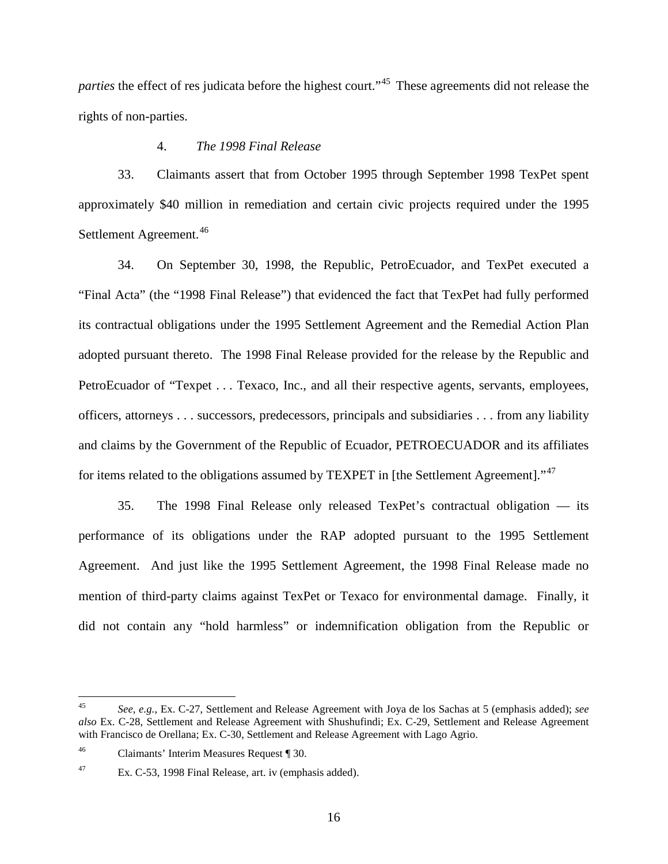parties the effect of res judicata before the highest court."<sup>[45](#page-18-1)</sup> These agreements did not release the rights of non-parties.

# 4. *The 1998 Final Release*

<span id="page-18-0"></span>33. Claimants assert that from October 1995 through September 1998 TexPet spent approximately \$40 million in remediation and certain civic projects required under the 1995 Settlement Agreement.<sup>[46](#page-18-2)</sup>

34. On September 30, 1998, the Republic, PetroEcuador, and TexPet executed a "Final Acta" (the "1998 Final Release") that evidenced the fact that TexPet had fully performed its contractual obligations under the 1995 Settlement Agreement and the Remedial Action Plan adopted pursuant thereto. The 1998 Final Release provided for the release by the Republic and PetroEcuador of "Texpet . . . Texaco, Inc., and all their respective agents, servants, employees, officers, attorneys . . . successors, predecessors, principals and subsidiaries . . . from any liability and claims by the Government of the Republic of Ecuador, PETROECUADOR and its affiliates for items related to the obligations assumed by TEXPET in [the Settlement Agreement]."<sup>[47](#page-18-3)</sup>

35. The 1998 Final Release only released TexPet's contractual obligation — its performance of its obligations under the RAP adopted pursuant to the 1995 Settlement Agreement. And just like the 1995 Settlement Agreement, the 1998 Final Release made no mention of third-party claims against TexPet or Texaco for environmental damage. Finally, it did not contain any "hold harmless" or indemnification obligation from the Republic or

<span id="page-18-1"></span> <sup>45</sup> *See, e.g.*, Ex. C-27, Settlement and Release Agreement with Joya de los Sachas at 5 (emphasis added); *see also* Ex. C-28, Settlement and Release Agreement with Shushufindi; Ex. C-29, Settlement and Release Agreement with Francisco de Orellana; Ex. C-30, Settlement and Release Agreement with Lago Agrio.

<span id="page-18-2"></span><sup>46</sup> Claimants' Interim Measures Request ¶ 30.

<span id="page-18-3"></span><sup>47</sup> Ex. C-53, 1998 Final Release, art. iv (emphasis added).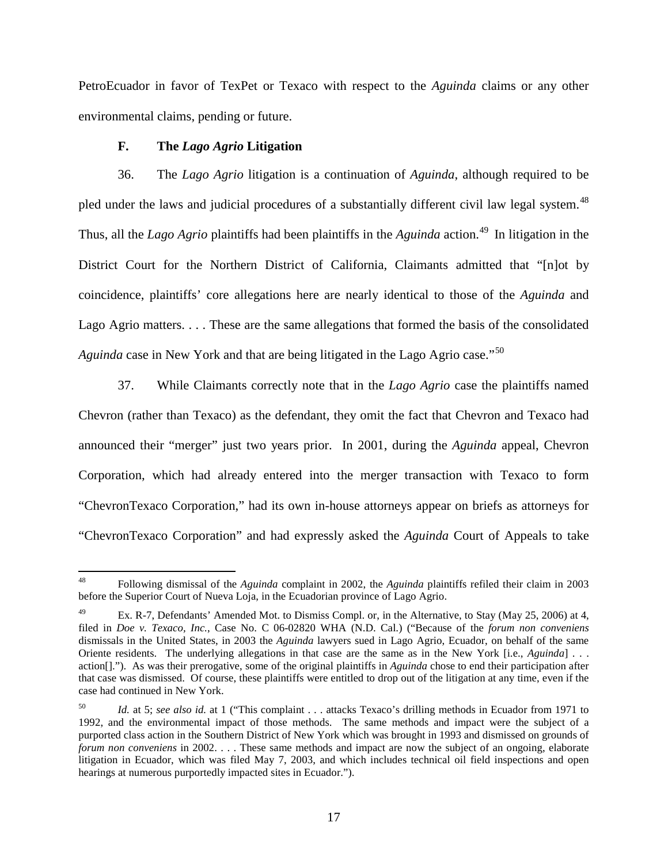PetroEcuador in favor of TexPet or Texaco with respect to the *Aguinda* claims or any other environmental claims, pending or future.

# **F. The** *Lago Agrio* **Litigation**

<span id="page-19-0"></span>36. The *Lago Agrio* litigation is a continuation of *Aguinda*, although required to be pled under the laws and judicial procedures of a substantially different civil law legal system.<sup>[48](#page-19-1)</sup> Thus, all the *Lago Agrio* plaintiffs had been plaintiffs in the *Aguinda* action.<sup>[49](#page-19-2)</sup> In litigation in the District Court for the Northern District of California, Claimants admitted that "[n]ot by coincidence, plaintiffs' core allegations here are nearly identical to those of the *Aguinda* and Lago Agrio matters. . . . These are the same allegations that formed the basis of the consolidated *Aguinda* case in New York and that are being litigated in the Lago Agrio case."<sup>[50](#page-19-3)</sup>

37. While Claimants correctly note that in the *Lago Agrio* case the plaintiffs named Chevron (rather than Texaco) as the defendant, they omit the fact that Chevron and Texaco had announced their "merger" just two years prior. In 2001, during the *Aguinda* appeal, Chevron Corporation, which had already entered into the merger transaction with Texaco to form "ChevronTexaco Corporation," had its own in-house attorneys appear on briefs as attorneys for "ChevronTexaco Corporation" and had expressly asked the *Aguinda* Court of Appeals to take

<span id="page-19-1"></span> <sup>48</sup> Following dismissal of the *Aguinda* complaint in 2002, the *Aguinda* plaintiffs refiled their claim in 2003 before the Superior Court of Nueva Loja, in the Ecuadorian province of Lago Agrio.

<span id="page-19-2"></span>Ex. R-7, Defendants' Amended Mot. to Dismiss Compl. or, in the Alternative, to Stay (May 25, 2006) at 4, filed in *Doe v. Texaco, Inc.*, Case No. C 06-02820 WHA (N.D. Cal.) ("Because of the *forum non conveniens*  dismissals in the United States, in 2003 the *Aguinda* lawyers sued in Lago Agrio, Ecuador, on behalf of the same Oriente residents. The underlying allegations in that case are the same as in the New York [i.e., *Aguinda*] . . . action[]."). As was their prerogative, some of the original plaintiffs in *Aguinda* chose to end their participation after that case was dismissed. Of course, these plaintiffs were entitled to drop out of the litigation at any time, even if the case had continued in New York.

<span id="page-19-3"></span>Id. at 5; see also id. at 1 ("This complaint . . . attacks Texaco's drilling methods in Ecuador from 1971 to 1992, and the environmental impact of those methods. The same methods and impact were the subject of a purported class action in the Southern District of New York which was brought in 1993 and dismissed on grounds of *forum non conveniens* in 2002. . . . These same methods and impact are now the subject of an ongoing, elaborate litigation in Ecuador, which was filed May 7, 2003, and which includes technical oil field inspections and open hearings at numerous purportedly impacted sites in Ecuador.").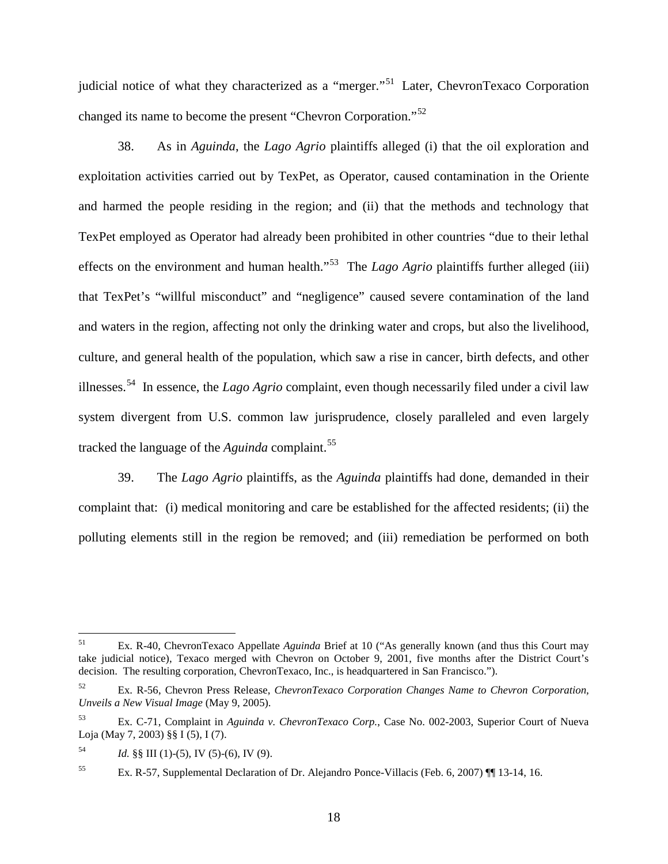judicial notice of what they characterized as a "merger."<sup>51</sup> Later, ChevronTexaco Corporation changed its name to become the present "Chevron Corporation."[52](#page-20-1)

38. As in *Aguinda*, the *Lago Agrio* plaintiffs alleged (i) that the oil exploration and exploitation activities carried out by TexPet, as Operator, caused contamination in the Oriente and harmed the people residing in the region; and (ii) that the methods and technology that TexPet employed as Operator had already been prohibited in other countries "due to their lethal effects on the environment and human health."[53](#page-20-2) The *Lago Agrio* plaintiffs further alleged (iii) that TexPet's "willful misconduct" and "negligence" caused severe contamination of the land and waters in the region, affecting not only the drinking water and crops, but also the livelihood, culture, and general health of the population, which saw a rise in cancer, birth defects, and other illnesses.[54](#page-20-3) In essence, the *Lago Agrio* complaint, even though necessarily filed under a civil law system divergent from U.S. common law jurisprudence, closely paralleled and even largely tracked the language of the *Aguinda* complaint.<sup>[55](#page-20-4)</sup>

39. The *Lago Agrio* plaintiffs, as the *Aguinda* plaintiffs had done, demanded in their complaint that: (i) medical monitoring and care be established for the affected residents; (ii) the polluting elements still in the region be removed; and (iii) remediation be performed on both

<span id="page-20-0"></span> <sup>51</sup> Ex. R-40, ChevronTexaco Appellate *Aguinda* Brief at 10 ("As generally known (and thus this Court may take judicial notice), Texaco merged with Chevron on October 9, 2001, five months after the District Court's decision. The resulting corporation, ChevronTexaco, Inc., is headquartered in San Francisco.").

<span id="page-20-1"></span><sup>52</sup> Ex. R-56, Chevron Press Release, *ChevronTexaco Corporation Changes Name to Chevron Corporation, Unveils a New Visual Image* (May 9, 2005).

<span id="page-20-2"></span><sup>53</sup> Ex. C-71, Complaint in *Aguinda v. ChevronTexaco Corp.*, Case No. 002-2003, Superior Court of Nueva Loja (May 7, 2003) §§ I (5), I (7).

<span id="page-20-3"></span> $14$  *Id.* §§ III (1)-(5), IV (5)-(6), IV (9).

<span id="page-20-4"></span><sup>55</sup> Ex. R-57, Supplemental Declaration of Dr. Alejandro Ponce-Villacis (Feb. 6, 2007) ¶¶ 13-14, 16.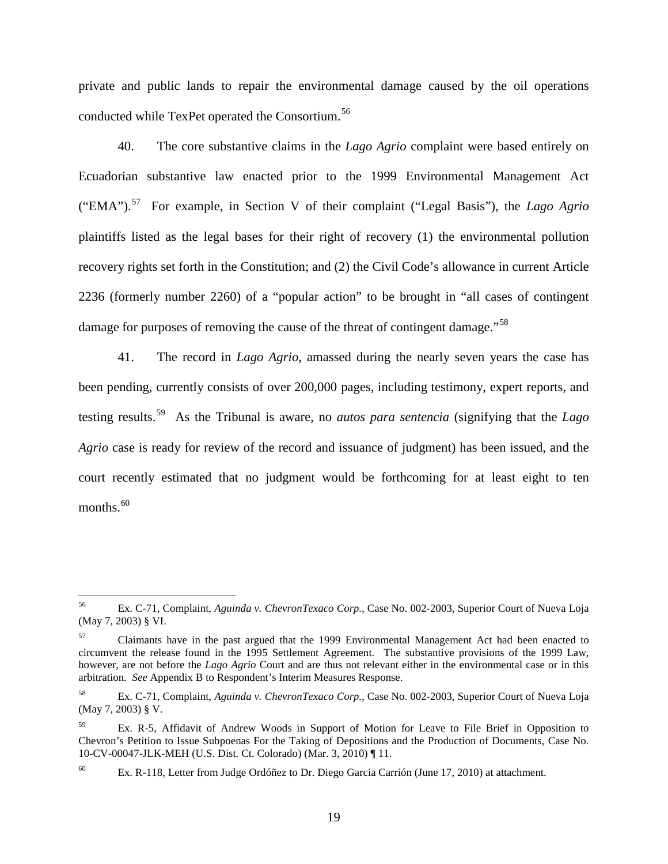private and public lands to repair the environmental damage caused by the oil operations conducted while TexPet operated the Consortium.<sup>[56](#page-21-0)</sup>

40. The core substantive claims in the *Lago Agrio* complaint were based entirely on Ecuadorian substantive law enacted prior to the 1999 Environmental Management Act ("EMA"). [57](#page-21-1) For example, in Section V of their complaint ("Legal Basis"), the *Lago Agrio* plaintiffs listed as the legal bases for their right of recovery (1) the environmental pollution recovery rights set forth in the Constitution; and (2) the Civil Code's allowance in current Article 2236 (formerly number 2260) of a "popular action" to be brought in "all cases of contingent damage for purposes of removing the cause of the threat of contingent damage."<sup>[58](#page-21-2)</sup>

41. The record in *Lago Agrio*, amassed during the nearly seven years the case has been pending, currently consists of over 200,000 pages, including testimony, expert reports, and testing results.[59](#page-21-3) As the Tribunal is aware, no *autos para sentencia* (signifying that the *Lago Agrio* case is ready for review of the record and issuance of judgment) has been issued, and the court recently estimated that no judgment would be forthcoming for at least eight to ten months. $^{60}$  $^{60}$  $^{60}$ 

<span id="page-21-0"></span> <sup>56</sup> Ex. C-71, Complaint, *Aguinda v. ChevronTexaco Corp.*, Case No. 002-2003, Superior Court of Nueva Loja (May 7, 2003) § VI.

<span id="page-21-1"></span>Claimants have in the past argued that the 1999 Environmental Management Act had been enacted to circumvent the release found in the 1995 Settlement Agreement. The substantive provisions of the 1999 Law, however, are not before the *Lago Agrio* Court and are thus not relevant either in the environmental case or in this arbitration. *See* Appendix B to Respondent's Interim Measures Response.

<span id="page-21-2"></span><sup>58</sup> Ex. C-71, Complaint, *Aguinda v. ChevronTexaco Corp.*, Case No. 002-2003, Superior Court of Nueva Loja (May 7, 2003) § V.

<span id="page-21-3"></span>Ex. R-5, Affidavit of Andrew Woods in Support of Motion for Leave to File Brief in Opposition to Chevron's Petition to Issue Subpoenas For the Taking of Depositions and the Production of Documents, Case No. 10-CV-00047-JLK-MEH (U.S. Dist. Ct. Colorado) (Mar. 3, 2010) ¶ 11.

<span id="page-21-4"></span><sup>60</sup> Ex. R-118, Letter from Judge Ordóñez to Dr. Diego Garcia Carrión (June 17, 2010) at attachment.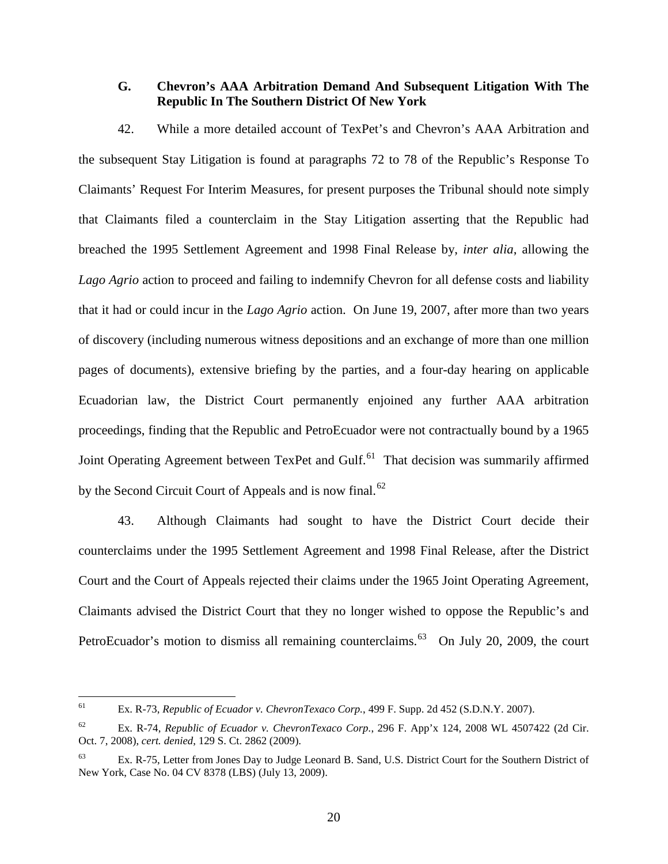# <span id="page-22-0"></span>**G. Chevron's AAA Arbitration Demand And Subsequent Litigation With The Republic In The Southern District Of New York**

42. While a more detailed account of TexPet's and Chevron's AAA Arbitration and the subsequent Stay Litigation is found at paragraphs 72 to 78 of the Republic's Response To Claimants' Request For Interim Measures, for present purposes the Tribunal should note simply that Claimants filed a counterclaim in the Stay Litigation asserting that the Republic had breached the 1995 Settlement Agreement and 1998 Final Release by, *inter alia*, allowing the *Lago Agrio* action to proceed and failing to indemnify Chevron for all defense costs and liability that it had or could incur in the *Lago Agrio* action. On June 19, 2007, after more than two years of discovery (including numerous witness depositions and an exchange of more than one million pages of documents), extensive briefing by the parties, and a four-day hearing on applicable Ecuadorian law, the District Court permanently enjoined any further AAA arbitration proceedings, finding that the Republic and PetroEcuador were not contractually bound by a 1965 Joint Operating Agreement between TexPet and Gulf.<sup>[61](#page-22-1)</sup> That decision was summarily affirmed by the Second Circuit Court of Appeals and is now final.<sup>[62](#page-22-2)</sup>

43. Although Claimants had sought to have the District Court decide their counterclaims under the 1995 Settlement Agreement and 1998 Final Release, after the District Court and the Court of Appeals rejected their claims under the 1965 Joint Operating Agreement, Claimants advised the District Court that they no longer wished to oppose the Republic's and PetroEcuador's motion to dismiss all remaining counterclaims.<sup>[63](#page-22-3)</sup> On July 20, 2009, the court

<span id="page-22-1"></span> <sup>61</sup> Ex. R-73, *Republic of Ecuador v. ChevronTexaco Corp.*, 499 F. Supp. 2d 452 (S.D.N.Y. 2007).

<span id="page-22-2"></span><sup>62</sup> Ex. R-74, *Republic of Ecuador v. ChevronTexaco Corp.*, 296 F. App'x 124, 2008 WL 4507422 (2d Cir. Oct. 7, 2008), *cert. denied*, 129 S. Ct. 2862 (2009).

<span id="page-22-3"></span><sup>&</sup>lt;sup>63</sup> Ex. R-75, Letter from Jones Day to Judge Leonard B. Sand, U.S. District Court for the Southern District of New York, Case No. 04 CV 8378 (LBS) (July 13, 2009).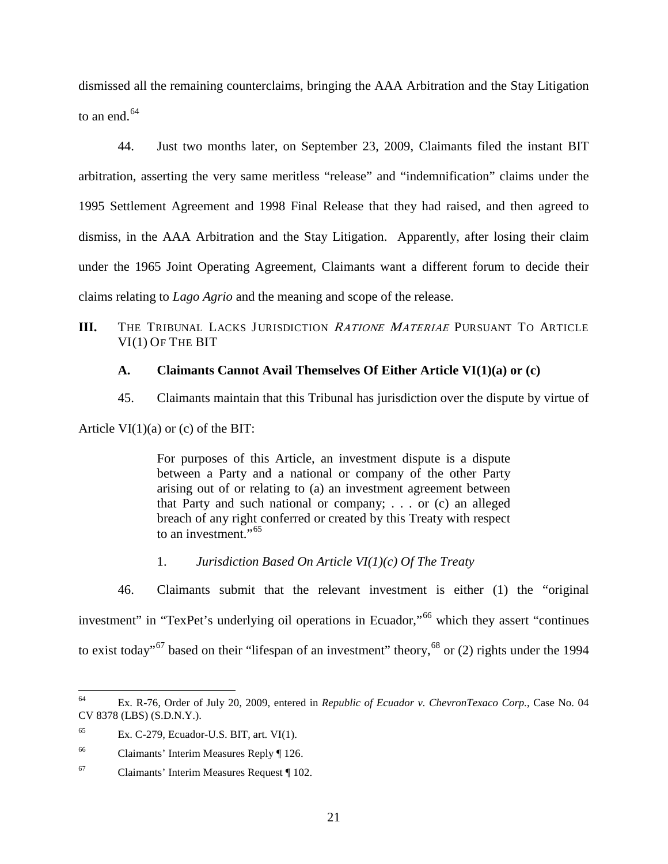dismissed all the remaining counterclaims, bringing the AAA Arbitration and the Stay Litigation to an end. $64$ 

44. Just two months later, on September 23, 2009, Claimants filed the instant BIT arbitration, asserting the very same meritless "release" and "indemnification" claims under the 1995 Settlement Agreement and 1998 Final Release that they had raised, and then agreed to dismiss, in the AAA Arbitration and the Stay Litigation. Apparently, after losing their claim under the 1965 Joint Operating Agreement, Claimants want a different forum to decide their claims relating to *Lago Agrio* and the meaning and scope of the release.

<span id="page-23-0"></span>**III.** THE TRIBUNAL LACKS JURISDICTION RATIONE MATERIAE PURSUANT TO ARTICLE VI(1) OF THE BIT

# <span id="page-23-1"></span>**A. Claimants Cannot Avail Themselves Of Either Article VI(1)(a) or (c)**

45. Claimants maintain that this Tribunal has jurisdiction over the dispute by virtue of

Article  $VI(1)(a)$  or (c) of the BIT:

For purposes of this Article, an investment dispute is a dispute between a Party and a national or company of the other Party arising out of or relating to (a) an investment agreement between that Party and such national or company; . . . or (c) an alleged breach of any right conferred or created by this Treaty with respect to an investment."<sup>[65](#page-23-4)</sup>

1. *Jurisdiction Based On Article VI(1)(c) Of The Treaty*

<span id="page-23-7"></span><span id="page-23-2"></span>46. Claimants submit that the relevant investment is either (1) the "original investment" in "TexPet's underlying oil operations in Ecuador,"<sup>[66](#page-23-5)</sup> which they assert "continues" to exist today"<sup>[67](#page-23-6)</sup> based on their "lifespan of an investment" theory,  $^{68}$  $^{68}$  $^{68}$  or (2) rights under the 1994

<span id="page-23-3"></span> <sup>64</sup> Ex. R-76, Order of July 20, 2009, entered in *Republic of Ecuador v. ChevronTexaco Corp.*, Case No. 04 CV 8378 (LBS) (S.D.N.Y.).

<span id="page-23-4"></span> $65$  Ex. C-279, Ecuador-U.S. BIT, art. VI(1).

<span id="page-23-5"></span><sup>66</sup> Claimants' Interim Measures Reply ¶ 126.

<span id="page-23-6"></span><sup>67</sup> Claimants' Interim Measures Request ¶ 102.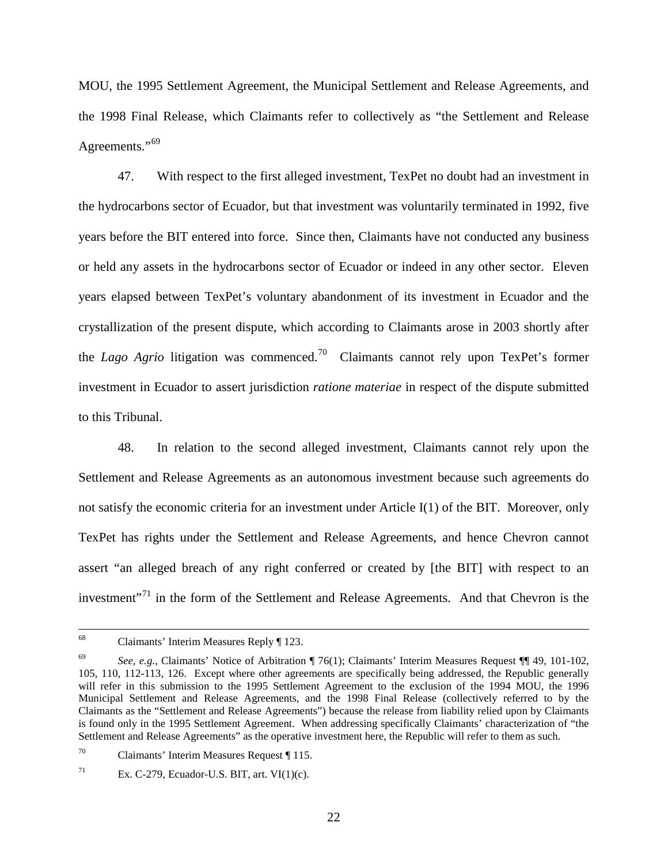MOU, the 1995 Settlement Agreement, the Municipal Settlement and Release Agreements, and the 1998 Final Release, which Claimants refer to collectively as "the Settlement and Release Agreements."<sup>[69](#page-24-0)</sup>

47. With respect to the first alleged investment, TexPet no doubt had an investment in the hydrocarbons sector of Ecuador, but that investment was voluntarily terminated in 1992, five years before the BIT entered into force. Since then, Claimants have not conducted any business or held any assets in the hydrocarbons sector of Ecuador or indeed in any other sector. Eleven years elapsed between TexPet's voluntary abandonment of its investment in Ecuador and the crystallization of the present dispute, which according to Claimants arose in 2003 shortly after the *Lago Agrio* litigation was commenced.<sup>[70](#page-24-1)</sup> Claimants cannot rely upon TexPet's former investment in Ecuador to assert jurisdiction *ratione materiae* in respect of the dispute submitted to this Tribunal.

48. In relation to the second alleged investment, Claimants cannot rely upon the Settlement and Release Agreements as an autonomous investment because such agreements do not satisfy the economic criteria for an investment under Article I(1) of the BIT. Moreover, only TexPet has rights under the Settlement and Release Agreements, and hence Chevron cannot assert "an alleged breach of any right conferred or created by [the BIT] with respect to an investment"<sup>[71](#page-24-2)</sup> in the form of the Settlement and Release Agreements. And that Chevron is the

 <sup>68</sup> Claimants' Interim Measures Reply ¶ 123.

<span id="page-24-0"></span><sup>69</sup> *See, e.g.*, Claimants' Notice of Arbitration ¶ 76(1); Claimants' Interim Measures Request ¶¶ 49, 101-102, 105, 110, 112-113, 126. Except where other agreements are specifically being addressed, the Republic generally will refer in this submission to the 1995 Settlement Agreement to the exclusion of the 1994 MOU, the 1996 Municipal Settlement and Release Agreements, and the 1998 Final Release (collectively referred to by the Claimants as the "Settlement and Release Agreements") because the release from liability relied upon by Claimants is found only in the 1995 Settlement Agreement. When addressing specifically Claimants' characterization of "the Settlement and Release Agreements" as the operative investment here, the Republic will refer to them as such.

<span id="page-24-1"></span><sup>70</sup> Claimants' Interim Measures Request ¶ 115.

<span id="page-24-2"></span><sup>&</sup>lt;sup>71</sup> Ex. C-279, Ecuador-U.S. BIT, art. VI $(1)(c)$ .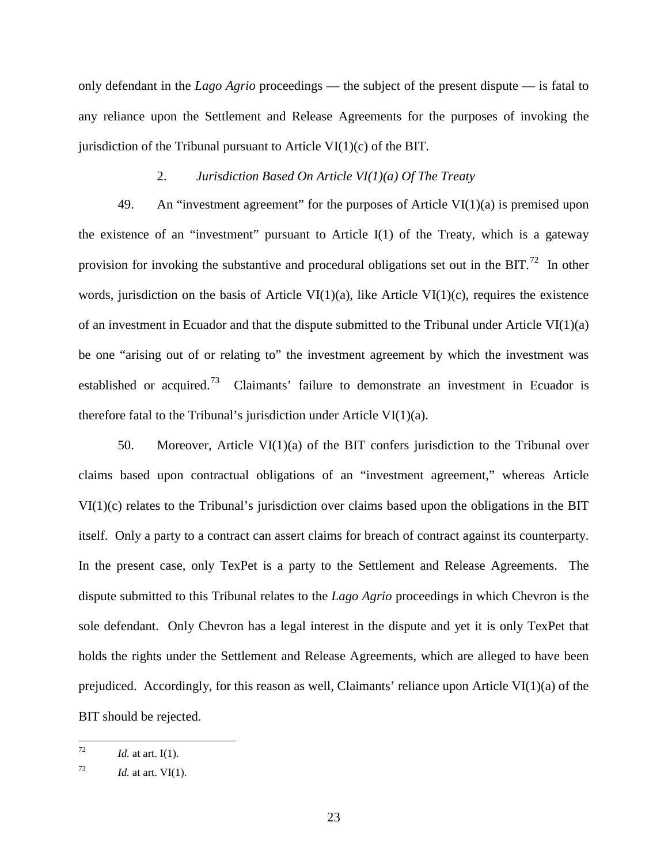only defendant in the *Lago Agrio* proceedings — the subject of the present dispute — is fatal to any reliance upon the Settlement and Release Agreements for the purposes of invoking the jurisdiction of the Tribunal pursuant to Article VI $(1)(c)$  of the BIT.

# 2. *Jurisdiction Based On Article VI(1)(a) Of The Treaty*

<span id="page-25-0"></span>49. An "investment agreement" for the purposes of Article VI(1)(a) is premised upon the existence of an "investment" pursuant to Article  $I(1)$  of the Treaty, which is a gateway provision for invoking the substantive and procedural obligations set out in the BIT.<sup>[72](#page-25-1)</sup> In other words, jurisdiction on the basis of Article VI $(1)(a)$ , like Article VI $(1)(c)$ , requires the existence of an investment in Ecuador and that the dispute submitted to the Tribunal under Article VI $(1)(a)$ be one "arising out of or relating to" the investment agreement by which the investment was established or acquired.<sup>[73](#page-25-2)</sup> Claimants' failure to demonstrate an investment in Ecuador is therefore fatal to the Tribunal's jurisdiction under Article VI(1)(a).

50. Moreover, Article VI $(1)(a)$  of the BIT confers jurisdiction to the Tribunal over claims based upon contractual obligations of an "investment agreement," whereas Article VI(1)(c) relates to the Tribunal's jurisdiction over claims based upon the obligations in the BIT itself. Only a party to a contract can assert claims for breach of contract against its counterparty. In the present case, only TexPet is a party to the Settlement and Release Agreements. The dispute submitted to this Tribunal relates to the *Lago Agrio* proceedings in which Chevron is the sole defendant. Only Chevron has a legal interest in the dispute and yet it is only TexPet that holds the rights under the Settlement and Release Agreements, which are alleged to have been prejudiced. Accordingly, for this reason as well, Claimants' reliance upon Article VI $(1)(a)$  of the BIT should be rejected.

<span id="page-25-1"></span> $^{72}$  *Id.* at art. I(1).

<span id="page-25-2"></span> $Id.$  at art. VI(1).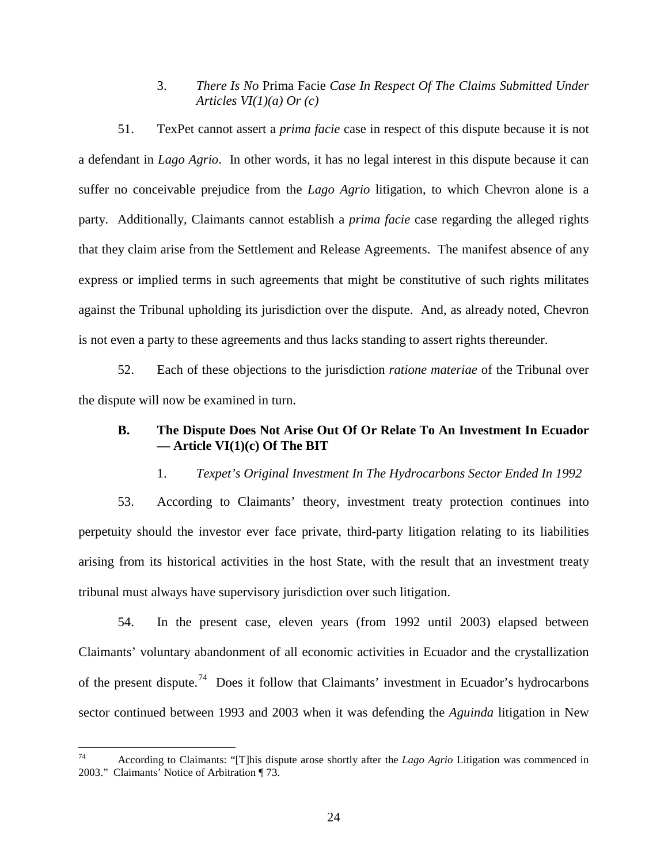3. *There Is No* Prima Facie *Case In Respect Of The Claims Submitted Under Articles VI(1)(a) Or (c)*

<span id="page-26-0"></span>51. TexPet cannot assert a *prima facie* case in respect of this dispute because it is not a defendant in *Lago Agrio*. In other words, it has no legal interest in this dispute because it can suffer no conceivable prejudice from the *Lago Agrio* litigation, to which Chevron alone is a party. Additionally, Claimants cannot establish a *prima facie* case regarding the alleged rights that they claim arise from the Settlement and Release Agreements. The manifest absence of any express or implied terms in such agreements that might be constitutive of such rights militates against the Tribunal upholding its jurisdiction over the dispute. And, as already noted, Chevron is not even a party to these agreements and thus lacks standing to assert rights thereunder.

52. Each of these objections to the jurisdiction *ratione materiae* of the Tribunal over the dispute will now be examined in turn.

# <span id="page-26-1"></span>**B. The Dispute Does Not Arise Out Of Or Relate To An Investment In Ecuador — Article VI(1)(c) Of The BIT**

1. *Texpet's Original Investment In The Hydrocarbons Sector Ended In 1992*

<span id="page-26-2"></span>53. According to Claimants' theory, investment treaty protection continues into perpetuity should the investor ever face private, third-party litigation relating to its liabilities arising from its historical activities in the host State, with the result that an investment treaty tribunal must always have supervisory jurisdiction over such litigation.

54. In the present case, eleven years (from 1992 until 2003) elapsed between Claimants' voluntary abandonment of all economic activities in Ecuador and the crystallization of the present dispute.<sup>[74](#page-26-3)</sup> Does it follow that Claimants' investment in Ecuador's hydrocarbons sector continued between 1993 and 2003 when it was defending the *Aguinda* litigation in New

<span id="page-26-3"></span> <sup>74</sup> According to Claimants: "[T]his dispute arose shortly after the *Lago Agrio* Litigation was commenced in 2003." Claimants' Notice of Arbitration ¶ 73.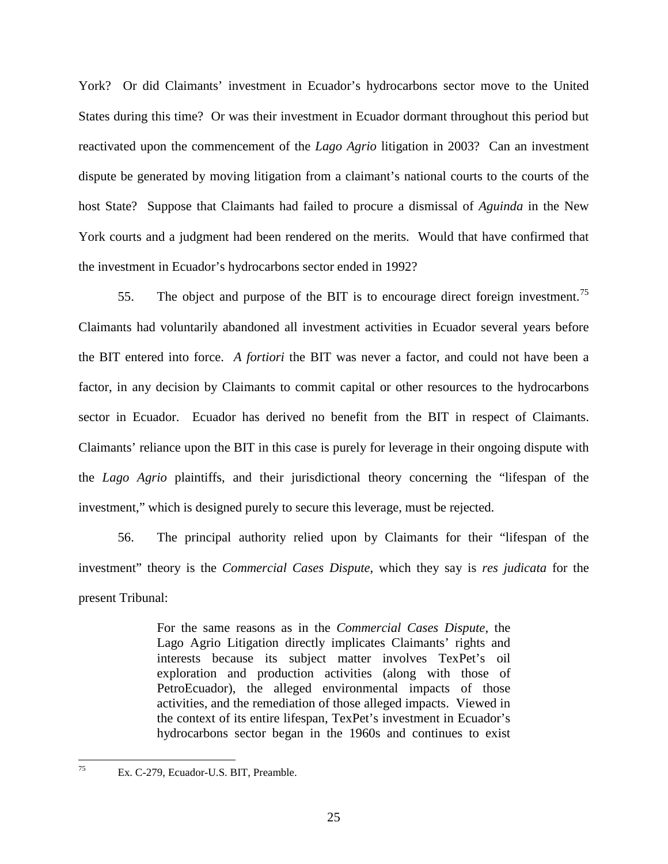York? Or did Claimants' investment in Ecuador's hydrocarbons sector move to the United States during this time? Or was their investment in Ecuador dormant throughout this period but reactivated upon the commencement of the *Lago Agrio* litigation in 2003? Can an investment dispute be generated by moving litigation from a claimant's national courts to the courts of the host State? Suppose that Claimants had failed to procure a dismissal of *Aguinda* in the New York courts and a judgment had been rendered on the merits. Would that have confirmed that the investment in Ecuador's hydrocarbons sector ended in 1992?

55. The object and purpose of the BIT is to encourage direct foreign investment.<sup>[75](#page-27-0)</sup> Claimants had voluntarily abandoned all investment activities in Ecuador several years before the BIT entered into force. *A fortiori* the BIT was never a factor, and could not have been a factor, in any decision by Claimants to commit capital or other resources to the hydrocarbons sector in Ecuador. Ecuador has derived no benefit from the BIT in respect of Claimants. Claimants' reliance upon the BIT in this case is purely for leverage in their ongoing dispute with the *Lago Agrio* plaintiffs, and their jurisdictional theory concerning the "lifespan of the investment," which is designed purely to secure this leverage, must be rejected.

56. The principal authority relied upon by Claimants for their "lifespan of the investment" theory is the *Commercial Cases Dispute*, which they say is *res judicata* for the present Tribunal:

> For the same reasons as in the *Commercial Cases Dispute*, the Lago Agrio Litigation directly implicates Claimants' rights and interests because its subject matter involves TexPet's oil exploration and production activities (along with those of PetroEcuador), the alleged environmental impacts of those activities, and the remediation of those alleged impacts. Viewed in the context of its entire lifespan, TexPet's investment in Ecuador's hydrocarbons sector began in the 1960s and continues to exist

<span id="page-27-0"></span> <sup>75</sup> Ex. C-279, Ecuador-U.S. BIT, Preamble.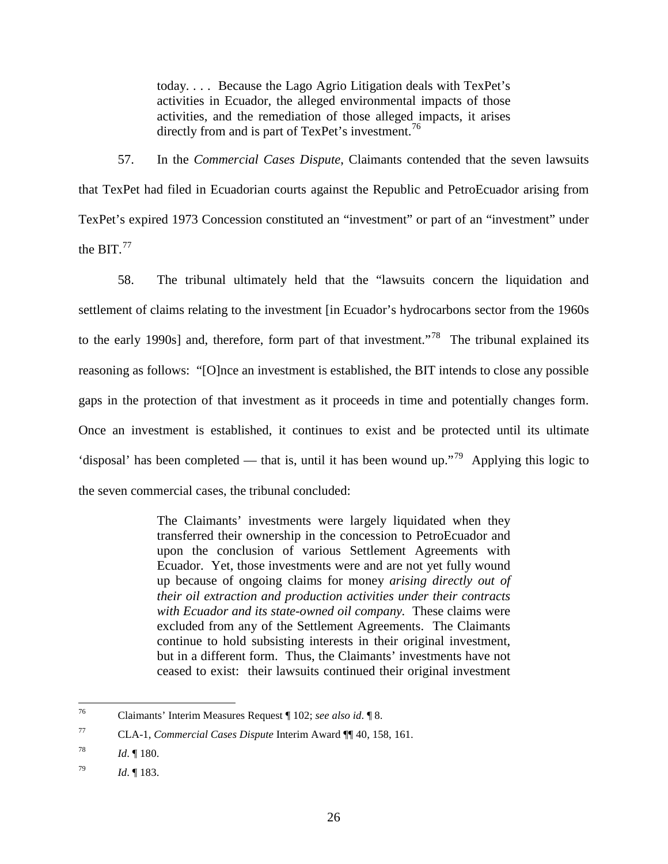today. . . . Because the Lago Agrio Litigation deals with TexPet's activities in Ecuador, the alleged environmental impacts of those activities, and the remediation of those alleged impacts, it arises directly from and is part of TexPet's investment.<sup>[76](#page-28-0)</sup>

57. In the *Commercial Cases Dispute*, Claimants contended that the seven lawsuits that TexPet had filed in Ecuadorian courts against the Republic and PetroEcuador arising from TexPet's expired 1973 Concession constituted an "investment" or part of an "investment" under the BIT. $^{77}$  $^{77}$  $^{77}$ 

58. The tribunal ultimately held that the "lawsuits concern the liquidation and settlement of claims relating to the investment [in Ecuador's hydrocarbons sector from the 1960s to the early 1990s] and, therefore, form part of that investment."<sup>78</sup> The tribunal explained its reasoning as follows: "[O]nce an investment is established, the BIT intends to close any possible gaps in the protection of that investment as it proceeds in time and potentially changes form. Once an investment is established, it continues to exist and be protected until its ultimate 'disposal' has been completed — that is, until it has been wound up."<sup>[79](#page-28-3)</sup> Applying this logic to the seven commercial cases, the tribunal concluded:

> The Claimants' investments were largely liquidated when they transferred their ownership in the concession to PetroEcuador and upon the conclusion of various Settlement Agreements with Ecuador. Yet, those investments were and are not yet fully wound up because of ongoing claims for money *arising directly out of their oil extraction and production activities under their contracts with Ecuador and its state-owned oil company.* These claims were excluded from any of the Settlement Agreements. The Claimants continue to hold subsisting interests in their original investment, but in a different form. Thus, the Claimants' investments have not ceased to exist: their lawsuits continued their original investment

<span id="page-28-0"></span> <sup>76</sup> Claimants' Interim Measures Request ¶ 102; *see also id*. ¶ 8.

<span id="page-28-1"></span><sup>77</sup> CLA-1, *Commercial Cases Dispute* Interim Award ¶¶ 40, 158, 161.

<span id="page-28-2"></span><sup>78</sup> *Id*. ¶ 180.

<span id="page-28-3"></span><sup>79</sup> *Id*. ¶ 183.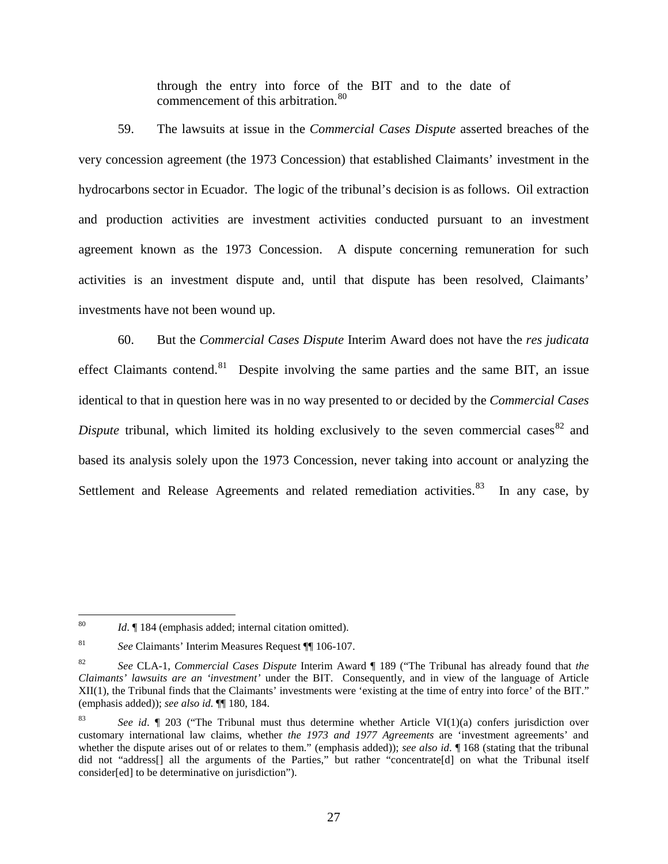through the entry into force of the BIT and to the date of commencement of this arbitration.<sup>[80](#page-29-0)</sup>

59. The lawsuits at issue in the *Commercial Cases Dispute* asserted breaches of the very concession agreement (the 1973 Concession) that established Claimants' investment in the hydrocarbons sector in Ecuador. The logic of the tribunal's decision is as follows. Oil extraction and production activities are investment activities conducted pursuant to an investment agreement known as the 1973 Concession. A dispute concerning remuneration for such activities is an investment dispute and, until that dispute has been resolved, Claimants' investments have not been wound up.

60. But the *Commercial Cases Dispute* Interim Award does not have the *res judicata* effect Claimants contend.<sup>[81](#page-29-1)</sup> Despite involving the same parties and the same BIT, an issue identical to that in question here was in no way presented to or decided by the *Commercial Cases Dispute* tribunal, which limited its holding exclusively to the seven commercial cases  $82$  and based its analysis solely upon the 1973 Concession, never taking into account or analyzing the Settlement and Release Agreements and related remediation activities.  $83$  In any case, by

<span id="page-29-0"></span> <sup>80</sup> *Id*. ¶ 184 (emphasis added; internal citation omitted).

<span id="page-29-1"></span><sup>81</sup> *See* Claimants' Interim Measures Request ¶¶ 106-107.

<span id="page-29-2"></span><sup>82</sup> *See* CLA-1, *Commercial Cases Dispute* Interim Award ¶ 189 ("The Tribunal has already found that *the Claimants' lawsuits are an 'investment'* under the BIT. Consequently, and in view of the language of Article XII(1), the Tribunal finds that the Claimants' investments were 'existing at the time of entry into force' of the BIT." (emphasis added)); *see also id*. ¶¶ 180, 184.

<span id="page-29-3"></span><sup>83</sup> *See id*. ¶ 203 ("The Tribunal must thus determine whether Article VI(1)(a) confers jurisdiction over customary international law claims, whether *the 1973 and 1977 Agreements* are 'investment agreements' and whether the dispute arises out of or relates to them." (emphasis added)); *see also id*. If 168 (stating that the tribunal did not "address[] all the arguments of the Parties," but rather "concentrate[d] on what the Tribunal itself consider[ed] to be determinative on jurisdiction").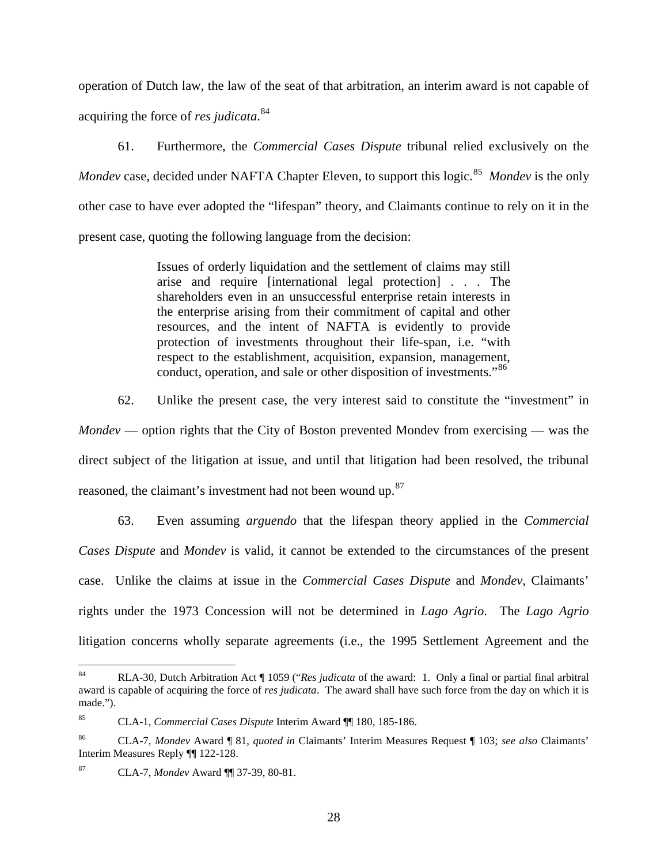operation of Dutch law, the law of the seat of that arbitration, an interim award is not capable of acquiring the force of *res judicata*. [84](#page-30-0)

61. Furthermore, the *Commercial Cases Dispute* tribunal relied exclusively on the Mondev case, decided under NAFTA Chapter Eleven, to support this logic.<sup>[85](#page-30-1)</sup> Mondev is the only other case to have ever adopted the "lifespan" theory, and Claimants continue to rely on it in the present case, quoting the following language from the decision:

> Issues of orderly liquidation and the settlement of claims may still arise and require [international legal protection] . . . The shareholders even in an unsuccessful enterprise retain interests in the enterprise arising from their commitment of capital and other resources, and the intent of NAFTA is evidently to provide protection of investments throughout their life-span, i.e. "with respect to the establishment, acquisition, expansion, management, conduct, operation, and sale or other disposition of investments."<sup>[86](#page-30-2)</sup>

62. Unlike the present case, the very interest said to constitute the "investment" in *Mondev* — option rights that the City of Boston prevented Mondev from exercising — was the direct subject of the litigation at issue, and until that litigation had been resolved, the tribunal reasoned, the claimant's investment had not been wound up.<sup>[87](#page-30-3)</sup>

63. Even assuming *arguendo* that the lifespan theory applied in the *Commercial Cases Dispute* and *Mondev* is valid, it cannot be extended to the circumstances of the present case. Unlike the claims at issue in the *Commercial Cases Dispute* and *Mondev*, Claimants' rights under the 1973 Concession will not be determined in *Lago Agrio*. The *Lago Agrio* litigation concerns wholly separate agreements (i.e., the 1995 Settlement Agreement and the

<span id="page-30-0"></span> <sup>84</sup> RLA-30, Dutch Arbitration Act ¶ 1059 ("*Res judicata* of the award: 1. Only a final or partial final arbitral award is capable of acquiring the force of *res judicata*. The award shall have such force from the day on which it is made.").

<span id="page-30-1"></span><sup>85</sup> CLA-1, *Commercial Cases Dispute* Interim Award ¶¶ 180, 185-186.

<span id="page-30-2"></span><sup>86</sup> CLA-7, *Mondev* Award ¶ 81, *quoted in* Claimants' Interim Measures Request ¶ 103; *see also* Claimants' Interim Measures Reply ¶¶ 122-128.

<span id="page-30-3"></span><sup>87</sup> CLA-7, *Mondev* Award ¶¶ 37-39, 80-81.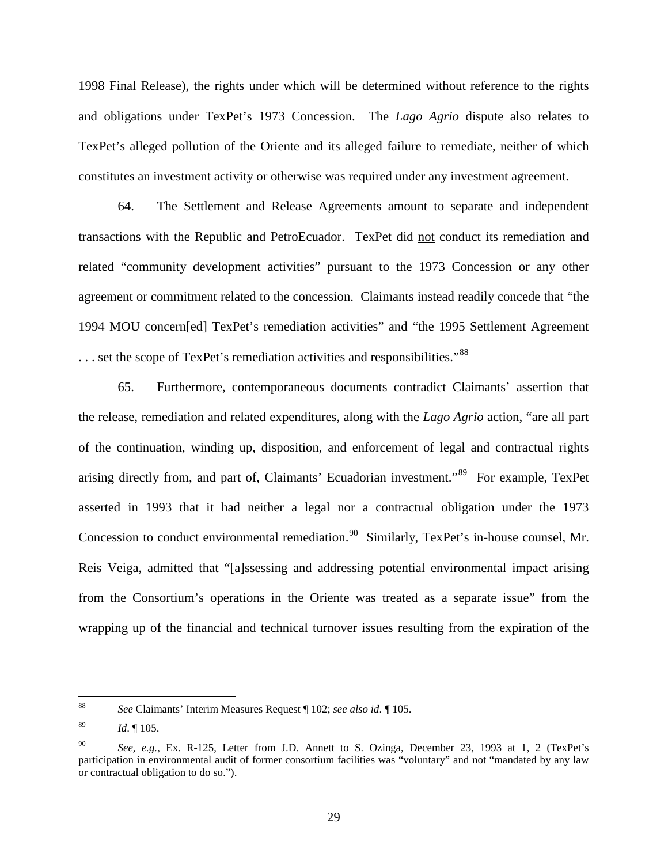1998 Final Release), the rights under which will be determined without reference to the rights and obligations under TexPet's 1973 Concession. The *Lago Agrio* dispute also relates to TexPet's alleged pollution of the Oriente and its alleged failure to remediate, neither of which constitutes an investment activity or otherwise was required under any investment agreement.

64. The Settlement and Release Agreements amount to separate and independent transactions with the Republic and PetroEcuador. TexPet did not conduct its remediation and related "community development activities" pursuant to the 1973 Concession or any other agreement or commitment related to the concession. Claimants instead readily concede that "the 1994 MOU concern[ed] TexPet's remediation activities" and "the 1995 Settlement Agreement  $\dots$  set the scope of TexPet's remediation activities and responsibilities."<sup>[88](#page-31-0)</sup>

65. Furthermore, contemporaneous documents contradict Claimants' assertion that the release, remediation and related expenditures, along with the *Lago Agrio* action, "are all part of the continuation, winding up, disposition, and enforcement of legal and contractual rights arising directly from, and part of, Claimants' Ecuadorian investment."<sup>[89](#page-31-1)</sup> For example, TexPet asserted in 1993 that it had neither a legal nor a contractual obligation under the 1973 Concession to conduct environmental remediation.<sup>[90](#page-31-2)</sup> Similarly, TexPet's in-house counsel, Mr. Reis Veiga, admitted that "[a]ssessing and addressing potential environmental impact arising from the Consortium's operations in the Oriente was treated as a separate issue" from the wrapping up of the financial and technical turnover issues resulting from the expiration of the

<span id="page-31-0"></span> <sup>88</sup> *See* Claimants' Interim Measures Request ¶ 102; *see also id*. ¶ 105.

<span id="page-31-1"></span><sup>89</sup> *Id*. ¶ 105.

<span id="page-31-2"></span><sup>90</sup> *See, e.g.*, Ex. R-125, Letter from J.D. Annett to S. Ozinga, December 23, 1993 at 1, 2 (TexPet's participation in environmental audit of former consortium facilities was "voluntary" and not "mandated by any law or contractual obligation to do so.").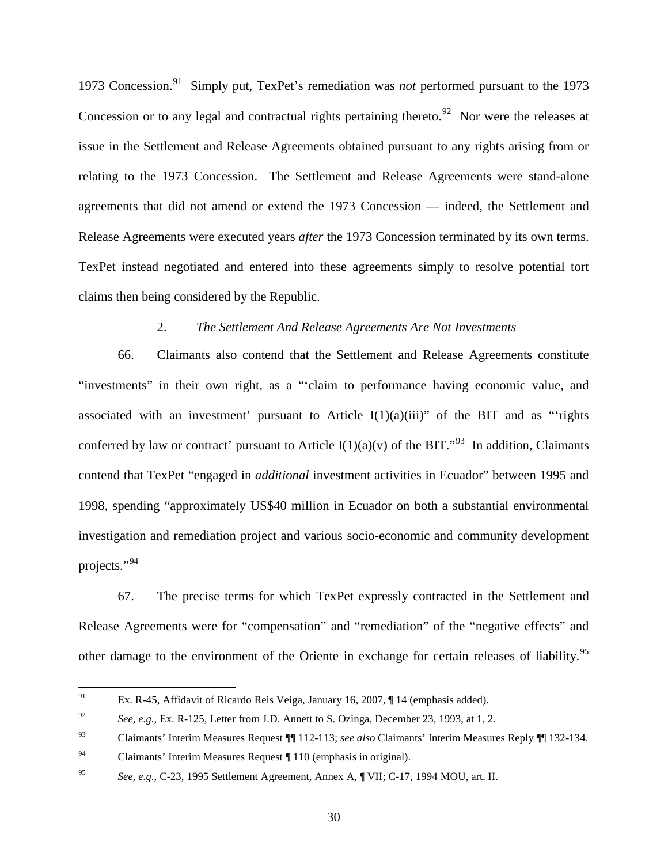1973 Concession. [91](#page-32-1) Simply put, TexPet's remediation was *not* performed pursuant to the 1973 Concession or to any legal and contractual rights pertaining thereto. $92$  Nor were the releases at issue in the Settlement and Release Agreements obtained pursuant to any rights arising from or relating to the 1973 Concession. The Settlement and Release Agreements were stand-alone agreements that did not amend or extend the 1973 Concession — indeed, the Settlement and Release Agreements were executed years *after* the 1973 Concession terminated by its own terms. TexPet instead negotiated and entered into these agreements simply to resolve potential tort claims then being considered by the Republic.

#### 2. *The Settlement And Release Agreements Are Not Investments*

<span id="page-32-0"></span>66. Claimants also contend that the Settlement and Release Agreements constitute "investments" in their own right, as a "'claim to performance having economic value, and associated with an investment' pursuant to Article  $I(1)(a)(iii)$ " of the BIT and as "rights conferred by law or contract' pursuant to Article  $I(1)(a)(v)$  of the BIT."<sup>[93](#page-32-3)</sup> In addition, Claimants contend that TexPet "engaged in *additional* investment activities in Ecuador" between 1995 and 1998, spending "approximately US\$40 million in Ecuador on both a substantial environmental investigation and remediation project and various socio-economic and community development projects."<sup>[94](#page-32-4)</sup>

67. The precise terms for which TexPet expressly contracted in the Settlement and Release Agreements were for "compensation" and "remediation" of the "negative effects" and other damage to the environment of the Oriente in exchange for certain releases of liability.<sup>[95](#page-32-5)</sup>

<span id="page-32-1"></span> <sup>91</sup> Ex. R-45, Affidavit of Ricardo Reis Veiga, January 16, 2007, ¶ 14 (emphasis added).

<span id="page-32-2"></span><sup>&</sup>lt;sup>92</sup> *See, e.g.*, Ex. R-125, Letter from J.D. Annett to S. Ozinga, December 23, 1993, at 1, 2.

<span id="page-32-3"></span><sup>93</sup> Claimants' Interim Measures Request ¶¶ 112-113; *see also* Claimants' Interim Measures Reply ¶¶ 132-134.

<span id="page-32-4"></span><sup>&</sup>lt;sup>94</sup> Claimants' Interim Measures Request  $\P$  110 (emphasis in original).

<span id="page-32-5"></span><sup>95</sup> *See, e.g.*, C-23, 1995 Settlement Agreement, Annex A, ¶ VII; C-17, 1994 MOU, art. II.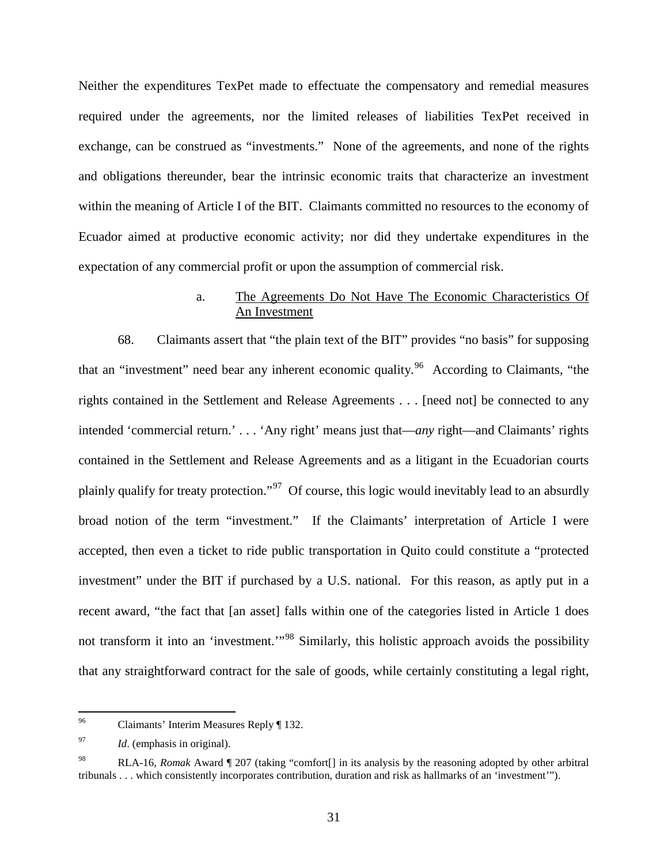Neither the expenditures TexPet made to effectuate the compensatory and remedial measures required under the agreements, nor the limited releases of liabilities TexPet received in exchange, can be construed as "investments." None of the agreements, and none of the rights and obligations thereunder, bear the intrinsic economic traits that characterize an investment within the meaning of Article I of the BIT. Claimants committed no resources to the economy of Ecuador aimed at productive economic activity; nor did they undertake expenditures in the expectation of any commercial profit or upon the assumption of commercial risk.

#### a. The Agreements Do Not Have The Economic Characteristics Of An Investment

<span id="page-33-0"></span>68. Claimants assert that "the plain text of the BIT" provides "no basis" for supposing that an "investment" need bear any inherent economic quality.<sup>[96](#page-33-1)</sup> According to Claimants, "the rights contained in the Settlement and Release Agreements . . . [need not] be connected to any intended 'commercial return.' . . . 'Any right' means just that—*any* right—and Claimants' rights contained in the Settlement and Release Agreements and as a litigant in the Ecuadorian courts plainly qualify for treaty protection."[97](#page-33-2) Of course, this logic would inevitably lead to an absurdly broad notion of the term "investment." If the Claimants' interpretation of Article I were accepted, then even a ticket to ride public transportation in Quito could constitute a "protected investment" under the BIT if purchased by a U.S. national. For this reason, as aptly put in a recent award, "the fact that [an asset] falls within one of the categories listed in Article 1 does not transform it into an 'investment."<sup>[98](#page-33-3)</sup> Similarly, this holistic approach avoids the possibility that any straightforward contract for the sale of goods, while certainly constituting a legal right,

<span id="page-33-1"></span> <sup>96</sup> Claimants' Interim Measures Reply ¶ 132.

<span id="page-33-2"></span><sup>97</sup> *Id*. (emphasis in original).

<span id="page-33-3"></span><sup>98</sup> RLA-16, *Romak* Award ¶ 207 (taking "comfort[] in its analysis by the reasoning adopted by other arbitral tribunals . . . which consistently incorporates contribution, duration and risk as hallmarks of an 'investment'").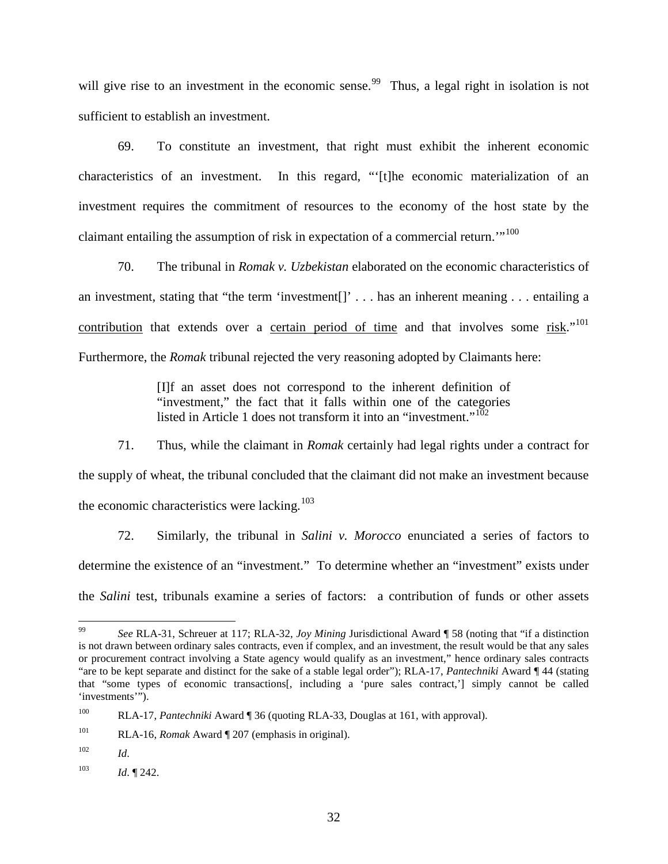will give rise to an investment in the economic sense.<sup>[99](#page-34-0)</sup> Thus, a legal right in isolation is not sufficient to establish an investment.

69. To constitute an investment, that right must exhibit the inherent economic characteristics of an investment. In this regard, "'[t]he economic materialization of an investment requires the commitment of resources to the economy of the host state by the claimant entailing the assumption of risk in expectation of a commercial return."<sup>[100](#page-34-1)</sup>

70. The tribunal in *Romak v. Uzbekistan* elaborated on the economic characteristics of an investment, stating that "the term 'investment[]' . . . has an inherent meaning . . . entailing a contribution that extends over a certain period of time and that involves some risk."<sup>[101](#page-34-2)</sup> Furthermore, the *Romak* tribunal rejected the very reasoning adopted by Claimants here:

> [I]f an asset does not correspond to the inherent definition of "investment," the fact that it falls within one of the categories listed in Article 1 does not transform it into an "investment."<sup>[102](#page-34-3)</sup>

71. Thus, while the claimant in *Romak* certainly had legal rights under a contract for the supply of wheat, the tribunal concluded that the claimant did not make an investment because the economic characteristics were lacking.<sup>[103](#page-34-4)</sup>

72. Similarly, the tribunal in *Salini v. Morocco* enunciated a series of factors to determine the existence of an "investment." To determine whether an "investment" exists under the *Salini* test, tribunals examine a series of factors: a contribution of funds or other assets

<span id="page-34-0"></span> <sup>99</sup> *See* RLA-31, Schreuer at 117; RLA-32, *Joy Mining* Jurisdictional Award ¶ 58 (noting that "if a distinction is not drawn between ordinary sales contracts, even if complex, and an investment, the result would be that any sales or procurement contract involving a State agency would qualify as an investment," hence ordinary sales contracts "are to be kept separate and distinct for the sake of a stable legal order"); RLA-17, *Pantechniki* Award ¶ 44 (stating that "some types of economic transactions[, including a 'pure sales contract,'] simply cannot be called 'investments'").

<span id="page-34-1"></span><sup>100</sup> RLA-17, *Pantechniki* Award ¶ 36 (quoting RLA-33, Douglas at 161, with approval).

<span id="page-34-2"></span><sup>101</sup> RLA-16, *Romak* Award ¶ 207 (emphasis in original).

<span id="page-34-3"></span> $102$  *Id.* 

<span id="page-34-4"></span><sup>103</sup> *Id*. ¶ 242.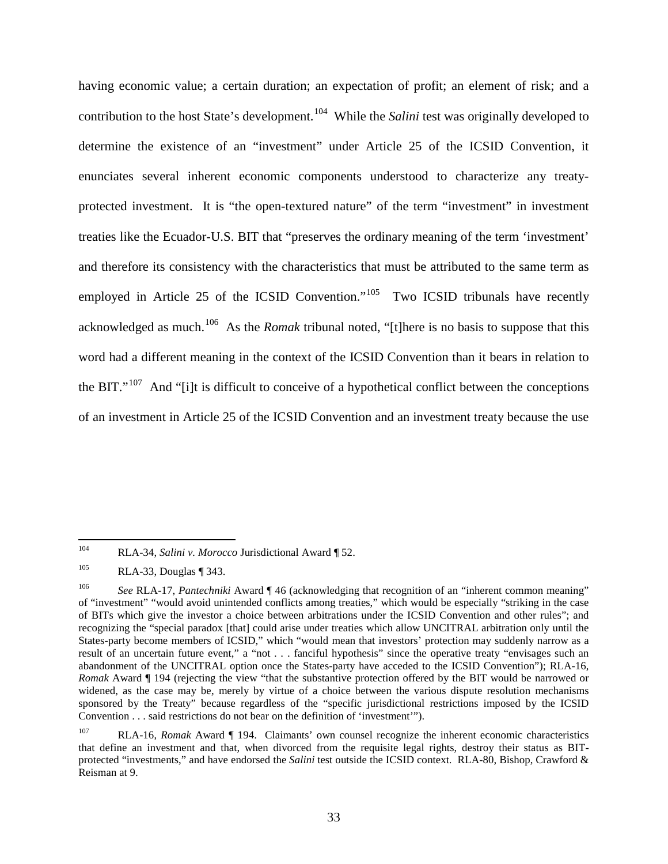having economic value; a certain duration; an expectation of profit; an element of risk; and a contribution to the host State's development.<sup>[104](#page-35-0)</sup> While the *Salini* test was originally developed to determine the existence of an "investment" under Article 25 of the ICSID Convention, it enunciates several inherent economic components understood to characterize any treatyprotected investment. It is "the open-textured nature" of the term "investment" in investment treaties like the Ecuador-U.S. BIT that "preserves the ordinary meaning of the term 'investment' and therefore its consistency with the characteristics that must be attributed to the same term as employed in Article 25 of the ICSID Convention."<sup>[105](#page-35-1)</sup> Two ICSID tribunals have recently acknowledged as much.[106](#page-35-2) As the *Romak* tribunal noted, "[t]here is no basis to suppose that this word had a different meaning in the context of the ICSID Convention than it bears in relation to the BIT."<sup>[107](#page-35-3)</sup> And "[i]t is difficult to conceive of a hypothetical conflict between the conceptions of an investment in Article 25 of the ICSID Convention and an investment treaty because the use

<span id="page-35-0"></span> <sup>104</sup> RLA-34, *Salini v. Morocco* Jurisdictional Award ¶ 52.

<span id="page-35-1"></span><sup>105</sup> RLA-33, Douglas ¶ 343.

<span id="page-35-2"></span><sup>106</sup> *See* RLA-17, *Pantechniki* Award ¶ 46 (acknowledging that recognition of an "inherent common meaning" of "investment" "would avoid unintended conflicts among treaties," which would be especially "striking in the case of BITs which give the investor a choice between arbitrations under the ICSID Convention and other rules"; and recognizing the "special paradox [that] could arise under treaties which allow UNCITRAL arbitration only until the States-party become members of ICSID," which "would mean that investors' protection may suddenly narrow as a result of an uncertain future event," a "not . . . fanciful hypothesis" since the operative treaty "envisages such an abandonment of the UNCITRAL option once the States-party have acceded to the ICSID Convention"); RLA-16, *Romak* Award ¶ 194 (rejecting the view "that the substantive protection offered by the BIT would be narrowed or widened, as the case may be, merely by virtue of a choice between the various dispute resolution mechanisms sponsored by the Treaty" because regardless of the "specific jurisdictional restrictions imposed by the ICSID Convention . . . said restrictions do not bear on the definition of 'investment'").

<span id="page-35-3"></span>RLA-16, *Romak* Award *[ 194. Claimants'* own counsel recognize the inherent economic characteristics that define an investment and that, when divorced from the requisite legal rights, destroy their status as BITprotected "investments," and have endorsed the *Salini* test outside the ICSID context. RLA-80, Bishop, Crawford & Reisman at 9.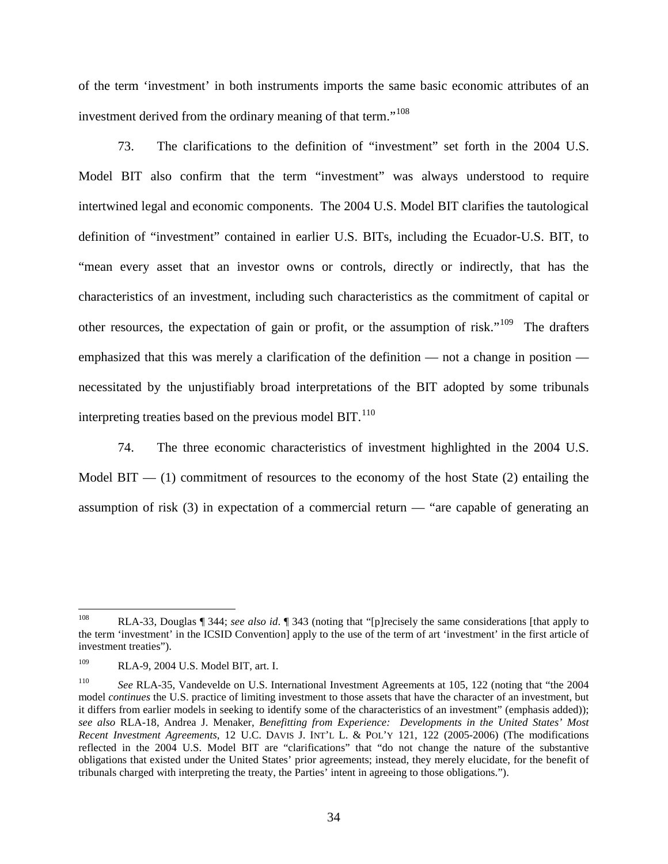of the term 'investment' in both instruments imports the same basic economic attributes of an investment derived from the ordinary meaning of that term."<sup>[108](#page-36-0)</sup>

73. The clarifications to the definition of "investment" set forth in the 2004 U.S. Model BIT also confirm that the term "investment" was always understood to require intertwined legal and economic components. The 2004 U.S. Model BIT clarifies the tautological definition of "investment" contained in earlier U.S. BITs, including the Ecuador-U.S. BIT, to "mean every asset that an investor owns or controls, directly or indirectly, that has the characteristics of an investment, including such characteristics as the commitment of capital or other resources, the expectation of gain or profit, or the assumption of risk."<sup>109</sup> The drafters emphasized that this was merely a clarification of the definition — not a change in position necessitated by the unjustifiably broad interpretations of the BIT adopted by some tribunals interpreting treaties based on the previous model  $BIT.$ <sup>[110](#page-36-2)</sup>

74. The three economic characteristics of investment highlighted in the 2004 U.S. Model  $\text{BIT}$  — (1) commitment of resources to the economy of the host State (2) entailing the assumption of risk (3) in expectation of a commercial return — "are capable of generating an

<span id="page-36-0"></span> <sup>108</sup> RLA-33, Douglas ¶ 344; *see also id*. ¶ 343 (noting that "[p]recisely the same considerations [that apply to the term 'investment' in the ICSID Convention] apply to the use of the term of art 'investment' in the first article of investment treaties").

<span id="page-36-1"></span><sup>109</sup> RLA-9, 2004 U.S. Model BIT, art. I.

<span id="page-36-2"></span><sup>110</sup> *See* RLA-35, Vandevelde on U.S. International Investment Agreements at 105, 122 (noting that "the 2004 model *continues* the U.S. practice of limiting investment to those assets that have the character of an investment, but it differs from earlier models in seeking to identify some of the characteristics of an investment" (emphasis added)); *see also* RLA-18, Andrea J. Menaker, *Benefitting from Experience: Developments in the United States' Most Recent Investment Agreements*, 12 U.C. DAVIS J. INT'L L. & POL'Y 121, 122 (2005-2006) (The modifications reflected in the 2004 U.S. Model BIT are "clarifications" that "do not change the nature of the substantive obligations that existed under the United States' prior agreements; instead, they merely elucidate, for the benefit of tribunals charged with interpreting the treaty, the Parties' intent in agreeing to those obligations.").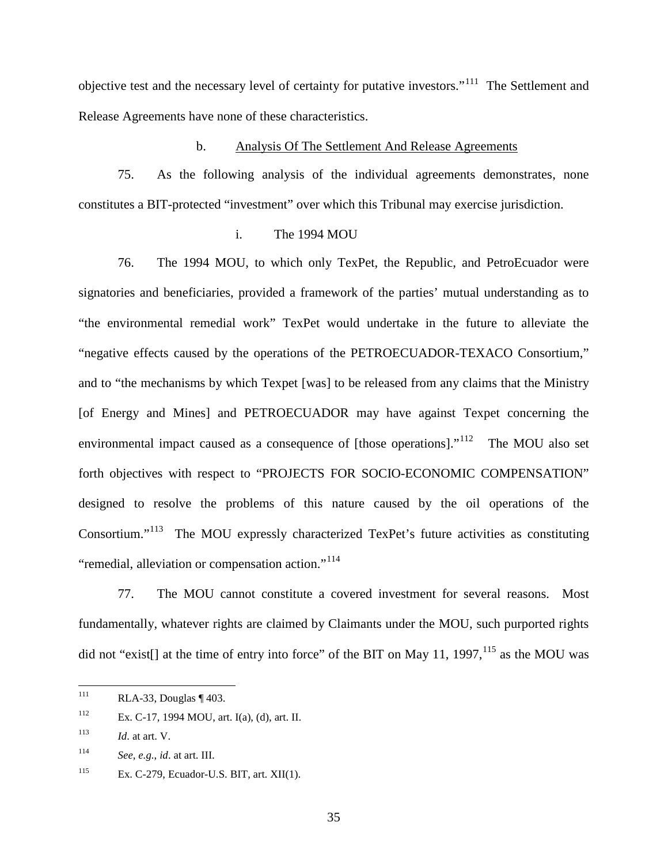objective test and the necessary level of certainty for putative investors."<sup>[111](#page-37-0)</sup> The Settlement and Release Agreements have none of these characteristics.

#### b. Analysis Of The Settlement And Release Agreements

75. As the following analysis of the individual agreements demonstrates, none constitutes a BIT-protected "investment" over which this Tribunal may exercise jurisdiction.

#### i. The 1994 MOU

76. The 1994 MOU, to which only TexPet, the Republic, and PetroEcuador were signatories and beneficiaries, provided a framework of the parties' mutual understanding as to "the environmental remedial work" TexPet would undertake in the future to alleviate the "negative effects caused by the operations of the PETROECUADOR-TEXACO Consortium," and to "the mechanisms by which Texpet [was] to be released from any claims that the Ministry [of Energy and Mines] and PETROECUADOR may have against Texpet concerning the environmental impact caused as a consequence of [those operations]."<sup>112</sup> The MOU also set forth objectives with respect to "PROJECTS FOR SOCIO-ECONOMIC COMPENSATION" designed to resolve the problems of this nature caused by the oil operations of the Consortium."<sup>113</sup> The MOU expressly characterized TexPet's future activities as constituting "remedial, alleviation or compensation action."<sup>[114](#page-37-3)</sup>

77. The MOU cannot constitute a covered investment for several reasons. Most fundamentally, whatever rights are claimed by Claimants under the MOU, such purported rights did not "exist[] at the time of entry into force" of the BIT on May 11, 1997,  $^{115}$  $^{115}$  $^{115}$  as the MOU was

<span id="page-37-0"></span> $111$  RLA-33, Douglas ¶ 403.

<span id="page-37-1"></span><sup>112</sup> Ex. C-17, 1994 MOU, art. I(a), (d), art. II.

<span id="page-37-2"></span><sup>&</sup>lt;sup>113</sup> *Id.* at art. V.

<span id="page-37-3"></span><sup>114</sup> *See, e.g.*, *id*. at art. III.

<span id="page-37-4"></span><sup>115</sup> Ex. C-279, Ecuador-U.S. BIT, art. XII(1).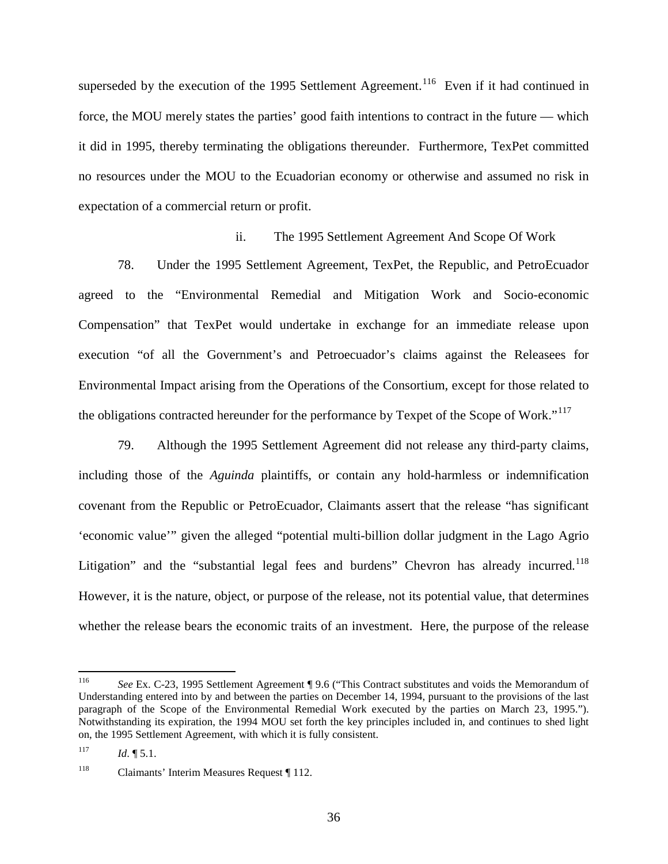superseded by the execution of the 1995 Settlement Agreement.<sup>[116](#page-38-0)</sup> Even if it had continued in force, the MOU merely states the parties' good faith intentions to contract in the future — which it did in 1995, thereby terminating the obligations thereunder. Furthermore, TexPet committed no resources under the MOU to the Ecuadorian economy or otherwise and assumed no risk in expectation of a commercial return or profit.

#### ii. The 1995 Settlement Agreement And Scope Of Work

78. Under the 1995 Settlement Agreement, TexPet, the Republic, and PetroEcuador agreed to the "Environmental Remedial and Mitigation Work and Socio-economic Compensation" that TexPet would undertake in exchange for an immediate release upon execution "of all the Government's and Petroecuador's claims against the Releasees for Environmental Impact arising from the Operations of the Consortium, except for those related to the obligations contracted hereunder for the performance by Texpet of the Scope of Work."<sup>[117](#page-38-1)</sup>

79. Although the 1995 Settlement Agreement did not release any third-party claims, including those of the *Aguinda* plaintiffs, or contain any hold-harmless or indemnification covenant from the Republic or PetroEcuador, Claimants assert that the release "has significant 'economic value'" given the alleged "potential multi-billion dollar judgment in the Lago Agrio Litigation" and the "substantial legal fees and burdens" Chevron has already incurred.<sup>[118](#page-38-2)</sup> However, it is the nature, object, or purpose of the release, not its potential value, that determines whether the release bears the economic traits of an investment. Here, the purpose of the release

<span id="page-38-0"></span> <sup>116</sup> *See* Ex. C-23, 1995 Settlement Agreement ¶ 9.6 ("This Contract substitutes and voids the Memorandum of Understanding entered into by and between the parties on December 14, 1994, pursuant to the provisions of the last paragraph of the Scope of the Environmental Remedial Work executed by the parties on March 23, 1995."). Notwithstanding its expiration, the 1994 MOU set forth the key principles included in, and continues to shed light on, the 1995 Settlement Agreement, with which it is fully consistent.

<span id="page-38-1"></span> $117$  *Id.*  $\boxed{5.1}$ .

<span id="page-38-2"></span><sup>118</sup> Claimants' Interim Measures Request ¶ 112.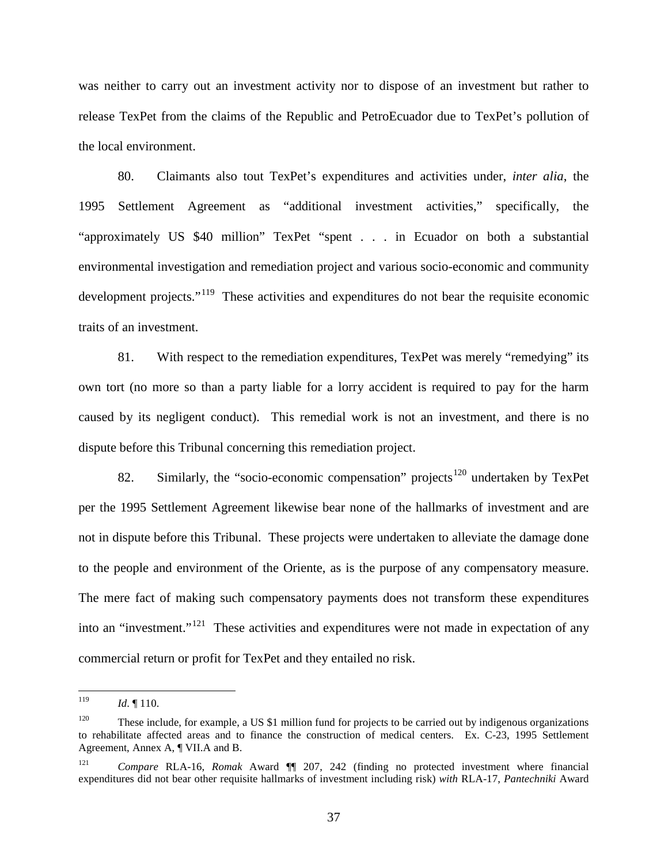was neither to carry out an investment activity nor to dispose of an investment but rather to release TexPet from the claims of the Republic and PetroEcuador due to TexPet's pollution of the local environment.

80. Claimants also tout TexPet's expenditures and activities under, *inter alia*, the 1995 Settlement Agreement as "additional investment activities," specifically, the "approximately US \$40 million" TexPet "spent . . . in Ecuador on both a substantial environmental investigation and remediation project and various socio-economic and community development projects."<sup>[119](#page-39-0)</sup> These activities and expenditures do not bear the requisite economic traits of an investment.

81. With respect to the remediation expenditures, TexPet was merely "remedying" its own tort (no more so than a party liable for a lorry accident is required to pay for the harm caused by its negligent conduct). This remedial work is not an investment, and there is no dispute before this Tribunal concerning this remediation project.

82. Similarly, the "socio-economic compensation" projects<sup>[120](#page-39-1)</sup> undertaken by TexPet per the 1995 Settlement Agreement likewise bear none of the hallmarks of investment and are not in dispute before this Tribunal. These projects were undertaken to alleviate the damage done to the people and environment of the Oriente, as is the purpose of any compensatory measure. The mere fact of making such compensatory payments does not transform these expenditures into an "investment."<sup>[121](#page-39-2)</sup> These activities and expenditures were not made in expectation of any commercial return or profit for TexPet and they entailed no risk.

<span id="page-39-0"></span><sup>&</sup>lt;sup>119</sup> *Id.* ¶ 110.

<span id="page-39-1"></span><sup>&</sup>lt;sup>120</sup> These include, for example, a US \$1 million fund for projects to be carried out by indigenous organizations to rehabilitate affected areas and to finance the construction of medical centers. Ex. C-23, 1995 Settlement Agreement, Annex A, ¶ VII.A and B.

<span id="page-39-2"></span><sup>121</sup> *Compare* RLA-16, *Romak* Award ¶¶ 207, 242 (finding no protected investment where financial expenditures did not bear other requisite hallmarks of investment including risk) *with* RLA-17, *Pantechniki* Award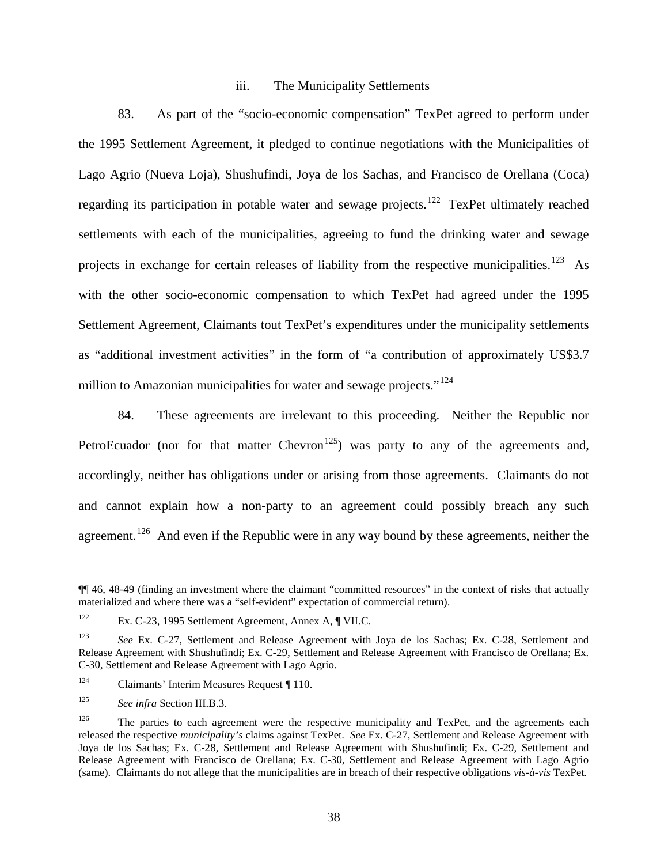#### iii. The Municipality Settlements

83. As part of the "socio-economic compensation" TexPet agreed to perform under the 1995 Settlement Agreement, it pledged to continue negotiations with the Municipalities of Lago Agrio (Nueva Loja), Shushufindi, Joya de los Sachas, and Francisco de Orellana (Coca) regarding its participation in potable water and sewage projects.<sup>[122](#page-40-0)</sup> TexPet ultimately reached settlements with each of the municipalities, agreeing to fund the drinking water and sewage projects in exchange for certain releases of liability from the respective municipalities.<sup>123</sup> As with the other socio-economic compensation to which TexPet had agreed under the 1995 Settlement Agreement, Claimants tout TexPet's expenditures under the municipality settlements as "additional investment activities" in the form of "a contribution of approximately US\$3.7 million to Amazonian municipalities for water and sewage projects."<sup>[124](#page-40-2)</sup>

84. These agreements are irrelevant to this proceeding. Neither the Republic nor PetroEcuador (nor for that matter Chevron<sup>125</sup>) was party to any of the agreements and, accordingly, neither has obligations under or arising from those agreements. Claimants do not and cannot explain how a non-party to an agreement could possibly breach any such agreement.<sup>[126](#page-40-4)</sup> And even if the Republic were in any way bound by these agreements, neither the

 $\overline{a}$ 

<sup>¶¶ 46, 48-49 (</sup>finding an investment where the claimant "committed resources" in the context of risks that actually materialized and where there was a "self-evident" expectation of commercial return).

<span id="page-40-0"></span><sup>122</sup> Ex. C-23, 1995 Settlement Agreement, Annex A, ¶ VII.C.

<span id="page-40-1"></span><sup>123</sup> *See* Ex. C-27, Settlement and Release Agreement with Joya de los Sachas; Ex. C-28, Settlement and Release Agreement with Shushufindi; Ex. C-29, Settlement and Release Agreement with Francisco de Orellana; Ex. C-30, Settlement and Release Agreement with Lago Agrio.

<span id="page-40-2"></span><sup>&</sup>lt;sup>124</sup> Claimants' Interim Measures Request ¶ 110.

<span id="page-40-3"></span><sup>125</sup> *See infra* Section III.B.3.

<span id="page-40-4"></span> $126$  The parties to each agreement were the respective municipality and TexPet, and the agreements each released the respective *municipality's* claims against TexPet. *See* Ex. C-27, Settlement and Release Agreement with Joya de los Sachas; Ex. C-28, Settlement and Release Agreement with Shushufindi; Ex. C-29, Settlement and Release Agreement with Francisco de Orellana; Ex. C-30, Settlement and Release Agreement with Lago Agrio (same). Claimants do not allege that the municipalities are in breach of their respective obligations *vis-à-vis* TexPet.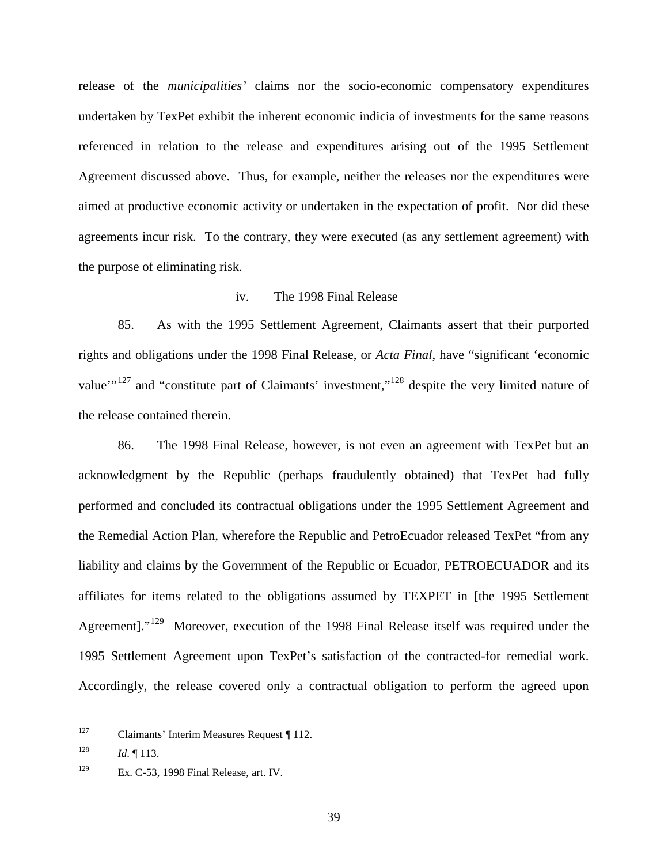release of the *municipalities'* claims nor the socio-economic compensatory expenditures undertaken by TexPet exhibit the inherent economic indicia of investments for the same reasons referenced in relation to the release and expenditures arising out of the 1995 Settlement Agreement discussed above. Thus, for example, neither the releases nor the expenditures were aimed at productive economic activity or undertaken in the expectation of profit. Nor did these agreements incur risk. To the contrary, they were executed (as any settlement agreement) with the purpose of eliminating risk.

#### iv. The 1998 Final Release

85. As with the 1995 Settlement Agreement, Claimants assert that their purported rights and obligations under the 1998 Final Release, or *Acta Final*, have "significant 'economic value"<sup>[127](#page-41-0)</sup> and "constitute part of Claimants' investment,"<sup>[128](#page-41-1)</sup> despite the very limited nature of the release contained therein.

86. The 1998 Final Release, however, is not even an agreement with TexPet but an acknowledgment by the Republic (perhaps fraudulently obtained) that TexPet had fully performed and concluded its contractual obligations under the 1995 Settlement Agreement and the Remedial Action Plan, wherefore the Republic and PetroEcuador released TexPet "from any liability and claims by the Government of the Republic or Ecuador, PETROECUADOR and its affiliates for items related to the obligations assumed by TEXPET in [the 1995 Settlement Agreement]."<sup>[129](#page-41-2)</sup> Moreover, execution of the 1998 Final Release itself was required under the 1995 Settlement Agreement upon TexPet's satisfaction of the contracted-for remedial work. Accordingly, the release covered only a contractual obligation to perform the agreed upon

<span id="page-41-0"></span> <sup>127</sup> Claimants' Interim Measures Request ¶ 112.

<span id="page-41-1"></span><sup>&</sup>lt;sup>128</sup> *Id.* ¶ 113.

<span id="page-41-2"></span><sup>&</sup>lt;sup>129</sup> Ex. C-53, 1998 Final Release, art. IV.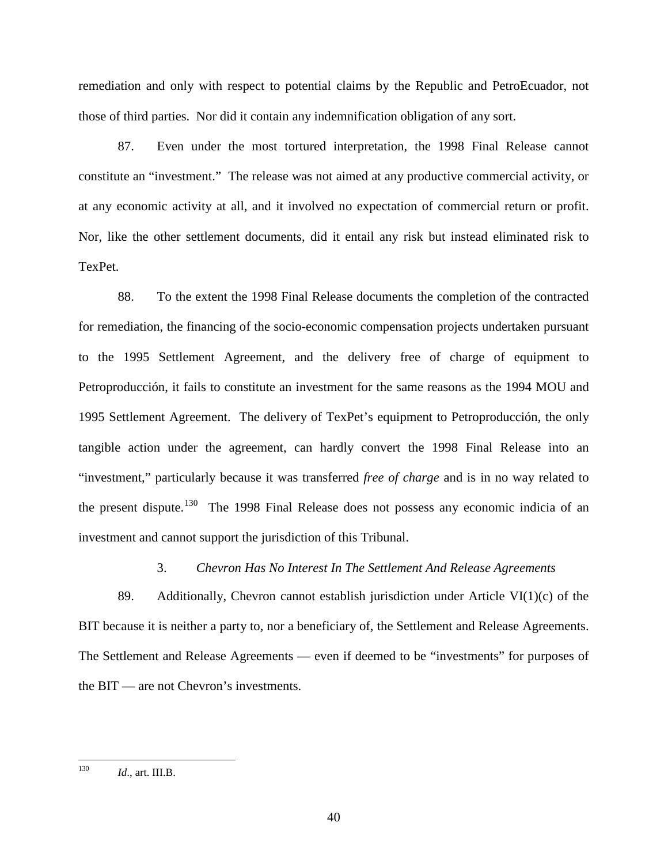remediation and only with respect to potential claims by the Republic and PetroEcuador, not those of third parties. Nor did it contain any indemnification obligation of any sort.

87. Even under the most tortured interpretation, the 1998 Final Release cannot constitute an "investment." The release was not aimed at any productive commercial activity, or at any economic activity at all, and it involved no expectation of commercial return or profit. Nor, like the other settlement documents, did it entail any risk but instead eliminated risk to TexPet.

88. To the extent the 1998 Final Release documents the completion of the contracted for remediation, the financing of the socio-economic compensation projects undertaken pursuant to the 1995 Settlement Agreement, and the delivery free of charge of equipment to Petroproducción, it fails to constitute an investment for the same reasons as the 1994 MOU and 1995 Settlement Agreement. The delivery of TexPet's equipment to Petroproducción, the only tangible action under the agreement, can hardly convert the 1998 Final Release into an "investment," particularly because it was transferred *free of charge* and is in no way related to the present dispute.<sup>[130](#page-42-0)</sup> The 1998 Final Release does not possess any economic indicia of an investment and cannot support the jurisdiction of this Tribunal.

#### 3. *Chevron Has No Interest In The Settlement And Release Agreements*

89. Additionally, Chevron cannot establish jurisdiction under Article VI(1)(c) of the BIT because it is neither a party to, nor a beneficiary of, the Settlement and Release Agreements. The Settlement and Release Agreements — even if deemed to be "investments" for purposes of the BIT — are not Chevron's investments.

<span id="page-42-0"></span> <sup>130</sup> *Id*., art. III.B.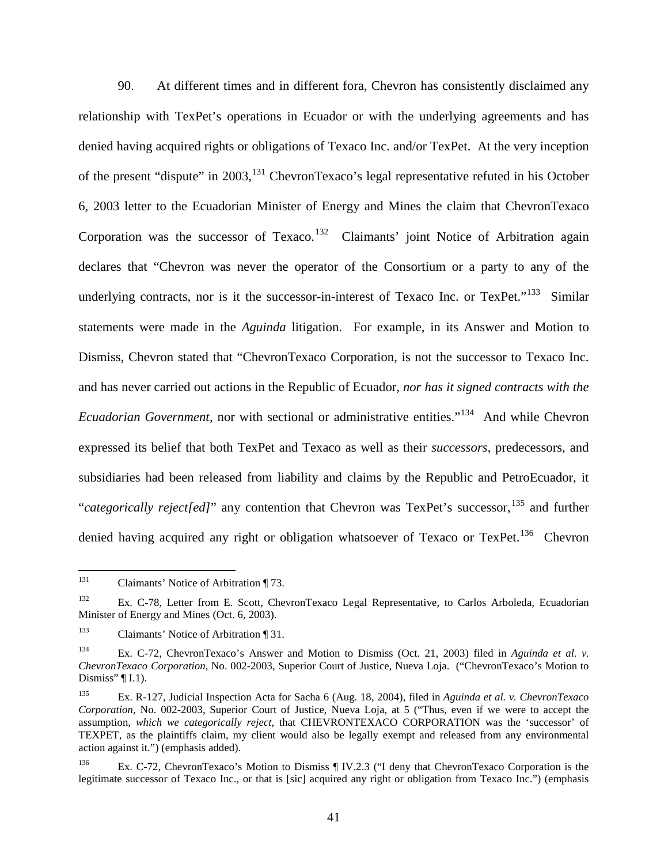90. At different times and in different fora, Chevron has consistently disclaimed any relationship with TexPet's operations in Ecuador or with the underlying agreements and has denied having acquired rights or obligations of Texaco Inc. and/or TexPet. At the very inception of the present "dispute" in 2003, <sup>[131](#page-43-0)</sup> ChevronTexaco's legal representative refuted in his October 6, 2003 letter to the Ecuadorian Minister of Energy and Mines the claim that ChevronTexaco Corporation was the successor of Texaco.<sup>[132](#page-43-1)</sup> Claimants' joint Notice of Arbitration again declares that "Chevron was never the operator of the Consortium or a party to any of the underlying contracts, nor is it the successor-in-interest of Texaco Inc. or TexPet. $133$  Similar statements were made in the *Aguinda* litigation. For example, in its Answer and Motion to Dismiss, Chevron stated that "ChevronTexaco Corporation, is not the successor to Texaco Inc. and has never carried out actions in the Republic of Ecuador, *nor has it signed contracts with the Ecuadorian Government,* nor with sectional or administrative entities."<sup>134</sup> And while Chevron expressed its belief that both TexPet and Texaco as well as their *successors*, predecessors, and subsidiaries had been released from liability and claims by the Republic and PetroEcuador, it "*categorically reject[ed]*" any contention that Chevron was TexPet's successor,<sup>[135](#page-43-4)</sup> and further denied having acquired any right or obligation whatsoever of Texaco or TexPet.<sup>[136](#page-43-5)</sup> Chevron

<span id="page-43-0"></span><sup>&</sup>lt;sup>131</sup> Claimants' Notice of Arbitration ¶ 73.

<span id="page-43-1"></span><sup>132</sup> Ex. C-78, Letter from E. Scott, ChevronTexaco Legal Representative, to Carlos Arboleda, Ecuadorian Minister of Energy and Mines (Oct. 6, 2003).

<span id="page-43-2"></span><sup>133</sup> Claimants' Notice of Arbitration ¶ 31.

<span id="page-43-3"></span><sup>134</sup> Ex. C-72, ChevronTexaco's Answer and Motion to Dismiss (Oct. 21, 2003) filed in *Aguinda et al. v. ChevronTexaco Corporation*, No. 002-2003, Superior Court of Justice, Nueva Loja. ("ChevronTexaco's Motion to Dismiss"  $\P$  I.1).

<span id="page-43-4"></span><sup>135</sup> Ex. R-127, Judicial Inspection Acta for Sacha 6 (Aug. 18, 2004), filed in *Aguinda et al. v. ChevronTexaco Corporation*, No. 002-2003, Superior Court of Justice, Nueva Loja, at 5 ("Thus, even if we were to accept the assumption, *which we categorically reject*, that CHEVRONTEXACO CORPORATION was the 'successor' of TEXPET, as the plaintiffs claim, my client would also be legally exempt and released from any environmental action against it.") (emphasis added).

<span id="page-43-5"></span><sup>136</sup> Ex. C-72, ChevronTexaco's Motion to Dismiss ¶ IV.2.3 ("I deny that ChevronTexaco Corporation is the legitimate successor of Texaco Inc., or that is [sic] acquired any right or obligation from Texaco Inc.") (emphasis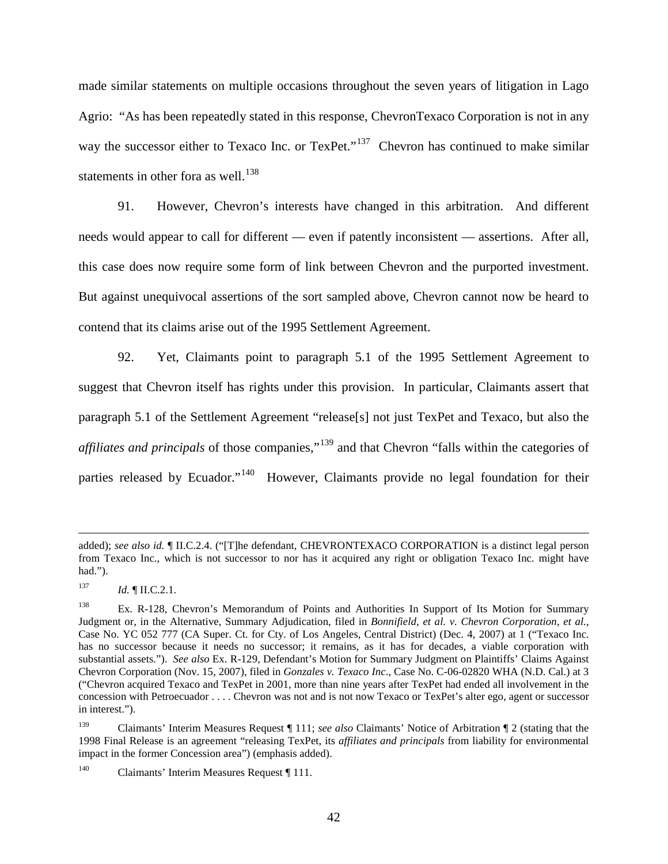made similar statements on multiple occasions throughout the seven years of litigation in Lago Agrio: "As has been repeatedly stated in this response, ChevronTexaco Corporation is not in any way the successor either to Texaco Inc. or TexPet."<sup>[137](#page-44-0)</sup> Chevron has continued to make similar statements in other fora as well. $^{138}$  $^{138}$  $^{138}$ 

91. However, Chevron's interests have changed in this arbitration. And different needs would appear to call for different — even if patently inconsistent — assertions. After all, this case does now require some form of link between Chevron and the purported investment. But against unequivocal assertions of the sort sampled above, Chevron cannot now be heard to contend that its claims arise out of the 1995 Settlement Agreement.

92. Yet, Claimants point to paragraph 5.1 of the 1995 Settlement Agreement to suggest that Chevron itself has rights under this provision. In particular, Claimants assert that paragraph 5.1 of the Settlement Agreement "release[s] not just TexPet and Texaco, but also the *affiliates and principals* of those companies,"<sup>[139](#page-44-2)</sup> and that Chevron "falls within the categories of parties released by Ecuador."<sup>[140](#page-44-3)</sup> However, Claimants provide no legal foundation for their

 $\overline{a}$ 

added); *see also id.* ¶ II.C.2.4. ("[T]he defendant, CHEVRONTEXACO CORPORATION is a distinct legal person from Texaco Inc., which is not successor to nor has it acquired any right or obligation Texaco Inc. might have had.").

<span id="page-44-0"></span> $137$  *Id.* ¶ II.C.2.1.

<span id="page-44-1"></span><sup>&</sup>lt;sup>138</sup> Ex. R-128, Chevron's Memorandum of Points and Authorities In Support of Its Motion for Summary Judgment or, in the Alternative, Summary Adjudication, filed in *Bonnifield, et al. v. Chevron Corporation, et al.*, Case No. YC 052 777 (CA Super. Ct. for Cty. of Los Angeles, Central District) (Dec. 4, 2007) at 1 ("Texaco Inc. has no successor because it needs no successor; it remains, as it has for decades, a viable corporation with substantial assets."). *See also* Ex. R-129, Defendant's Motion for Summary Judgment on Plaintiffs' Claims Against Chevron Corporation (Nov. 15, 2007), filed in *Gonzales v. Texaco Inc*., Case No. C-06-02820 WHA (N.D. Cal.) at 3 ("Chevron acquired Texaco and TexPet in 2001, more than nine years after TexPet had ended all involvement in the concession with Petroecuador . . . . Chevron was not and is not now Texaco or TexPet's alter ego, agent or successor in interest.").

<span id="page-44-2"></span><sup>139</sup> Claimants' Interim Measures Request ¶ 111; *see also* Claimants' Notice of Arbitration ¶ 2 (stating that the 1998 Final Release is an agreement "releasing TexPet, its *affiliates and principals* from liability for environmental impact in the former Concession area") (emphasis added).

<span id="page-44-3"></span><sup>&</sup>lt;sup>140</sup> Claimants' Interim Measures Request [111.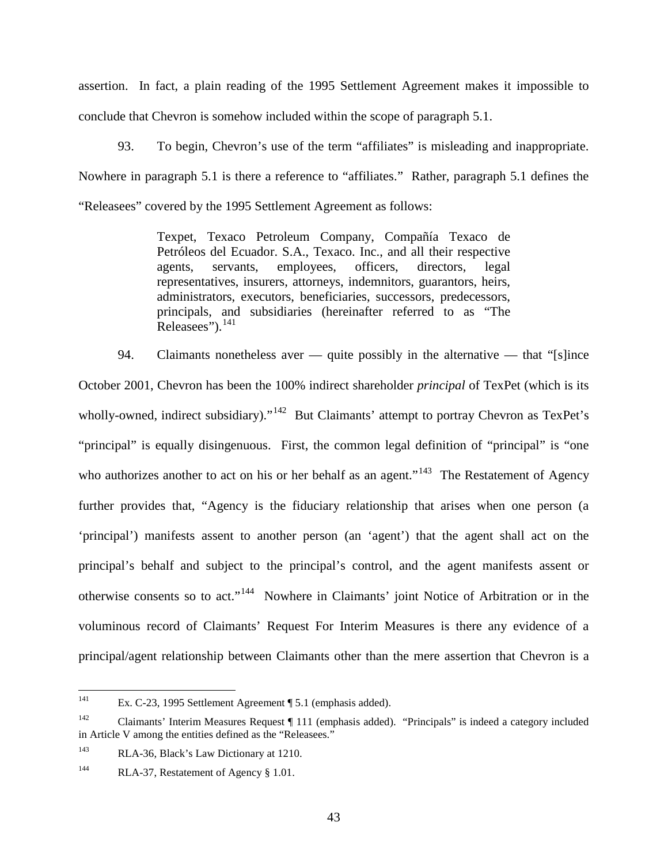assertion. In fact, a plain reading of the 1995 Settlement Agreement makes it impossible to conclude that Chevron is somehow included within the scope of paragraph 5.1.

93. To begin, Chevron's use of the term "affiliates" is misleading and inappropriate. Nowhere in paragraph 5.1 is there a reference to "affiliates." Rather, paragraph 5.1 defines the "Releasees" covered by the 1995 Settlement Agreement as follows:

> Texpet, Texaco Petroleum Company, Compañía Texaco de Petróleos del Ecuador. S.A., Texaco. Inc., and all their respective agents, servants, employees, officers, directors, legal representatives, insurers, attorneys, indemnitors, guarantors, heirs, administrators, executors, beneficiaries, successors, predecessors, principals, and subsidiaries (hereinafter referred to as "The Releasees").<sup>[141](#page-45-0)</sup>

94. Claimants nonetheless aver — quite possibly in the alternative — that "[s]ince October 2001, Chevron has been the 100% indirect shareholder *principal* of TexPet (which is its wholly-owned, indirect subsidiary)."<sup>142</sup> But Claimants' attempt to portray Chevron as TexPet's "principal" is equally disingenuous. First, the common legal definition of "principal" is "one who authorizes another to act on his or her behalf as an agent."<sup>[143](#page-45-2)</sup> The Restatement of Agency further provides that, "Agency is the fiduciary relationship that arises when one person (a 'principal') manifests assent to another person (an 'agent') that the agent shall act on the principal's behalf and subject to the principal's control, and the agent manifests assent or otherwise consents so to act."<sup>[144](#page-45-3)</sup> Nowhere in Claimants' joint Notice of Arbitration or in the voluminous record of Claimants' Request For Interim Measures is there any evidence of a principal/agent relationship between Claimants other than the mere assertion that Chevron is a

<span id="page-45-0"></span> <sup>141</sup> Ex. C-23, 1995 Settlement Agreement ¶ 5.1 (emphasis added).

<span id="page-45-1"></span><sup>142</sup> Claimants' Interim Measures Request ¶ 111 (emphasis added). "Principals" is indeed a category included in Article V among the entities defined as the "Releasees."

<span id="page-45-2"></span><sup>143</sup> RLA-36, Black's Law Dictionary at 1210.

<span id="page-45-3"></span><sup>&</sup>lt;sup>144</sup> RLA-37, Restatement of Agency § 1.01.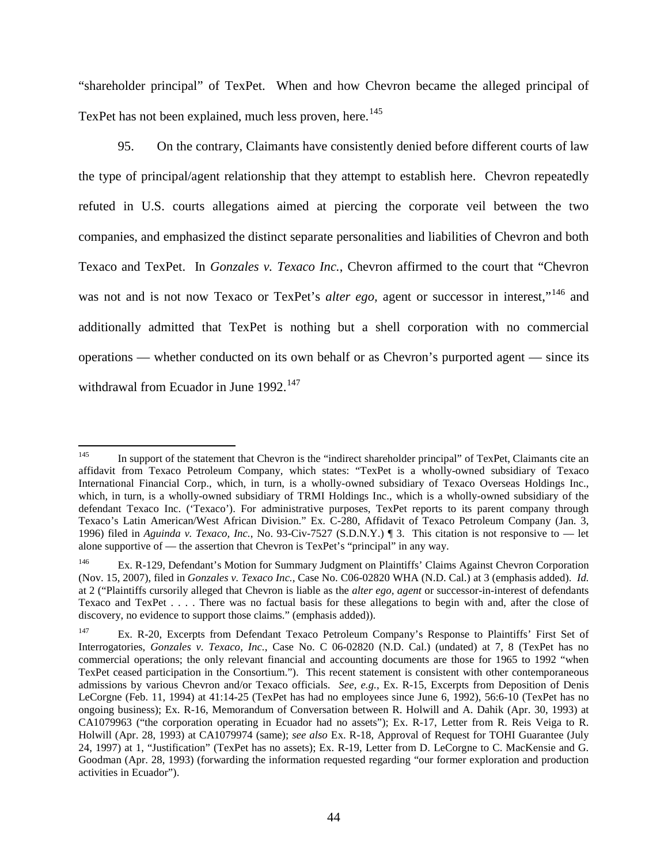"shareholder principal" of TexPet. When and how Chevron became the alleged principal of TexPet has not been explained, much less proven, here.<sup>[145](#page-46-0)</sup>

95. On the contrary, Claimants have consistently denied before different courts of law the type of principal/agent relationship that they attempt to establish here. Chevron repeatedly refuted in U.S. courts allegations aimed at piercing the corporate veil between the two companies, and emphasized the distinct separate personalities and liabilities of Chevron and both Texaco and TexPet. In *Gonzales v. Texaco Inc.*, Chevron affirmed to the court that "Chevron was not and is not now Texaco or TexPet's *alter ego*, agent or successor in interest,"<sup>[146](#page-46-1)</sup> and additionally admitted that TexPet is nothing but a shell corporation with no commercial operations — whether conducted on its own behalf or as Chevron's purported agent — since its withdrawal from Ecuador in June  $1992$ <sup>[147](#page-46-2)</sup>

<span id="page-46-0"></span><sup>&</sup>lt;sup>145</sup> In support of the statement that Chevron is the "indirect shareholder principal" of TexPet, Claimants cite an affidavit from Texaco Petroleum Company, which states: "TexPet is a wholly-owned subsidiary of Texaco International Financial Corp., which, in turn, is a wholly-owned subsidiary of Texaco Overseas Holdings Inc., which, in turn, is a wholly-owned subsidiary of TRMI Holdings Inc., which is a wholly-owned subsidiary of the defendant Texaco Inc. ('Texaco'). For administrative purposes, TexPet reports to its parent company through Texaco's Latin American/West African Division." Ex. C-280, Affidavit of Texaco Petroleum Company (Jan. 3, 1996) filed in *Aguinda v. Texaco, Inc.*, No. 93-Civ-7527 (S.D.N.Y.) ¶ 3. This citation is not responsive to — let alone supportive of — the assertion that Chevron is TexPet's "principal" in any way.

<span id="page-46-1"></span><sup>146</sup> Ex. R-129, Defendant's Motion for Summary Judgment on Plaintiffs' Claims Against Chevron Corporation (Nov. 15, 2007), filed in *Gonzales v. Texaco Inc.*, Case No. C06-02820 WHA (N.D. Cal.) at 3 (emphasis added). *Id.*  at 2 ("Plaintiffs cursorily alleged that Chevron is liable as the *alter ego, agent* or successor-in-interest of defendants Texaco and TexPet . . . . There was no factual basis for these allegations to begin with and, after the close of discovery, no evidence to support those claims." (emphasis added)).

<span id="page-46-2"></span><sup>&</sup>lt;sup>147</sup> Ex. R-20, Excerpts from Defendant Texaco Petroleum Company's Response to Plaintiffs' First Set of Interrogatories, *Gonzales v. Texaco, Inc.*, Case No. C 06-02820 (N.D. Cal.) (undated) at 7, 8 (TexPet has no commercial operations; the only relevant financial and accounting documents are those for 1965 to 1992 "when TexPet ceased participation in the Consortium."). This recent statement is consistent with other contemporaneous admissions by various Chevron and/or Texaco officials. *See, e.g.*, Ex. R-15, Excerpts from Deposition of Denis LeCorgne (Feb. 11, 1994) at 41:14-25 (TexPet has had no employees since June 6, 1992), 56:6-10 (TexPet has no ongoing business); Ex. R-16, Memorandum of Conversation between R. Holwill and A. Dahik (Apr. 30, 1993) at CA1079963 ("the corporation operating in Ecuador had no assets"); Ex. R-17, Letter from R. Reis Veiga to R. Holwill (Apr. 28, 1993) at CA1079974 (same); *see also* Ex. R-18, Approval of Request for TOHI Guarantee (July 24, 1997) at 1, "Justification" (TexPet has no assets); Ex. R-19, Letter from D. LeCorgne to C. MacKensie and G. Goodman (Apr. 28, 1993) (forwarding the information requested regarding "our former exploration and production activities in Ecuador").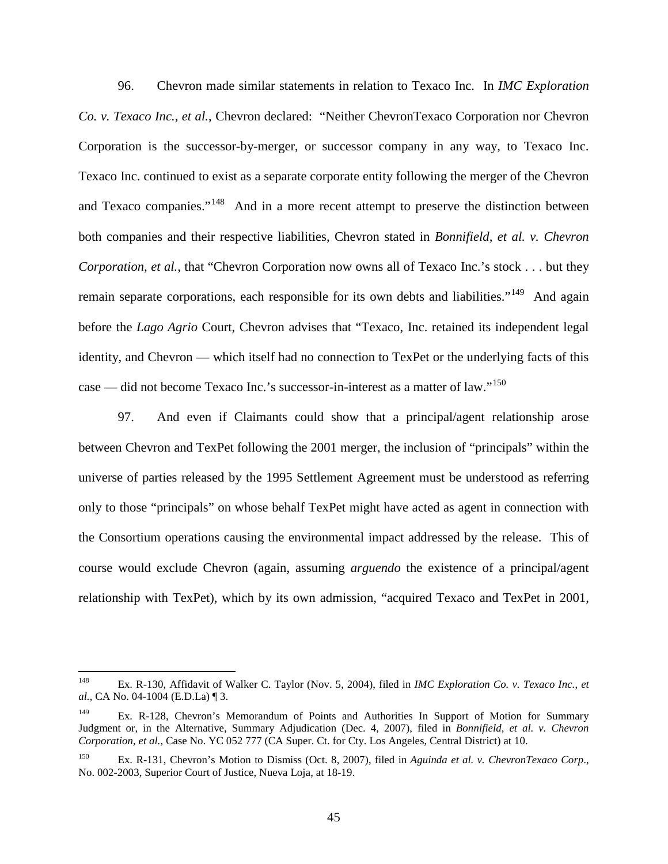96. Chevron made similar statements in relation to Texaco Inc. In *IMC Exploration Co. v. Texaco Inc., et al.*, Chevron declared: "Neither ChevronTexaco Corporation nor Chevron Corporation is the successor-by-merger, or successor company in any way, to Texaco Inc. Texaco Inc. continued to exist as a separate corporate entity following the merger of the Chevron and Texaco companies."<sup>[148](#page-47-0)</sup> And in a more recent attempt to preserve the distinction between both companies and their respective liabilities, Chevron stated in *Bonnifield, et al. v. Chevron Corporation, et al.*, that "Chevron Corporation now owns all of Texaco Inc.'s stock . . . but they remain separate corporations, each responsible for its own debts and liabilities."<sup>149</sup> And again before the *Lago Agrio* Court, Chevron advises that "Texaco, Inc. retained its independent legal identity, and Chevron — which itself had no connection to TexPet or the underlying facts of this case — did not become Texaco Inc.'s successor-in-interest as a matter of law."<sup>[150](#page-47-2)</sup>

97. And even if Claimants could show that a principal/agent relationship arose between Chevron and TexPet following the 2001 merger, the inclusion of "principals" within the universe of parties released by the 1995 Settlement Agreement must be understood as referring only to those "principals" on whose behalf TexPet might have acted as agent in connection with the Consortium operations causing the environmental impact addressed by the release. This of course would exclude Chevron (again, assuming *arguendo* the existence of a principal/agent relationship with TexPet), which by its own admission, "acquired Texaco and TexPet in 2001,

<span id="page-47-0"></span> <sup>148</sup> Ex. R-130, Affidavit of Walker C. Taylor (Nov. 5, 2004), filed in *IMC Exploration Co. v. Texaco Inc.*, *et al.*, CA No. 04-1004 (E.D.La) ¶ 3.

<span id="page-47-1"></span><sup>&</sup>lt;sup>149</sup> Ex. R-128, Chevron's Memorandum of Points and Authorities In Support of Motion for Summary Judgment or, in the Alternative, Summary Adjudication (Dec. 4, 2007), filed in *Bonnifield, et al. v. Chevron Corporation, et al.*, Case No. YC 052 777 (CA Super. Ct. for Cty. Los Angeles, Central District) at 10.

<span id="page-47-2"></span><sup>150</sup> Ex. R-131, Chevron's Motion to Dismiss (Oct. 8, 2007), filed in *Aguinda et al. v. ChevronTexaco Corp*., No. 002-2003, Superior Court of Justice, Nueva Loja, at 18-19.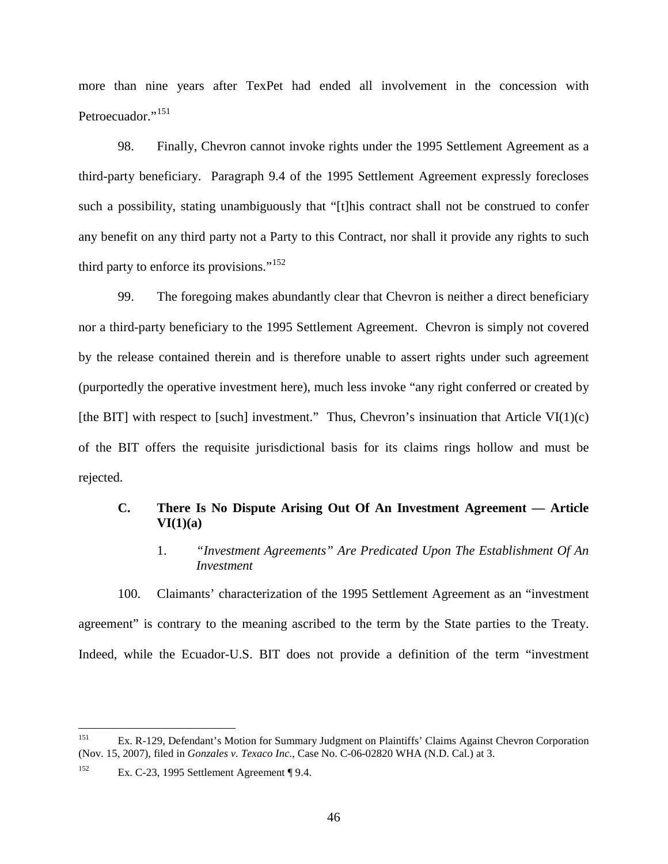more than nine years after TexPet had ended all involvement in the concession with Petroecuador."<sup>[151](#page-48-0)</sup>

98. Finally, Chevron cannot invoke rights under the 1995 Settlement Agreement as a third-party beneficiary. Paragraph 9.4 of the 1995 Settlement Agreement expressly forecloses such a possibility, stating unambiguously that "[t]his contract shall not be construed to confer any benefit on any third party not a Party to this Contract, nor shall it provide any rights to such third party to enforce its provisions."<sup>[152](#page-48-1)</sup>

99. The foregoing makes abundantly clear that Chevron is neither a direct beneficiary nor a third-party beneficiary to the 1995 Settlement Agreement. Chevron is simply not covered by the release contained therein and is therefore unable to assert rights under such agreement (purportedly the operative investment here), much less invoke "any right conferred or created by [the BIT] with respect to [such] investment." Thus, Chevron's insinuation that Article VI $(1)(c)$ of the BIT offers the requisite jurisdictional basis for its claims rings hollow and must be rejected.

#### **C. There Is No Dispute Arising Out Of An Investment Agreement — Article VI(1)(a)**

1. *"Investment Agreements" Are Predicated Upon The Establishment Of An Investment*

100. Claimants' characterization of the 1995 Settlement Agreement as an "investment agreement" is contrary to the meaning ascribed to the term by the State parties to the Treaty. Indeed, while the Ecuador-U.S. BIT does not provide a definition of the term "investment

<span id="page-48-0"></span> <sup>151</sup> Ex. R-129, Defendant's Motion for Summary Judgment on Plaintiffs' Claims Against Chevron Corporation (Nov. 15, 2007), filed in *Gonzales v. Texaco Inc*., Case No. C-06-02820 WHA (N.D. Cal.) at 3.

<span id="page-48-1"></span><sup>&</sup>lt;sup>152</sup> Ex. C-23, 1995 Settlement Agreement ¶ 9.4.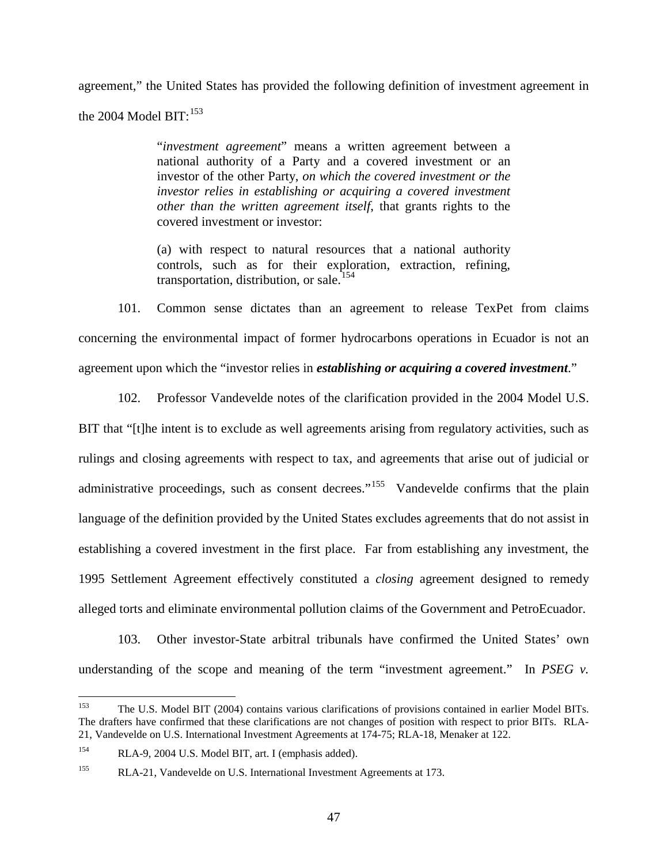agreement," the United States has provided the following definition of investment agreement in the 2004 Model  $\rm{BIT:}^{153}$  $\rm{BIT:}^{153}$  $\rm{BIT:}^{153}$ 

> "*investment agreement*" means a written agreement between a national authority of a Party and a covered investment or an investor of the other Party, *on which the covered investment or the investor relies in establishing or acquiring a covered investment other than the written agreement itself*, that grants rights to the covered investment or investor:

> (a) with respect to natural resources that a national authority controls, such as for their exploration, extraction, refining, transportation, distribution, or sale. [154](#page-49-1)

101. Common sense dictates than an agreement to release TexPet from claims concerning the environmental impact of former hydrocarbons operations in Ecuador is not an agreement upon which the "investor relies in *establishing or acquiring a covered investment*."

102. Professor Vandevelde notes of the clarification provided in the 2004 Model U.S. BIT that "[t]he intent is to exclude as well agreements arising from regulatory activities, such as rulings and closing agreements with respect to tax, and agreements that arise out of judicial or administrative proceedings, such as consent decrees."<sup>[155](#page-49-2)</sup> Vandevelde confirms that the plain language of the definition provided by the United States excludes agreements that do not assist in establishing a covered investment in the first place. Far from establishing any investment, the 1995 Settlement Agreement effectively constituted a *closing* agreement designed to remedy alleged torts and eliminate environmental pollution claims of the Government and PetroEcuador.

103. Other investor-State arbitral tribunals have confirmed the United States' own understanding of the scope and meaning of the term "investment agreement." In *PSEG v*.

<span id="page-49-0"></span><sup>&</sup>lt;sup>153</sup> The U.S. Model BIT (2004) contains various clarifications of provisions contained in earlier Model BITs. The drafters have confirmed that these clarifications are not changes of position with respect to prior BITs. RLA-21, Vandevelde on U.S. International Investment Agreements at 174-75; RLA-18, Menaker at 122.

<span id="page-49-1"></span><sup>154</sup> RLA-9, 2004 U.S. Model BIT, art. I (emphasis added).

<span id="page-49-2"></span><sup>&</sup>lt;sup>155</sup> RLA-21, Vandevelde on U.S. International Investment Agreements at 173.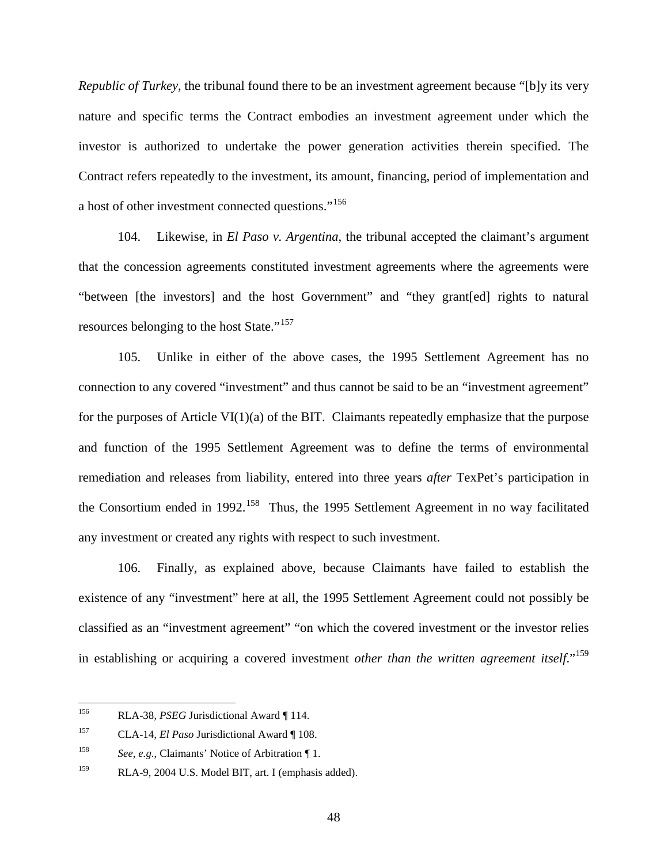*Republic of Turkey*, the tribunal found there to be an investment agreement because "[b]y its very nature and specific terms the Contract embodies an investment agreement under which the investor is authorized to undertake the power generation activities therein specified. The Contract refers repeatedly to the investment, its amount, financing, period of implementation and a host of other investment connected questions."<sup>[156](#page-50-0)</sup>

104. Likewise, in *El Paso v. Argentina*, the tribunal accepted the claimant's argument that the concession agreements constituted investment agreements where the agreements were "between [the investors] and the host Government" and "they grant[ed] rights to natural resources belonging to the host State."<sup>[157](#page-50-1)</sup>

105. Unlike in either of the above cases, the 1995 Settlement Agreement has no connection to any covered "investment" and thus cannot be said to be an "investment agreement" for the purposes of Article  $VI(1)(a)$  of the BIT. Claimants repeatedly emphasize that the purpose and function of the 1995 Settlement Agreement was to define the terms of environmental remediation and releases from liability, entered into three years *after* TexPet's participation in the Consortium ended in 1992.<sup>[158](#page-50-2)</sup> Thus, the 1995 Settlement Agreement in no way facilitated any investment or created any rights with respect to such investment.

106. Finally, as explained above*,* because Claimants have failed to establish the existence of any "investment" here at all, the 1995 Settlement Agreement could not possibly be classified as an "investment agreement" "on which the covered investment or the investor relies in establishing or acquiring a covered investment *other than the written agreement itself*." [159](#page-50-3)

<span id="page-50-0"></span> <sup>156</sup> RLA-38, *PSEG* Jurisdictional Award ¶ 114.

<span id="page-50-1"></span><sup>157</sup> CLA-14, *El Paso* Jurisdictional Award ¶ 108.

<span id="page-50-2"></span><sup>158</sup> *See, e.g.*, Claimants' Notice of Arbitration ¶ 1.

<span id="page-50-3"></span><sup>159</sup> RLA-9, 2004 U.S. Model BIT, art. I (emphasis added).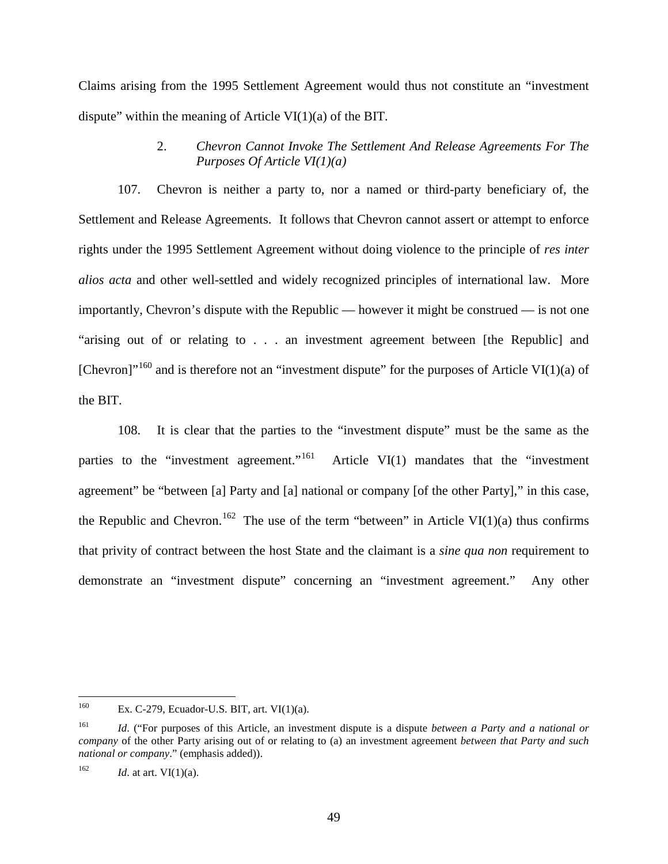Claims arising from the 1995 Settlement Agreement would thus not constitute an "investment dispute" within the meaning of Article VI $(1)(a)$  of the BIT.

> 2. *Chevron Cannot Invoke The Settlement And Release Agreements For The Purposes Of Article VI(1)(a)*

107. Chevron is neither a party to, nor a named or third-party beneficiary of, the Settlement and Release Agreements. It follows that Chevron cannot assert or attempt to enforce rights under the 1995 Settlement Agreement without doing violence to the principle of *res inter alios acta* and other well-settled and widely recognized principles of international law. More importantly, Chevron's dispute with the Republic — however it might be construed — is not one "arising out of or relating to . . . an investment agreement between [the Republic] and [Chevron]"<sup>[160](#page-51-0)</sup> and is therefore not an "investment dispute" for the purposes of Article VI(1)(a) of the BIT.

108. It is clear that the parties to the "investment dispute" must be the same as the parties to the "investment agreement."<sup>161</sup> Article VI $(1)$  mandates that the "investment" agreement" be "between [a] Party and [a] national or company [of the other Party]," in this case, the Republic and Chevron.<sup>[162](#page-51-2)</sup> The use of the term "between" in Article VI(1)(a) thus confirms that privity of contract between the host State and the claimant is a *sine qua non* requirement to demonstrate an "investment dispute" concerning an "investment agreement." Any other

<span id="page-51-0"></span><sup>&</sup>lt;sup>160</sup> Ex. C-279, Ecuador-U.S. BIT, art. VI $(1)(a)$ .

<span id="page-51-1"></span><sup>161</sup> *Id*. ("For purposes of this Article, an investment dispute is a dispute *between a Party and a national or company* of the other Party arising out of or relating to (a) an investment agreement *between that Party and such national or company*." (emphasis added)).

<span id="page-51-2"></span> $162$  *Id.* at art. VI(1)(a).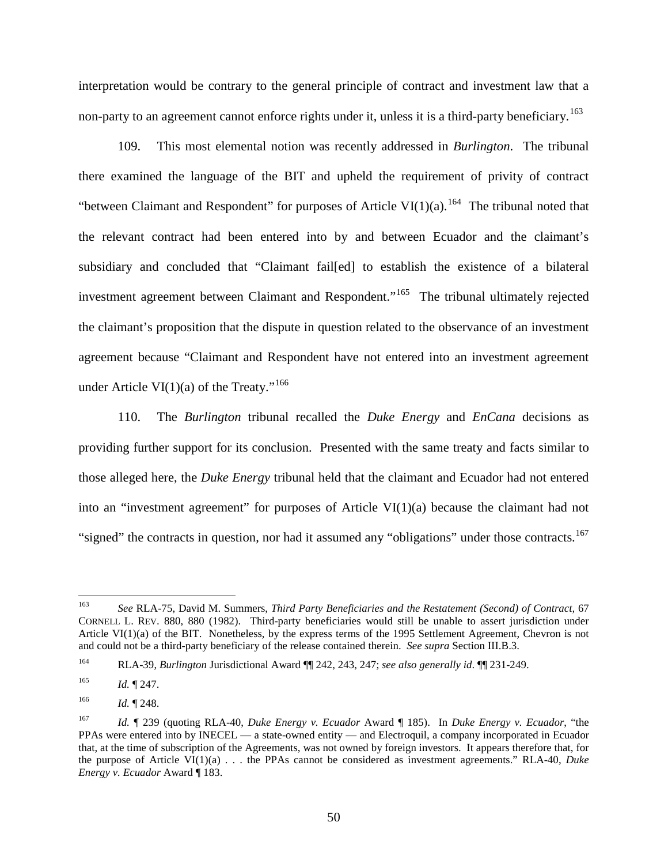interpretation would be contrary to the general principle of contract and investment law that a non-party to an agreement cannot enforce rights under it, unless it is a third-party beneficiary.<sup>[163](#page-52-0)</sup>

109. This most elemental notion was recently addressed in *Burlington*. The tribunal there examined the language of the BIT and upheld the requirement of privity of contract "between Claimant and Respondent" for purposes of Article VI $(1)(a)$ .<sup>[164](#page-52-1)</sup> The tribunal noted that the relevant contract had been entered into by and between Ecuador and the claimant's subsidiary and concluded that "Claimant fail[ed] to establish the existence of a bilateral investment agreement between Claimant and Respondent."<sup>[165](#page-52-2)</sup> The tribunal ultimately rejected the claimant's proposition that the dispute in question related to the observance of an investment agreement because "Claimant and Respondent have not entered into an investment agreement under Article VI(1)(a) of the Treaty."<sup>[166](#page-52-3)</sup>

110. The *Burlington* tribunal recalled the *Duke Energy* and *EnCana* decisions as providing further support for its conclusion. Presented with the same treaty and facts similar to those alleged here, the *Duke Energy* tribunal held that the claimant and Ecuador had not entered into an "investment agreement" for purposes of Article VI(1)(a) because the claimant had not "signed" the contracts in question, nor had it assumed any "obligations" under those contracts.<sup>[167](#page-52-4)</sup>

<span id="page-52-0"></span> <sup>163</sup> *See* RLA-75, David M. Summers, *Third Party Beneficiaries and the Restatement (Second) of Contract,* <sup>67</sup> CORNELL L. REV. 880, 880 (1982). Third-party beneficiaries would still be unable to assert jurisdiction under Article VI(1)(a) of the BIT. Nonetheless, by the express terms of the 1995 Settlement Agreement, Chevron is not and could not be a third-party beneficiary of the release contained therein. *See supra* Section III.B.3.

<span id="page-52-1"></span><sup>164</sup> RLA-39, *Burlington* Jurisdictional Award ¶¶ 242, 243, 247; *see also generally id*. ¶¶ 231-249.

<span id="page-52-2"></span><sup>165</sup> *Id.* ¶ 247.

<span id="page-52-3"></span> $166$  *Id.* 1248.

<span id="page-52-4"></span><sup>167</sup> *Id.* ¶ 239 (quoting RLA-40, *Duke Energy v. Ecuador* Award ¶ 185). In *Duke Energy v. Ecuador*, "the PPAs were entered into by INECEL — a state-owned entity — and Electroquil, a company incorporated in Ecuador that, at the time of subscription of the Agreements, was not owned by foreign investors. It appears therefore that, for the purpose of Article VI(1)(a) . . . the PPAs cannot be considered as investment agreements." RLA-40, *Duke Energy v. Ecuador* Award ¶ 183.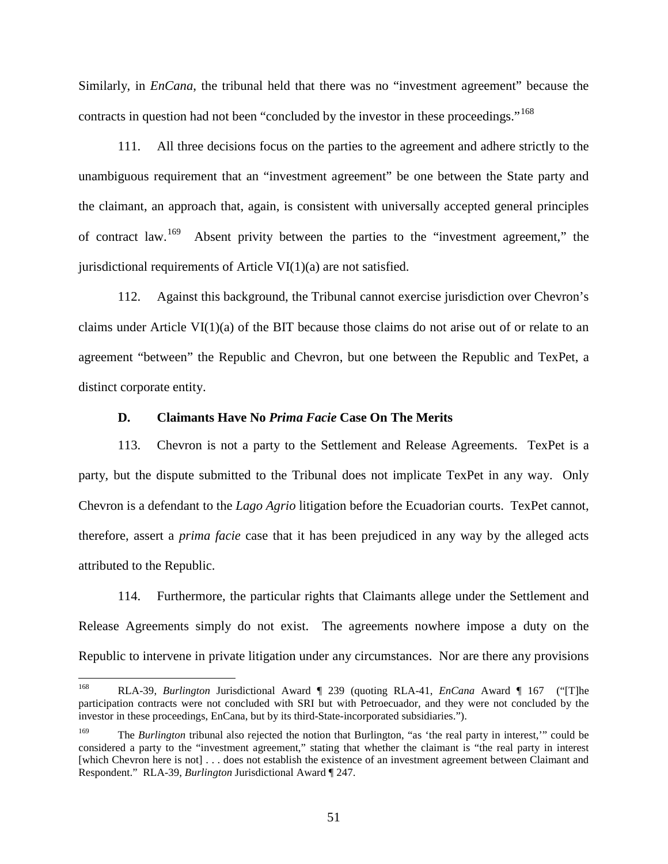Similarly, in *EnCana*, the tribunal held that there was no "investment agreement" because the contracts in question had not been "concluded by the investor in these proceedings."<sup>[168](#page-53-0)</sup>

111. All three decisions focus on the parties to the agreement and adhere strictly to the unambiguous requirement that an "investment agreement" be one between the State party and the claimant, an approach that, again, is consistent with universally accepted general principles of contract law.<sup>[169](#page-53-1)</sup> Absent privity between the parties to the "investment agreement," the jurisdictional requirements of Article VI $(1)(a)$  are not satisfied.

112. Against this background, the Tribunal cannot exercise jurisdiction over Chevron's claims under Article VI $(1)(a)$  of the BIT because those claims do not arise out of or relate to an agreement "between" the Republic and Chevron, but one between the Republic and TexPet, a distinct corporate entity.

#### **D. Claimants Have No** *Prima Facie* **Case On The Merits**

113. Chevron is not a party to the Settlement and Release Agreements. TexPet is a party, but the dispute submitted to the Tribunal does not implicate TexPet in any way. Only Chevron is a defendant to the *Lago Agrio* litigation before the Ecuadorian courts. TexPet cannot, therefore, assert a *prima facie* case that it has been prejudiced in any way by the alleged acts attributed to the Republic.

114. Furthermore, the particular rights that Claimants allege under the Settlement and Release Agreements simply do not exist. The agreements nowhere impose a duty on the Republic to intervene in private litigation under any circumstances. Nor are there any provisions

<span id="page-53-0"></span> <sup>168</sup> RLA-39, *Burlington* Jurisdictional Award ¶ 239 (quoting RLA-41, *EnCana* Award ¶ 167 ("[T]he participation contracts were not concluded with SRI but with Petroecuador, and they were not concluded by the investor in these proceedings, EnCana, but by its third-State-incorporated subsidiaries.").

<span id="page-53-1"></span><sup>169</sup> The *Burlington* tribunal also rejected the notion that Burlington, "as 'the real party in interest,'" could be considered a party to the "investment agreement," stating that whether the claimant is "the real party in interest [which Chevron here is not] . . . does not establish the existence of an investment agreement between Claimant and Respondent." RLA-39, *Burlington* Jurisdictional Award ¶ 247.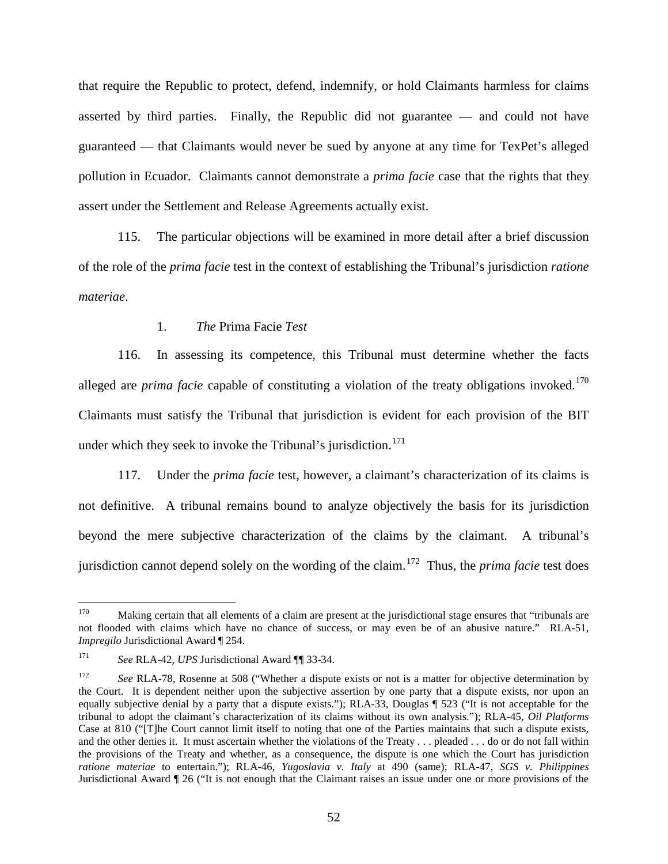that require the Republic to protect, defend, indemnify, or hold Claimants harmless for claims asserted by third parties. Finally, the Republic did not guarantee — and could not have guaranteed — that Claimants would never be sued by anyone at any time for TexPet's alleged pollution in Ecuador. Claimants cannot demonstrate a *prima facie* case that the rights that they assert under the Settlement and Release Agreements actually exist.

115. The particular objections will be examined in more detail after a brief discussion of the role of the *prima facie* test in the context of establishing the Tribunal's jurisdiction *ratione materiae*.

## 1. *The* Prima Facie *Test*

116. In assessing its competence, this Tribunal must determine whether the facts alleged are *prima facie* capable of constituting a violation of the treaty obligations invoked.<sup>[170](#page-54-0)</sup> Claimants must satisfy the Tribunal that jurisdiction is evident for each provision of the BIT under which they seek to invoke the Tribunal's jurisdiction.<sup>[171](#page-54-1)</sup>

117. Under the *prima facie* test, however, a claimant's characterization of its claims is not definitive. A tribunal remains bound to analyze objectively the basis for its jurisdiction beyond the mere subjective characterization of the claims by the claimant. A tribunal's jurisdiction cannot depend solely on the wording of the claim. [172](#page-54-0) Thus, the *prima facie* test does

<span id="page-54-0"></span><sup>&</sup>lt;sup>170</sup> Making certain that all elements of a claim are present at the jurisdictional stage ensures that "tribunals are not flooded with claims which have no chance of success, or may even be of an abusive nature." RLA-51, *Impregilo* Jurisdictional Award ¶ 254.

<span id="page-54-1"></span><sup>171</sup> *See* RLA-42, *UPS* Jurisdictional Award ¶¶ 33-34.

<sup>&</sup>lt;sup>172</sup> *See RLA-78, Rosenne at 508* ("Whether a dispute exists or not is a matter for objective determination by the Court. It is dependent neither upon the subjective assertion by one party that a dispute exists, nor upon an equally subjective denial by a party that a dispute exists."); RLA-33, Douglas ¶ 523 ("It is not acceptable for the tribunal to adopt the claimant's characterization of its claims without its own analysis."); RLA-45, *Oil Platforms*  Case at 810 ("[T]he Court cannot limit itself to noting that one of the Parties maintains that such a dispute exists, and the other denies it. It must ascertain whether the violations of the Treaty . . . pleaded . . . do or do not fall within the provisions of the Treaty and whether, as a consequence, the dispute is one which the Court has jurisdiction *ratione materiae* to entertain."); RLA-46, *Yugoslavia v. Italy* at 490 (same); RLA-47, *SGS v. Philippines* Jurisdictional Award ¶ 26 ("It is not enough that the Claimant raises an issue under one or more provisions of the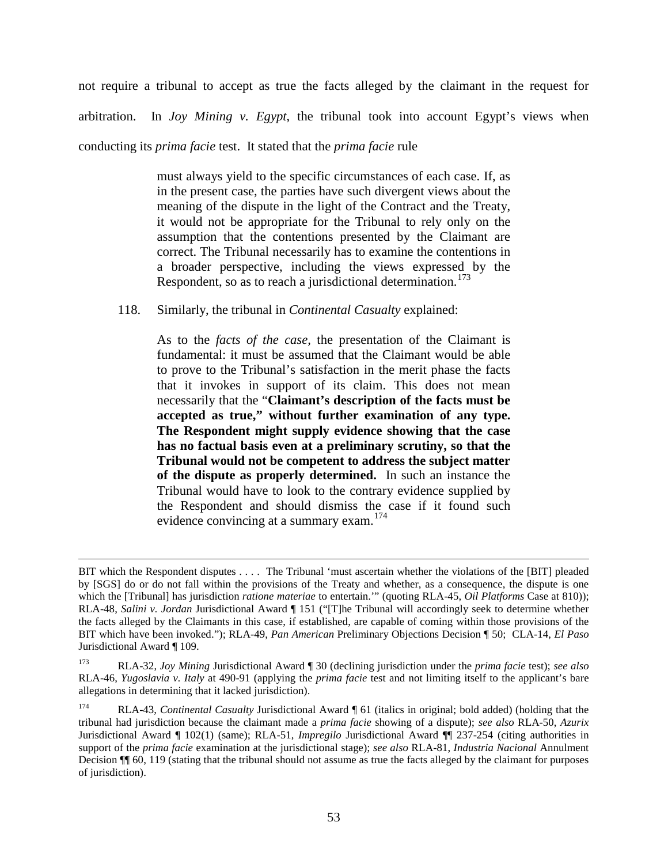not require a tribunal to accept as true the facts alleged by the claimant in the request for arbitration. In *Joy Mining v. Egypt*, the tribunal took into account Egypt's views when conducting its *prima facie* test. It stated that the *prima facie* rule

> must always yield to the specific circumstances of each case. If, as in the present case, the parties have such divergent views about the meaning of the dispute in the light of the Contract and the Treaty, it would not be appropriate for the Tribunal to rely only on the assumption that the contentions presented by the Claimant are correct. The Tribunal necessarily has to examine the contentions in a broader perspective, including the views expressed by the

Respondent, so as to reach a jurisdictional determination.<sup>[173](#page-55-0)</sup>

118. Similarly, the tribunal in *Continental Casualty* explained:

 $\overline{a}$ 

As to the *facts of the case,* the presentation of the Claimant is fundamental: it must be assumed that the Claimant would be able to prove to the Tribunal's satisfaction in the merit phase the facts that it invokes in support of its claim. This does not mean necessarily that the "**Claimant's description of the facts must be accepted as true," without further examination of any type. The Respondent might supply evidence showing that the case has no factual basis even at a preliminary scrutiny, so that the Tribunal would not be competent to address the subject matter of the dispute as properly determined.** In such an instance the Tribunal would have to look to the contrary evidence supplied by the Respondent and should dismiss the case if it found such evidence convincing at a summary exam.<sup>[174](#page-55-1)</sup>

BIT which the Respondent disputes . . . . The Tribunal 'must ascertain whether the violations of the [BIT] pleaded by [SGS] do or do not fall within the provisions of the Treaty and whether, as a consequence, the dispute is one which the [Tribunal] has jurisdiction *ratione materiae* to entertain.'" (quoting RLA-45, *Oil Platforms* Case at 810)); RLA-48, *Salini v. Jordan* Jurisdictional Award ¶ 151 ("[T]he Tribunal will accordingly seek to determine whether the facts alleged by the Claimants in this case, if established, are capable of coming within those provisions of the BIT which have been invoked."); RLA-49, *Pan American* Preliminary Objections Decision ¶ 50; CLA-14, *El Paso* Jurisdictional Award ¶ 109.

<span id="page-55-0"></span><sup>173</sup> RLA-32, *Joy Mining* Jurisdictional Award ¶ 30 (declining jurisdiction under the *prima facie* test); *see also*  RLA-46, *Yugoslavia v. Italy* at 490-91 (applying the *prima facie* test and not limiting itself to the applicant's bare allegations in determining that it lacked jurisdiction).

<span id="page-55-1"></span><sup>174</sup> RLA-43, *Continental Casualty* Jurisdictional Award ¶ 61 (italics in original; bold added) (holding that the tribunal had jurisdiction because the claimant made a *prima facie* showing of a dispute); *see also* RLA-50, *Azurix*  Jurisdictional Award ¶ 102(1) (same); RLA-51, *Impregilo* Jurisdictional Award ¶¶ 237-254 (citing authorities in support of the *prima facie* examination at the jurisdictional stage); *see also* RLA-81, *Industria Nacional* Annulment Decision ¶¶ 60, 119 (stating that the tribunal should not assume as true the facts alleged by the claimant for purposes of jurisdiction).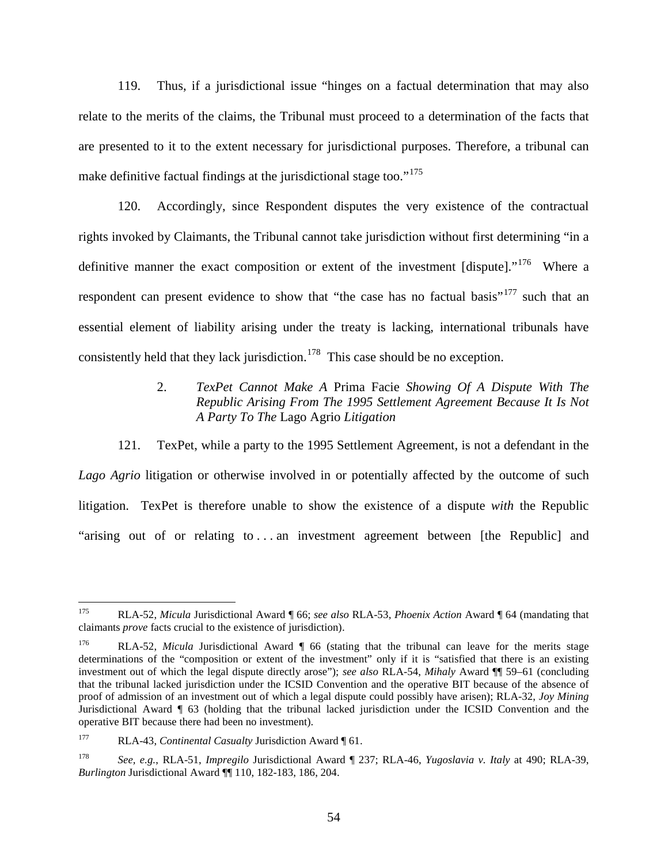119. Thus, if a jurisdictional issue "hinges on a factual determination that may also relate to the merits of the claims, the Tribunal must proceed to a determination of the facts that are presented to it to the extent necessary for jurisdictional purposes. Therefore, a tribunal can make definitive factual findings at the jurisdictional stage too."<sup>[175](#page-56-0)</sup>

120. Accordingly, since Respondent disputes the very existence of the contractual rights invoked by Claimants, the Tribunal cannot take jurisdiction without first determining "in a definitive manner the exact composition or extent of the investment [dispute]."<sup>[176](#page-56-1)</sup> Where a respondent can present evidence to show that "the case has no factual basis"<sup>[177](#page-56-2)</sup> such that an essential element of liability arising under the treaty is lacking, international tribunals have consistently held that they lack jurisdiction.<sup>[178](#page-56-3)</sup> This case should be no exception.

## 2. *TexPet Cannot Make A* Prima Facie *Showing Of A Dispute With The Republic Arising From The 1995 Settlement Agreement Because It Is Not A Party To The* Lago Agrio *Litigation*

121. TexPet, while a party to the 1995 Settlement Agreement, is not a defendant in the *Lago Agrio* litigation or otherwise involved in or potentially affected by the outcome of such litigation. TexPet is therefore unable to show the existence of a dispute *with* the Republic "arising out of or relating to . . . an investment agreement between [the Republic] and

<span id="page-56-0"></span> <sup>175</sup> RLA-52, *Micula* Jurisdictional Award ¶ 66; *see also* RLA-53, *Phoenix Action* Award ¶ 64 (mandating that claimants *prove* facts crucial to the existence of jurisdiction).

<span id="page-56-1"></span><sup>176</sup> RLA-52, *Micula* Jurisdictional Award ¶ 66 (stating that the tribunal can leave for the merits stage determinations of the "composition or extent of the investment" only if it is "satisfied that there is an existing investment out of which the legal dispute directly arose"); *see also* RLA-54, *Mihaly* Award ¶¶ 59–61 (concluding that the tribunal lacked jurisdiction under the ICSID Convention and the operative BIT because of the absence of proof of admission of an investment out of which a legal dispute could possibly have arisen); RLA-32, *Joy Mining* Jurisdictional Award ¶ 63 (holding that the tribunal lacked jurisdiction under the ICSID Convention and the operative BIT because there had been no investment).

<span id="page-56-2"></span><sup>177</sup> RLA-43, *Continental Casualty* Jurisdiction Award ¶ 61.

<span id="page-56-3"></span><sup>178</sup> *See, e.g.*, RLA-51, *Impregilo* Jurisdictional Award ¶ 237; RLA-46, *Yugoslavia v. Italy* at 490; RLA-39, *Burlington* Jurisdictional Award ¶¶ 110, 182-183, 186, 204.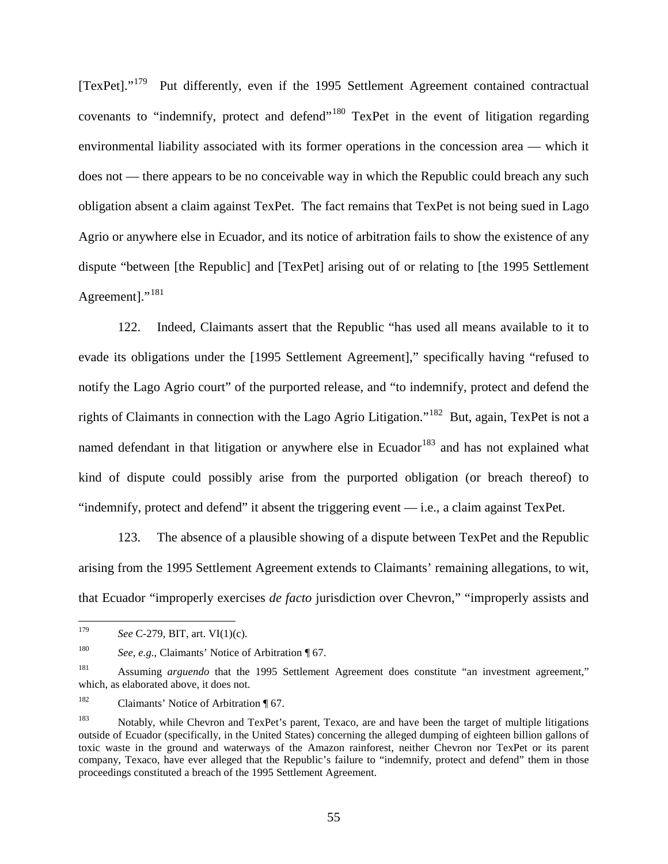$[TexPet]$ ."<sup>[179](#page-57-0)</sup> Put differently, even if the 1995 Settlement Agreement contained contractual covenants to "indemnify, protect and defend"<sup>[180](#page-57-1)</sup> TexPet in the event of litigation regarding environmental liability associated with its former operations in the concession area — which it does not — there appears to be no conceivable way in which the Republic could breach any such obligation absent a claim against TexPet. The fact remains that TexPet is not being sued in Lago Agrio or anywhere else in Ecuador, and its notice of arbitration fails to show the existence of any dispute "between [the Republic] and [TexPet] arising out of or relating to [the 1995 Settlement Agreement]."<sup>[181](#page-57-2)</sup>

122. Indeed, Claimants assert that the Republic "has used all means available to it to evade its obligations under the [1995 Settlement Agreement]," specifically having "refused to notify the Lago Agrio court" of the purported release, and "to indemnify, protect and defend the rights of Claimants in connection with the Lago Agrio Litigation."[182](#page-57-3) But, again, TexPet is not a named defendant in that litigation or anywhere else in Ecuador<sup>[183](#page-57-4)</sup> and has not explained what kind of dispute could possibly arise from the purported obligation (or breach thereof) to "indemnify, protect and defend" it absent the triggering event — i.e., a claim against TexPet.

123. The absence of a plausible showing of a dispute between TexPet and the Republic arising from the 1995 Settlement Agreement extends to Claimants' remaining allegations, to wit, that Ecuador "improperly exercises *de facto* jurisdiction over Chevron," "improperly assists and

<span id="page-57-0"></span> <sup>179</sup> *See* C-279, BIT, art. VI(1)(c).

<span id="page-57-1"></span><sup>180</sup> *See, e.g.*, Claimants' Notice of Arbitration ¶ 67.

<span id="page-57-2"></span><sup>181</sup> Assuming *arguendo* that the 1995 Settlement Agreement does constitute "an investment agreement," which, as elaborated above, it does not.

<span id="page-57-3"></span><sup>&</sup>lt;sup>182</sup> Claimants' Notice of Arbitration ¶ 67.

<span id="page-57-4"></span><sup>183</sup> Notably, while Chevron and TexPet's parent, Texaco, are and have been the target of multiple litigations outside of Ecuador (specifically, in the United States) concerning the alleged dumping of eighteen billion gallons of toxic waste in the ground and waterways of the Amazon rainforest, neither Chevron nor TexPet or its parent company, Texaco, have ever alleged that the Republic's failure to "indemnify, protect and defend" them in those proceedings constituted a breach of the 1995 Settlement Agreement.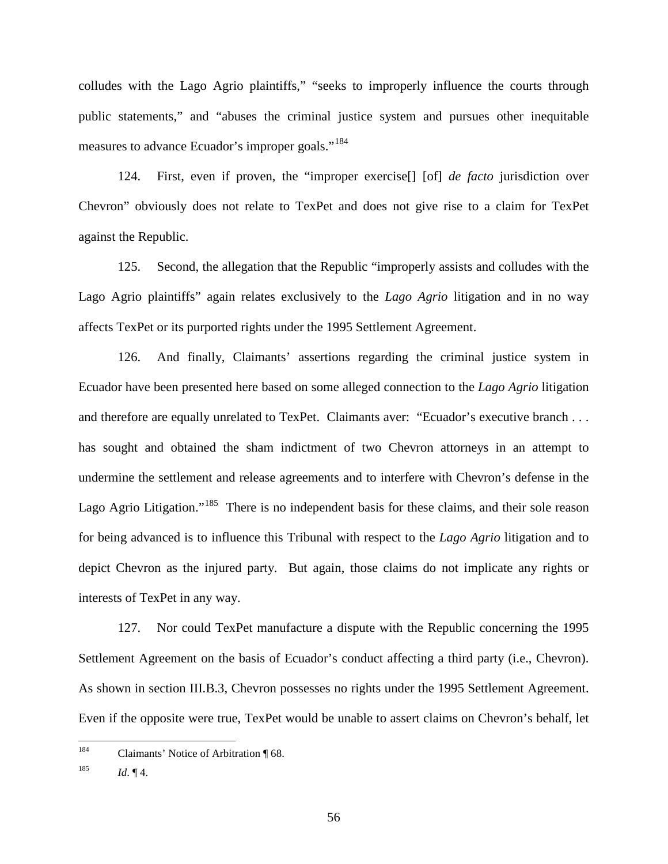colludes with the Lago Agrio plaintiffs," "seeks to improperly influence the courts through public statements," and "abuses the criminal justice system and pursues other inequitable measures to advance Ecuador's improper goals."<sup>[184](#page-58-0)</sup>

124. First, even if proven, the "improper exercise[] [of] *de facto* jurisdiction over Chevron" obviously does not relate to TexPet and does not give rise to a claim for TexPet against the Republic.

125. Second, the allegation that the Republic "improperly assists and colludes with the Lago Agrio plaintiffs" again relates exclusively to the *Lago Agrio* litigation and in no way affects TexPet or its purported rights under the 1995 Settlement Agreement.

126. And finally, Claimants' assertions regarding the criminal justice system in Ecuador have been presented here based on some alleged connection to the *Lago Agrio* litigation and therefore are equally unrelated to TexPet. Claimants aver: "Ecuador's executive branch . . . has sought and obtained the sham indictment of two Chevron attorneys in an attempt to undermine the settlement and release agreements and to interfere with Chevron's defense in the Lago Agrio Litigation."<sup>[185](#page-58-1)</sup> There is no independent basis for these claims, and their sole reason for being advanced is to influence this Tribunal with respect to the *Lago Agrio* litigation and to depict Chevron as the injured party. But again, those claims do not implicate any rights or interests of TexPet in any way.

127. Nor could TexPet manufacture a dispute with the Republic concerning the 1995 Settlement Agreement on the basis of Ecuador's conduct affecting a third party (i.e., Chevron). As shown in section III.B.3, Chevron possesses no rights under the 1995 Settlement Agreement. Even if the opposite were true, TexPet would be unable to assert claims on Chevron's behalf, let

<span id="page-58-0"></span><sup>&</sup>lt;sup>184</sup> Claimants' Notice of Arbitration ¶ 68.

<span id="page-58-1"></span><sup>185</sup> *Id.*  $\P$  4.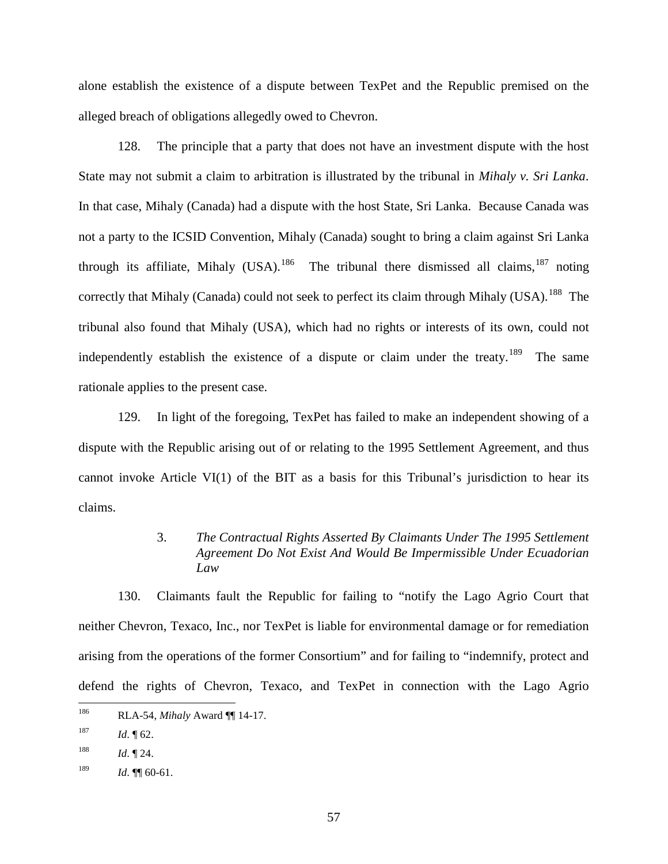alone establish the existence of a dispute between TexPet and the Republic premised on the alleged breach of obligations allegedly owed to Chevron.

128. The principle that a party that does not have an investment dispute with the host State may not submit a claim to arbitration is illustrated by the tribunal in *Mihaly v. Sri Lanka*. In that case, Mihaly (Canada) had a dispute with the host State, Sri Lanka. Because Canada was not a party to the ICSID Convention, Mihaly (Canada) sought to bring a claim against Sri Lanka through its affiliate, Mihaly (USA).<sup>[186](#page-59-0)</sup> The tribunal there dismissed all claims,<sup>[187](#page-59-1)</sup> noting correctly that Mihaly (Canada) could not seek to perfect its claim through Mihaly (USA).<sup>[188](#page-59-2)</sup> The tribunal also found that Mihaly (USA), which had no rights or interests of its own, could not independently establish the existence of a dispute or claim under the treaty.<sup>[189](#page-59-3)</sup> The same rationale applies to the present case.

129. In light of the foregoing, TexPet has failed to make an independent showing of a dispute with the Republic arising out of or relating to the 1995 Settlement Agreement, and thus cannot invoke Article VI(1) of the BIT as a basis for this Tribunal's jurisdiction to hear its claims.

## 3. *The Contractual Rights Asserted By Claimants Under The 1995 Settlement Agreement Do Not Exist And Would Be Impermissible Under Ecuadorian Law*

130. Claimants fault the Republic for failing to "notify the Lago Agrio Court that neither Chevron, Texaco, Inc., nor TexPet is liable for environmental damage or for remediation arising from the operations of the former Consortium" and for failing to "indemnify, protect and defend the rights of Chevron, Texaco, and TexPet in connection with the Lago Agrio

<span id="page-59-0"></span> <sup>186</sup> RLA-54, *Mihaly* Award ¶¶ 14-17.

<span id="page-59-1"></span> $187$  *Id.* 162.

<span id="page-59-2"></span><sup>&</sup>lt;sup>188</sup> *Id.*  $\P$  24.

<span id="page-59-3"></span><sup>&</sup>lt;sup>189</sup> *Id.*  $\P\P$  60-61.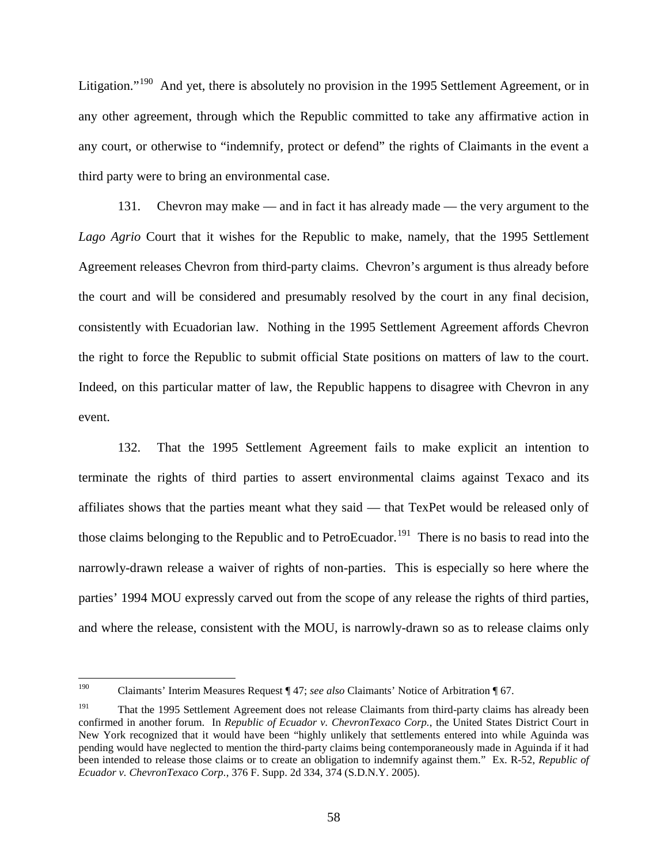Litigation."<sup>[190](#page-60-0)</sup> And yet, there is absolutely no provision in the 1995 Settlement Agreement, or in any other agreement, through which the Republic committed to take any affirmative action in any court, or otherwise to "indemnify, protect or defend" the rights of Claimants in the event a third party were to bring an environmental case.

131. Chevron may make — and in fact it has already made — the very argument to the *Lago Agrio* Court that it wishes for the Republic to make, namely, that the 1995 Settlement Agreement releases Chevron from third-party claims. Chevron's argument is thus already before the court and will be considered and presumably resolved by the court in any final decision, consistently with Ecuadorian law. Nothing in the 1995 Settlement Agreement affords Chevron the right to force the Republic to submit official State positions on matters of law to the court. Indeed, on this particular matter of law, the Republic happens to disagree with Chevron in any event.

132. That the 1995 Settlement Agreement fails to make explicit an intention to terminate the rights of third parties to assert environmental claims against Texaco and its affiliates shows that the parties meant what they said — that TexPet would be released only of those claims belonging to the Republic and to PetroEcuador.<sup>[191](#page-60-1)</sup> There is no basis to read into the narrowly-drawn release a waiver of rights of non-parties. This is especially so here where the parties' 1994 MOU expressly carved out from the scope of any release the rights of third parties, and where the release, consistent with the MOU, is narrowly-drawn so as to release claims only

<span id="page-60-0"></span> <sup>190</sup> Claimants' Interim Measures Request ¶ 47; *see also* Claimants' Notice of Arbitration ¶ 67.

<span id="page-60-1"></span><sup>&</sup>lt;sup>191</sup> That the 1995 Settlement Agreement does not release Claimants from third-party claims has already been confirmed in another forum. In *Republic of Ecuador v. ChevronTexaco Corp.*, the United States District Court in New York recognized that it would have been "highly unlikely that settlements entered into while Aguinda was pending would have neglected to mention the third-party claims being contemporaneously made in Aguinda if it had been intended to release those claims or to create an obligation to indemnify against them." Ex. R-52, *Republic of Ecuador v. ChevronTexaco Corp.*, 376 F. Supp. 2d 334, 374 (S.D.N.Y. 2005).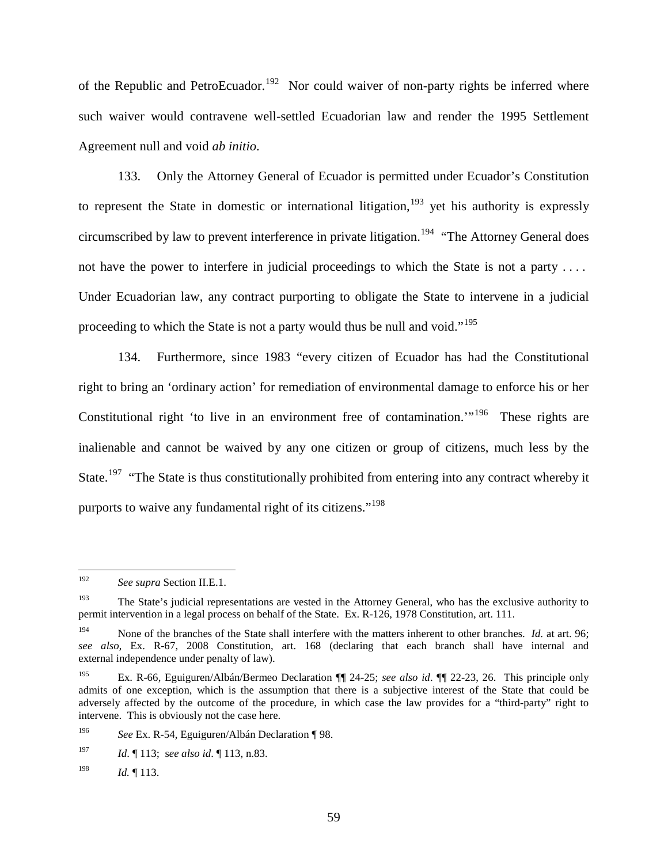of the Republic and PetroEcuador.<sup>[192](#page-61-0)</sup> Nor could waiver of non-party rights be inferred where such waiver would contravene well-settled Ecuadorian law and render the 1995 Settlement Agreement null and void *ab initio*.

133. Only the Attorney General of Ecuador is permitted under Ecuador's Constitution to represent the State in domestic or international litigation, <sup>[193](#page-61-1)</sup> yet his authority is expressly circumscribed by law to prevent interference in private litigation.<sup>[194](#page-61-2)</sup> "The Attorney General does" not have the power to interfere in judicial proceedings to which the State is not a party .... Under Ecuadorian law, any contract purporting to obligate the State to intervene in a judicial proceeding to which the State is not a party would thus be null and void."<sup>[195](#page-61-3)</sup>

134. Furthermore, since 1983 "every citizen of Ecuador has had the Constitutional right to bring an 'ordinary action' for remediation of environmental damage to enforce his or her Constitutional right 'to live in an environment free of contamination.'"<sup>[196](#page-61-4)</sup> These rights are inalienable and cannot be waived by any one citizen or group of citizens, much less by the State.<sup>197</sup> "The State is thus constitutionally prohibited from entering into any contract whereby it purports to waive any fundamental right of its citizens."<sup>[198](#page-61-6)</sup>

<span id="page-61-6"></span><sup>198</sup> *Id.*  $\llbracket$  113.

<span id="page-61-0"></span> <sup>192</sup> *See supra* Section II.E.1.

<span id="page-61-1"></span><sup>&</sup>lt;sup>193</sup> The State's judicial representations are vested in the Attorney General, who has the exclusive authority to permit intervention in a legal process on behalf of the State. Ex. R-126, 1978 Constitution, art. 111.

<span id="page-61-2"></span><sup>&</sup>lt;sup>194</sup> None of the branches of the State shall interfere with the matters inherent to other branches. *Id.* at art. 96; *see also*, Ex. R-67, 2008 Constitution, art. 168 (declaring that each branch shall have internal and external independence under penalty of law).

<span id="page-61-3"></span><sup>195</sup> Ex. R-66, Eguiguren/Albán/Bermeo Declaration ¶¶ 24-25; *see also id*. ¶¶ 22-23, 26. This principle only admits of one exception, which is the assumption that there is a subjective interest of the State that could be adversely affected by the outcome of the procedure, in which case the law provides for a "third-party" right to intervene. This is obviously not the case here.

<span id="page-61-4"></span><sup>196</sup> *See* Ex. R-54, Eguiguren/Albán Declaration ¶ 98.

<span id="page-61-5"></span><sup>197</sup> *Id*. ¶ 113; s*ee also id*. ¶ 113, n.83.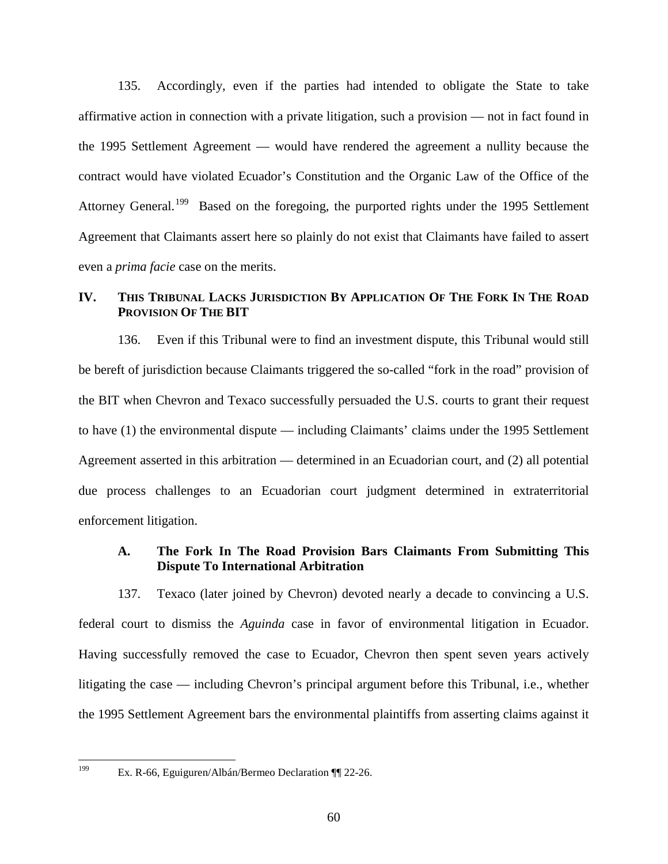135. Accordingly, even if the parties had intended to obligate the State to take affirmative action in connection with a private litigation, such a provision — not in fact found in the 1995 Settlement Agreement — would have rendered the agreement a nullity because the contract would have violated Ecuador's Constitution and the Organic Law of the Office of the Attorney General.<sup>[199](#page-62-0)</sup> Based on the foregoing, the purported rights under the 1995 Settlement Agreement that Claimants assert here so plainly do not exist that Claimants have failed to assert even a *prima facie* case on the merits.

## **IV. THIS TRIBUNAL LACKS JURISDICTION BY APPLICATION OF THE FORK IN THE ROAD PROVISION OF THE BIT**

136. Even if this Tribunal were to find an investment dispute, this Tribunal would still be bereft of jurisdiction because Claimants triggered the so-called "fork in the road" provision of the BIT when Chevron and Texaco successfully persuaded the U.S. courts to grant their request to have (1) the environmental dispute — including Claimants' claims under the 1995 Settlement Agreement asserted in this arbitration — determined in an Ecuadorian court, and (2) all potential due process challenges to an Ecuadorian court judgment determined in extraterritorial enforcement litigation.

#### **A. The Fork In The Road Provision Bars Claimants From Submitting This Dispute To International Arbitration**

137. Texaco (later joined by Chevron) devoted nearly a decade to convincing a U.S. federal court to dismiss the *Aguinda* case in favor of environmental litigation in Ecuador. Having successfully removed the case to Ecuador, Chevron then spent seven years actively litigating the case — including Chevron's principal argument before this Tribunal, i.e., whether the 1995 Settlement Agreement bars the environmental plaintiffs from asserting claims against it

<span id="page-62-0"></span> <sup>199</sup> Ex. R-66, Eguiguren/Albán/Bermeo Declaration ¶¶ 22-26.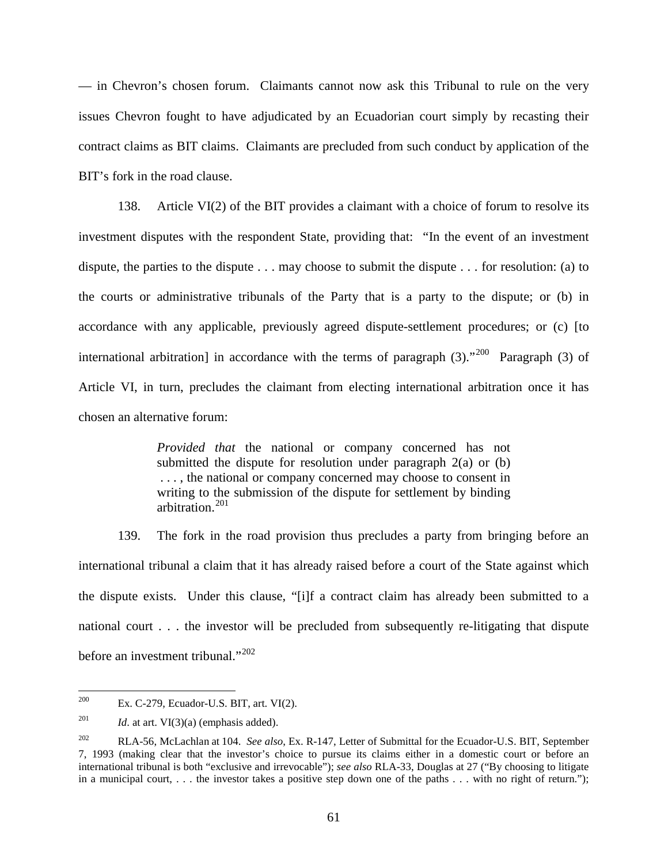— in Chevron's chosen forum. Claimants cannot now ask this Tribunal to rule on the very issues Chevron fought to have adjudicated by an Ecuadorian court simply by recasting their contract claims as BIT claims. Claimants are precluded from such conduct by application of the BIT's fork in the road clause.

138. Article VI(2) of the BIT provides a claimant with a choice of forum to resolve its investment disputes with the respondent State, providing that: "In the event of an investment dispute, the parties to the dispute . . . may choose to submit the dispute . . . for resolution: (a) to the courts or administrative tribunals of the Party that is a party to the dispute; or (b) in accordance with any applicable, previously agreed dispute-settlement procedures; or (c) [to international arbitration] in accordance with the terms of paragraph  $(3)$ ."<sup>[200](#page-63-0)</sup> Paragraph  $(3)$  of Article VI, in turn, precludes the claimant from electing international arbitration once it has chosen an alternative forum:

> *Provided that* the national or company concerned has not submitted the dispute for resolution under paragraph 2(a) or (b) . . . , the national or company concerned may choose to consent in writing to the submission of the dispute for settlement by binding arbitration. [201](#page-63-1)

139. The fork in the road provision thus precludes a party from bringing before an international tribunal a claim that it has already raised before a court of the State against which the dispute exists. Under this clause, "[i]f a contract claim has already been submitted to a national court . . . the investor will be precluded from subsequently re-litigating that dispute before an investment tribunal."<sup>[202](#page-63-2)</sup>

<span id="page-63-0"></span><sup>&</sup>lt;sup>200</sup> Ex. C-279, Ecuador-U.S. BIT, art. VI $(2)$ .

<span id="page-63-1"></span><sup>&</sup>lt;sup>201</sup> *Id.* at art.  $VI(3)(a)$  (emphasis added).

<span id="page-63-2"></span><sup>202</sup> RLA-56, McLachlan at 104. *See also*, Ex. R-147, Letter of Submittal for the Ecuador-U.S. BIT, September 7, 1993 (making clear that the investor's choice to pursue its claims either in a domestic court or before an international tribunal is both "exclusive and irrevocable"); *see also* RLA-33, Douglas at 27 ("By choosing to litigate in a municipal court, ... the investor takes a positive step down one of the paths ... with no right of return.");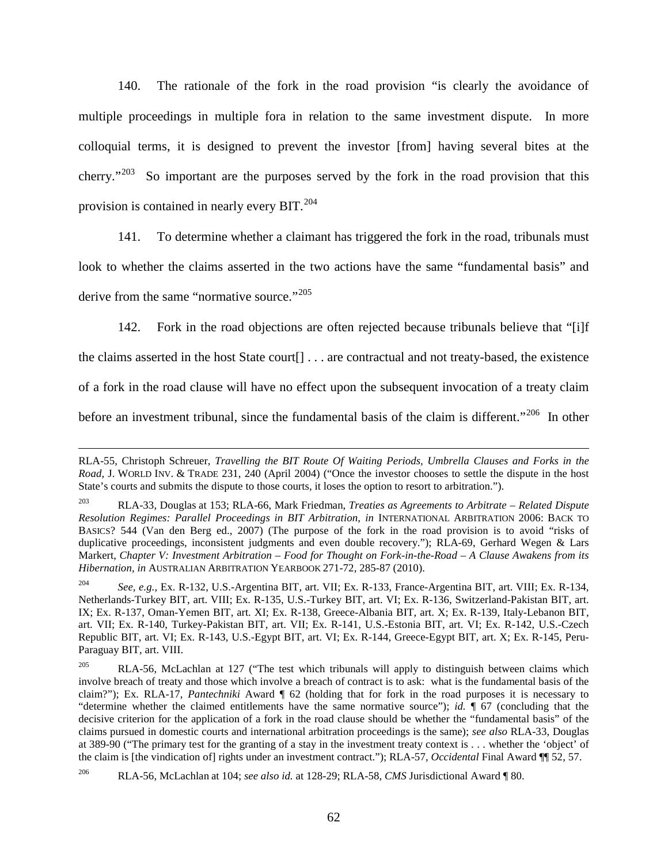140. The rationale of the fork in the road provision "is clearly the avoidance of multiple proceedings in multiple fora in relation to the same investment dispute. In more colloquial terms, it is designed to prevent the investor [from] having several bites at the cherry."<sup>203</sup> So important are the purposes served by the fork in the road provision that this provision is contained in nearly every BIT.<sup>[204](#page-64-1)</sup>

141. To determine whether a claimant has triggered the fork in the road, tribunals must look to whether the claims asserted in the two actions have the same "fundamental basis" and derive from the same "normative source."<sup>[205](#page-64-2)</sup>

142. Fork in the road objections are often rejected because tribunals believe that "[i]f

the claims asserted in the host State court[] . . . are contractual and not treaty-based, the existence

of a fork in the road clause will have no effect upon the subsequent invocation of a treaty claim

before an investment tribunal, since the fundamental basis of the claim is different."<sup>[206](#page-64-3)</sup> In other

 $\overline{a}$ 

RLA-55, Christoph Schreuer, *Travelling the BIT Route Of Waiting Periods, Umbrella Clauses and Forks in the Road*, J. WORLD INV. & TRADE 231, 240 (April 2004) ("Once the investor chooses to settle the dispute in the host State's courts and submits the dispute to those courts, it loses the option to resort to arbitration.").

<span id="page-64-0"></span><sup>203</sup> RLA-33, Douglas at 153; RLA-66, Mark Friedman, *Treaties as Agreements to Arbitrate – Related Dispute Resolution Regimes: Parallel Proceedings in BIT Arbitration*, *in* INTERNATIONAL ARBITRATION 2006: BACK TO BASICS? 544 (Van den Berg ed., 2007) (The purpose of the fork in the road provision is to avoid "risks of duplicative proceedings, inconsistent judgments and even double recovery."); RLA-69, Gerhard Wegen & Lars Markert, *Chapter V: Investment Arbitration – Food for Thought on Fork-in-the-Road – A Clause Awakens from its Hibernation, in* AUSTRALIAN ARBITRATION YEARBOOK 271-72, 285-87 (2010).

<span id="page-64-1"></span><sup>204</sup> *See, e.g.*, Ex. R-132, U.S.-Argentina BIT, art. VII; Ex. R-133, France-Argentina BIT, art. VIII; Ex. R-134, Netherlands-Turkey BIT, art. VIII; Ex. R-135, U.S.-Turkey BIT, art. VI; Ex. R-136, Switzerland-Pakistan BIT, art. IX; Ex. R-137, Oman-Yemen BIT, art. XI; Ex. R-138, Greece-Albania BIT, art. X; Ex. R-139, Italy-Lebanon BIT, art. VII; Ex. R-140, Turkey-Pakistan BIT, art. VII; Ex. R-141, U.S.-Estonia BIT, art. VI; Ex. R-142, U.S.-Czech Republic BIT, art. VI; Ex. R-143, U.S.-Egypt BIT, art. VI; Ex. R-144, Greece-Egypt BIT, art. X; Ex. R-145, Peru-Paraguay BIT, art. VIII.

<span id="page-64-2"></span> $205$  RLA-56, McLachlan at 127 ("The test which tribunals will apply to distinguish between claims which involve breach of treaty and those which involve a breach of contract is to ask: what is the fundamental basis of the claim?"); Ex. RLA-17, *Pantechniki* Award ¶ 62 (holding that for fork in the road purposes it is necessary to "determine whether the claimed entitlements have the same normative source"); *id.* ¶ 67 (concluding that the decisive criterion for the application of a fork in the road clause should be whether the "fundamental basis" of the claims pursued in domestic courts and international arbitration proceedings is the same); *see also* RLA-33, Douglas at 389-90 ("The primary test for the granting of a stay in the investment treaty context is . . . whether the 'object' of the claim is [the vindication of] rights under an investment contract."); RLA-57, *Occidental* Final Award ¶¶ 52, 57.

<span id="page-64-3"></span><sup>206</sup> RLA-56, McLachlan at 104; *see also id.* at 128-29; RLA-58, *CMS* Jurisdictional Award ¶ 80.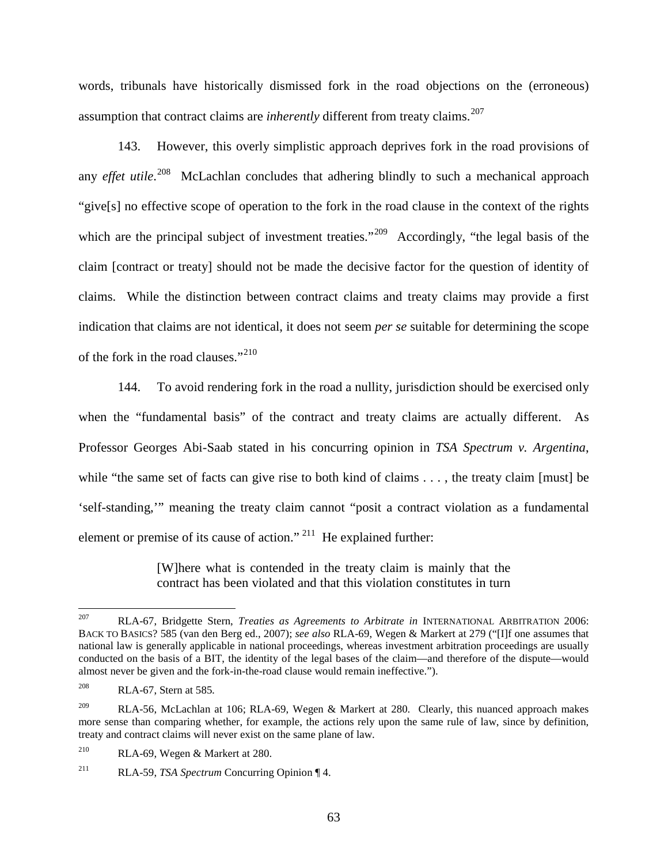words, tribunals have historically dismissed fork in the road objections on the (erroneous) assumption that contract claims are *inherently* different from treaty claims.<sup>[207](#page-65-0)</sup>

143. However, this overly simplistic approach deprives fork in the road provisions of any *effet utile*. [208](#page-65-1) McLachlan concludes that adhering blindly to such a mechanical approach "give[s] no effective scope of operation to the fork in the road clause in the context of the rights which are the principal subject of investment treaties."<sup>[209](#page-65-2)</sup> Accordingly, "the legal basis of the claim [contract or treaty] should not be made the decisive factor for the question of identity of claims. While the distinction between contract claims and treaty claims may provide a first indication that claims are not identical, it does not seem *per se* suitable for determining the scope of the fork in the road clauses."<sup>[210](#page-65-3)</sup>

144. To avoid rendering fork in the road a nullity, jurisdiction should be exercised only when the "fundamental basis" of the contract and treaty claims are actually different. As Professor Georges Abi-Saab stated in his concurring opinion in *TSA Spectrum v. Argentina*, while "the same set of facts can give rise to both kind of claims . . . , the treaty claim [must] be 'self-standing,'" meaning the treaty claim cannot "posit a contract violation as a fundamental element or premise of its cause of action."  $^{211}$  $^{211}$  $^{211}$  He explained further:

> [W]here what is contended in the treaty claim is mainly that the contract has been violated and that this violation constitutes in turn

<span id="page-65-0"></span> <sup>207</sup> RLA-67, Bridgette Stern, *Treaties as Agreements to Arbitrate in* INTERNATIONAL ARBITRATION 2006: BACK TO BASICS? 585 (van den Berg ed., 2007); *see also* RLA-69, Wegen & Markert at 279 ("[I]f one assumes that national law is generally applicable in national proceedings, whereas investment arbitration proceedings are usually conducted on the basis of a BIT, the identity of the legal bases of the claim—and therefore of the dispute—would almost never be given and the fork-in-the-road clause would remain ineffective.").

<span id="page-65-1"></span><sup>208</sup> RLA-67, Stern at 585*.*

<span id="page-65-2"></span><sup>&</sup>lt;sup>209</sup> RLA-56, McLachlan at 106; RLA-69, Wegen & Markert at 280. Clearly, this nuanced approach makes more sense than comparing whether, for example, the actions rely upon the same rule of law, since by definition, treaty and contract claims will never exist on the same plane of law.

<span id="page-65-3"></span><sup>210</sup> RLA-69, Wegen & Markert at 280.

<span id="page-65-4"></span><sup>211</sup> RLA-59, *TSA Spectrum* Concurring Opinion ¶ 4.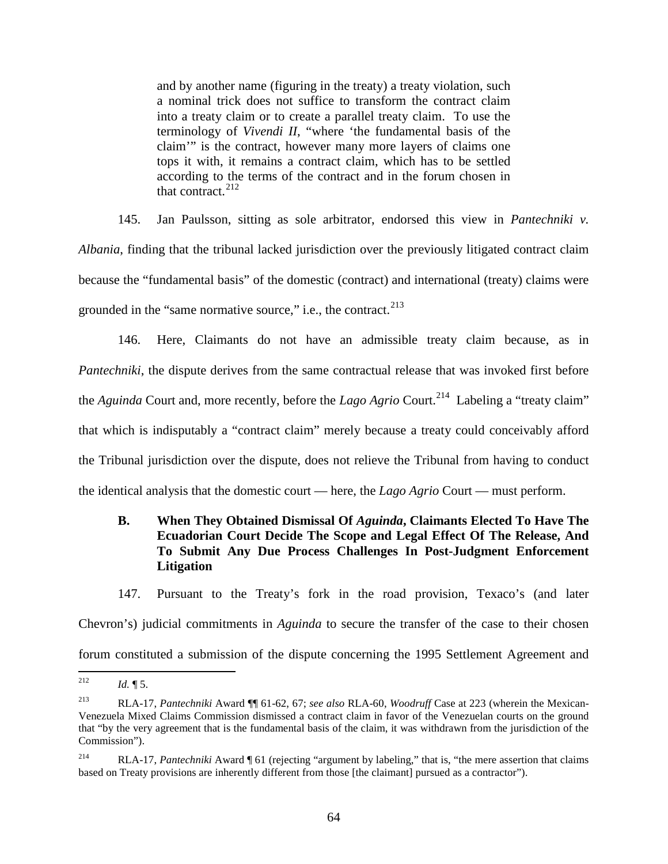and by another name (figuring in the treaty) a treaty violation, such a nominal trick does not suffice to transform the contract claim into a treaty claim or to create a parallel treaty claim. To use the terminology of *Vivendi II*, "where 'the fundamental basis of the claim'" is the contract, however many more layers of claims one tops it with, it remains a contract claim, which has to be settled according to the terms of the contract and in the forum chosen in that contract. $^{212}$  $^{212}$  $^{212}$ 

145. Jan Paulsson, sitting as sole arbitrator, endorsed this view in *Pantechniki v. Albania*, finding that the tribunal lacked jurisdiction over the previously litigated contract claim because the "fundamental basis" of the domestic (contract) and international (treaty) claims were grounded in the "same normative source," i.e., the contract. $2^{13}$ 

146. Here, Claimants do not have an admissible treaty claim because, as in *Pantechniki*, the dispute derives from the same contractual release that was invoked first before the *Aguinda* Court and, more recently, before the *Lago Agrio* Court. [214](#page-66-2) Labeling a "treaty claim" that which is indisputably a "contract claim" merely because a treaty could conceivably afford the Tribunal jurisdiction over the dispute, does not relieve the Tribunal from having to conduct the identical analysis that the domestic court — here, the *Lago Agrio* Court — must perform.

## **B. When They Obtained Dismissal Of** *Aguinda***, Claimants Elected To Have The Ecuadorian Court Decide The Scope and Legal Effect Of The Release, And To Submit Any Due Process Challenges In Post-Judgment Enforcement Litigation**

147. Pursuant to the Treaty's fork in the road provision, Texaco's (and later Chevron's) judicial commitments in *Aguinda* to secure the transfer of the case to their chosen forum constituted a submission of the dispute concerning the 1995 Settlement Agreement and

<span id="page-66-0"></span><sup>&</sup>lt;sup>212</sup> *Id.*  $\oint$  5.

<span id="page-66-1"></span><sup>213</sup> RLA-17, *Pantechniki* Award ¶¶ 61-62, 67; *see also* RLA-60, *Woodruff* Case at 223 (wherein the Mexican-Venezuela Mixed Claims Commission dismissed a contract claim in favor of the Venezuelan courts on the ground that "by the very agreement that is the fundamental basis of the claim, it was withdrawn from the jurisdiction of the Commission").

<span id="page-66-2"></span><sup>214</sup> RLA-17, *Pantechniki* Award ¶ 61 (rejecting "argument by labeling," that is, "the mere assertion that claims based on Treaty provisions are inherently different from those [the claimant] pursued as a contractor").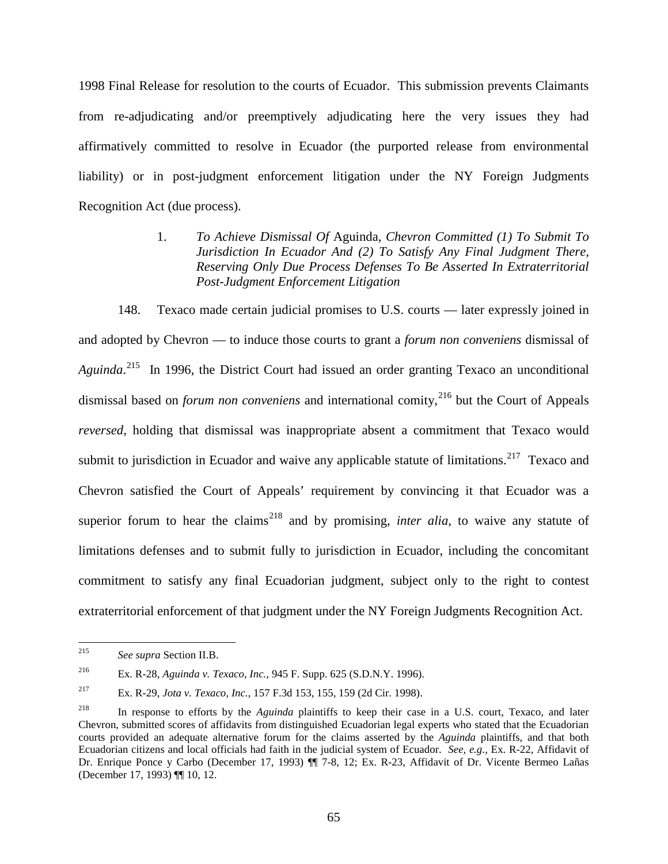1998 Final Release for resolution to the courts of Ecuador. This submission prevents Claimants from re-adjudicating and/or preemptively adjudicating here the very issues they had affirmatively committed to resolve in Ecuador (the purported release from environmental liability) or in post-judgment enforcement litigation under the NY Foreign Judgments Recognition Act (due process).

> 1. *To Achieve Dismissal Of* Aguinda, *Chevron Committed (1) To Submit To Jurisdiction In Ecuador And (2) To Satisfy Any Final Judgment There, Reserving Only Due Process Defenses To Be Asserted In Extraterritorial Post-Judgment Enforcement Litigation*

148. Texaco made certain judicial promises to U.S. courts — later expressly joined in and adopted by Chevron — to induce those courts to grant a *forum non conveniens* dismissal of *Aguinda*. [215](#page-67-0) In 1996, the District Court had issued an order granting Texaco an unconditional dismissal based on *forum non conveniens* and international comity,<sup>[216](#page-67-1)</sup> but the Court of Appeals *reversed*, holding that dismissal was inappropriate absent a commitment that Texaco would submit to jurisdiction in Ecuador and waive any applicable statute of limitations.<sup>[217](#page-67-2)</sup> Texaco and Chevron satisfied the Court of Appeals' requirement by convincing it that Ecuador was a superior forum to hear the claims<sup>[218](#page-67-3)</sup> and by promising, *inter alia*, to waive any statute of limitations defenses and to submit fully to jurisdiction in Ecuador, including the concomitant commitment to satisfy any final Ecuadorian judgment, subject only to the right to contest extraterritorial enforcement of that judgment under the NY Foreign Judgments Recognition Act.

<span id="page-67-0"></span> <sup>215</sup> *See supra* Section II.B.

<span id="page-67-1"></span><sup>216</sup> Ex. R-28, *Aguinda v. Texaco, Inc.*, 945 F. Supp. 625 (S.D.N.Y. 1996).

<span id="page-67-2"></span><sup>217</sup> Ex. R-29, *Jota v. Texaco, Inc.*, 157 F.3d 153, 155, 159 (2d Cir. 1998).

<span id="page-67-3"></span><sup>218</sup> In response to efforts by the *Aguinda* plaintiffs to keep their case in a U.S. court, Texaco, and later Chevron, submitted scores of affidavits from distinguished Ecuadorian legal experts who stated that the Ecuadorian courts provided an adequate alternative forum for the claims asserted by the *Aguinda* plaintiffs, and that both Ecuadorian citizens and local officials had faith in the judicial system of Ecuador. *See, e.g.,* Ex. R-22, Affidavit of Dr. Enrique Ponce y Carbo (December 17, 1993) ¶¶ 7-8, 12; Ex. R-23, Affidavit of Dr. Vicente Bermeo Lañas (December 17, 1993) ¶¶ 10, 12.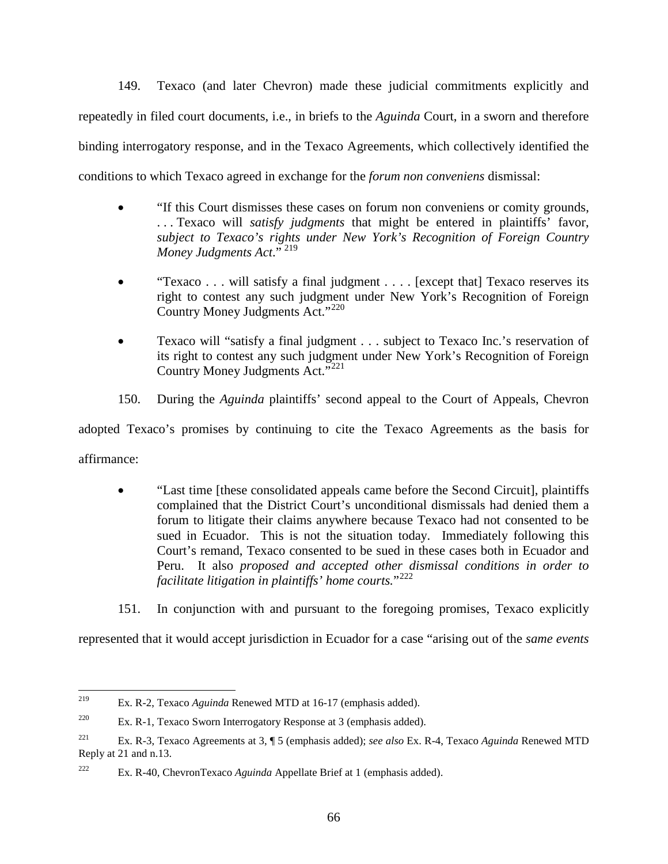149. Texaco (and later Chevron) made these judicial commitments explicitly and repeatedly in filed court documents, i.e., in briefs to the *Aguinda* Court, in a sworn and therefore binding interrogatory response, and in the Texaco Agreements, which collectively identified the conditions to which Texaco agreed in exchange for the *forum non conveniens* dismissal:

- "If this Court dismisses these cases on forum non conveniens or comity grounds, . . . Texaco will *satisfy judgments* that might be entered in plaintiffs' favor, *subject to Texaco's rights under New York's Recognition of Foreign Country Money Judgments Act*." [219](#page-68-0)
- "Texaco . . . will satisfy a final judgment . . . . [except that] Texaco reserves its right to contest any such judgment under New York's Recognition of Foreign Country Money Judgments Act." [220](#page-68-1)
- Texaco will "satisfy a final judgment . . . subject to Texaco Inc.'s reservation of its right to contest any such judgment under New York's Recognition of Foreign Country Money Judgments Act."<sup>[221](#page-68-2)</sup>
- 150. During the *Aguinda* plaintiffs' second appeal to the Court of Appeals, Chevron

adopted Texaco's promises by continuing to cite the Texaco Agreements as the basis for affirmance:

- "Last time [these consolidated appeals came before the Second Circuit], plaintiffs complained that the District Court's unconditional dismissals had denied them a forum to litigate their claims anywhere because Texaco had not consented to be sued in Ecuador. This is not the situation today. Immediately following this Court's remand, Texaco consented to be sued in these cases both in Ecuador and Peru. It also *proposed and accepted other dismissal conditions in order to facilitate litigation in plaintiffs' home courts.*"[222](#page-68-3)
- 151. In conjunction with and pursuant to the foregoing promises, Texaco explicitly

represented that it would accept jurisdiction in Ecuador for a case "arising out of the *same events* 

<span id="page-68-0"></span> <sup>219</sup> Ex. R-2, Texaco *Aguinda* Renewed MTD at 16-17 (emphasis added).

<span id="page-68-1"></span><sup>220</sup> Ex. R-1, Texaco Sworn Interrogatory Response at 3 (emphasis added).

<span id="page-68-2"></span><sup>221</sup> Ex. R-3, Texaco Agreements at 3, ¶ 5 (emphasis added); *see also* Ex. R-4, Texaco *Aguinda* Renewed MTD Reply at 21 and n.13.

<span id="page-68-3"></span><sup>222</sup> Ex. R-40, ChevronTexaco *Aguinda* Appellate Brief at 1 (emphasis added).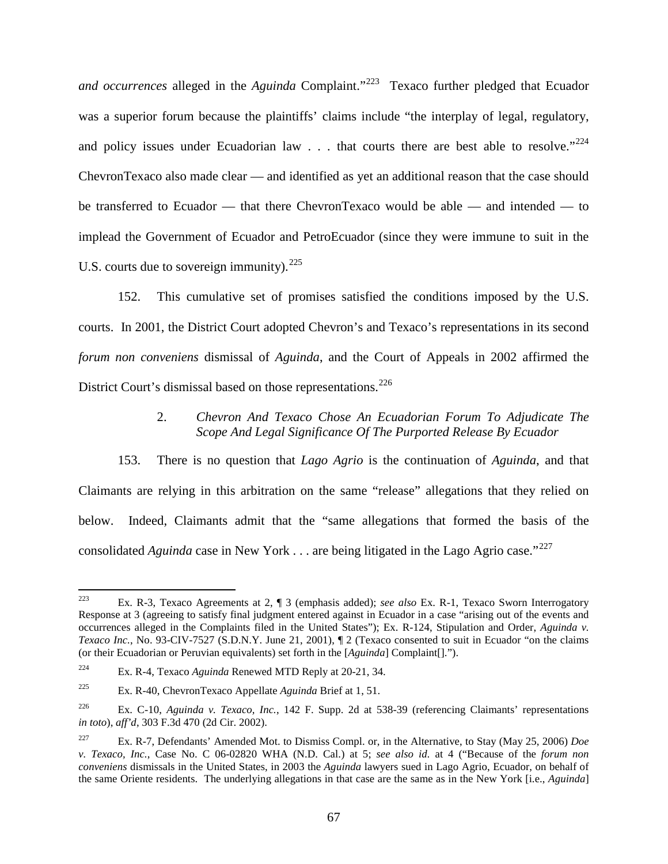*and occurrences* alleged in the *Aguinda* Complaint."[223](#page-69-0) Texaco further pledged that Ecuador was a superior forum because the plaintiffs' claims include "the interplay of legal, regulatory, and policy issues under Ecuadorian law  $\ldots$  that courts there are best able to resolve."<sup>[224](#page-69-1)</sup> ChevronTexaco also made clear — and identified as yet an additional reason that the case should be transferred to Ecuador — that there ChevronTexaco would be able — and intended — to implead the Government of Ecuador and PetroEcuador (since they were immune to suit in the U.S. courts due to sovereign immunity).  $225$ 

152. This cumulative set of promises satisfied the conditions imposed by the U.S. courts. In 2001, the District Court adopted Chevron's and Texaco's representations in its second *forum non conveniens* dismissal of *Aguinda*, and the Court of Appeals in 2002 affirmed the District Court's dismissal based on those representations.<sup>[226](#page-69-3)</sup>

# 2. *Chevron And Texaco Chose An Ecuadorian Forum To Adjudicate The Scope And Legal Significance Of The Purported Release By Ecuador*

153. There is no question that *Lago Agrio* is the continuation of *Aguinda*, and that Claimants are relying in this arbitration on the same "release" allegations that they relied on below. Indeed, Claimants admit that the "same allegations that formed the basis of the consolidated *Aguinda* case in New York . . . are being litigated in the Lago Agrio case."<sup>[227](#page-69-4)</sup>

<span id="page-69-0"></span> <sup>223</sup> Ex. R-3, Texaco Agreements at 2, ¶ 3 (emphasis added); *see also* Ex. R-1, Texaco Sworn Interrogatory Response at 3 (agreeing to satisfy final judgment entered against in Ecuador in a case "arising out of the events and occurrences alleged in the Complaints filed in the United States"); Ex. R-124, Stipulation and Order, *Aguinda v. Texaco Inc.*, No. 93-CIV-7527 (S.D.N.Y. June 21, 2001), ¶ 2 (Texaco consented to suit in Ecuador "on the claims (or their Ecuadorian or Peruvian equivalents) set forth in the [*Aguinda*] Complaint[].").

<span id="page-69-1"></span><sup>224</sup> Ex. R-4, Texaco *Aguinda* Renewed MTD Reply at 20-21, 34.

<span id="page-69-2"></span><sup>225</sup> Ex. R-40, ChevronTexaco Appellate *Aguinda* Brief at 1, 51.

<span id="page-69-3"></span><sup>226</sup> Ex. C-10, *Aguinda v. Texaco, Inc.*, 142 F. Supp. 2d at 538-39 (referencing Claimants' representations *in toto*), *aff'd*, 303 F.3d 470 (2d Cir. 2002).

<span id="page-69-4"></span><sup>227</sup> Ex. R-7, Defendants' Amended Mot. to Dismiss Compl. or, in the Alternative, to Stay (May 25, 2006) *Doe v. Texaco, Inc.*, Case No. C 06-02820 WHA (N.D. Cal.) at 5; *see also id.* at 4 ("Because of the *forum non conveniens* dismissals in the United States, in 2003 the *Aguinda* lawyers sued in Lago Agrio, Ecuador, on behalf of the same Oriente residents. The underlying allegations in that case are the same as in the New York [i.e., *Aguinda*]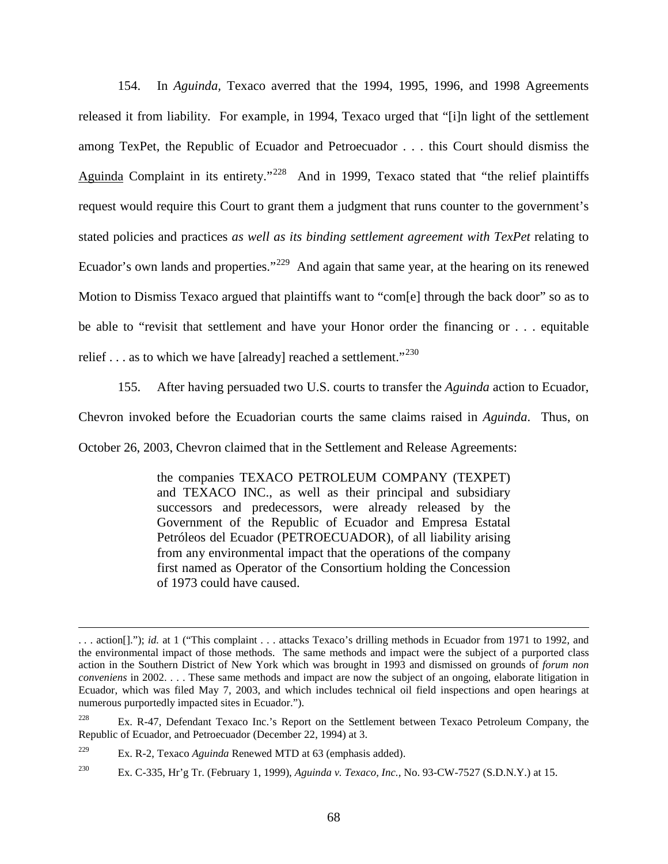154. In *Aguinda,* Texaco averred that the 1994, 1995, 1996, and 1998 Agreements released it from liability. For example, in 1994, Texaco urged that "[i]n light of the settlement among TexPet, the Republic of Ecuador and Petroecuador . . . this Court should dismiss the Aguinda Complaint in its entirety."<sup>228</sup> And in 1999, Texaco stated that "the relief plaintiffs request would require this Court to grant them a judgment that runs counter to the government's stated policies and practices *as well as its binding settlement agreement with TexPet* relating to Ecuador's own lands and properties."<sup>229</sup> And again that same year, at the hearing on its renewed Motion to Dismiss Texaco argued that plaintiffs want to "com[e] through the back door" so as to be able to "revisit that settlement and have your Honor order the financing or . . . equitable relief  $\ldots$  as to which we have [already] reached a settlement."<sup>[230](#page-70-2)</sup>

155. After having persuaded two U.S. courts to transfer the *Aguinda* action to Ecuador,

Chevron invoked before the Ecuadorian courts the same claims raised in *Aguinda*. Thus, on

October 26, 2003, Chevron claimed that in the Settlement and Release Agreements:

the companies TEXACO PETROLEUM COMPANY (TEXPET) and TEXACO INC., as well as their principal and subsidiary successors and predecessors, were already released by the Government of the Republic of Ecuador and Empresa Estatal Petróleos del Ecuador (PETROECUADOR), of all liability arising from any environmental impact that the operations of the company first named as Operator of the Consortium holding the Concession of 1973 could have caused.

 $\overline{a}$ 

<sup>.</sup> . . action[]."); *id.* at 1 ("This complaint . . . attacks Texaco's drilling methods in Ecuador from 1971 to 1992, and the environmental impact of those methods. The same methods and impact were the subject of a purported class action in the Southern District of New York which was brought in 1993 and dismissed on grounds of *forum non conveniens* in 2002. . . . These same methods and impact are now the subject of an ongoing, elaborate litigation in Ecuador, which was filed May 7, 2003, and which includes technical oil field inspections and open hearings at numerous purportedly impacted sites in Ecuador.").

<span id="page-70-0"></span><sup>&</sup>lt;sup>228</sup> Ex. R-47, Defendant Texaco Inc.'s Report on the Settlement between Texaco Petroleum Company, the Republic of Ecuador, and Petroecuador (December 22, 1994) at 3.

<span id="page-70-1"></span><sup>229</sup> Ex. R-2, Texaco *Aguinda* Renewed MTD at 63 (emphasis added).

<span id="page-70-2"></span><sup>230</sup> Ex. C-335, Hr'g Tr. (February 1, 1999), *Aguinda v. Texaco, Inc.,* No. 93-CW-7527 (S.D.N.Y.) at 15.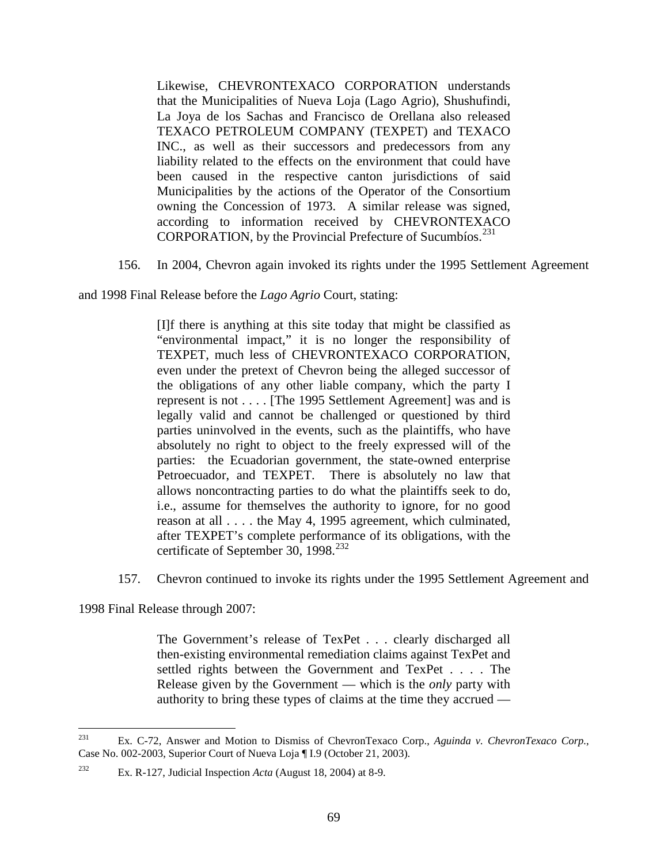Likewise, CHEVRONTEXACO CORPORATION understands that the Municipalities of Nueva Loja (Lago Agrio), Shushufindi, La Joya de los Sachas and Francisco de Orellana also released TEXACO PETROLEUM COMPANY (TEXPET) and TEXACO INC., as well as their successors and predecessors from any liability related to the effects on the environment that could have been caused in the respective canton jurisdictions of said Municipalities by the actions of the Operator of the Consortium owning the Concession of 1973. A similar release was signed, according to information received by CHEVRONTEXACO CORPORATION, by the Provincial Prefecture of Sucumbíos.<sup>[231](#page-71-0)</sup>

156. In 2004, Chevron again invoked its rights under the 1995 Settlement Agreement

and 1998 Final Release before the *Lago Agrio* Court, stating:

[I]f there is anything at this site today that might be classified as "environmental impact," it is no longer the responsibility of TEXPET, much less of CHEVRONTEXACO CORPORATION, even under the pretext of Chevron being the alleged successor of the obligations of any other liable company, which the party I represent is not . . . . [The 1995 Settlement Agreement] was and is legally valid and cannot be challenged or questioned by third parties uninvolved in the events, such as the plaintiffs, who have absolutely no right to object to the freely expressed will of the parties: the Ecuadorian government, the state-owned enterprise Petroecuador, and TEXPET. There is absolutely no law that allows noncontracting parties to do what the plaintiffs seek to do, i.e., assume for themselves the authority to ignore, for no good reason at all . . . . the May 4, 1995 agreement, which culminated, after TEXPET's complete performance of its obligations, with the certificate of September 30, 1998. $^{232}$  $^{232}$  $^{232}$ 

157. Chevron continued to invoke its rights under the 1995 Settlement Agreement and

1998 Final Release through 2007:

The Government's release of TexPet . . . clearly discharged all then-existing environmental remediation claims against TexPet and settled rights between the Government and TexPet . . . . The Release given by the Government — which is the *only* party with authority to bring these types of claims at the time they accrued —

<span id="page-71-0"></span> <sup>231</sup> Ex. C-72, Answer and Motion to Dismiss of ChevronTexaco Corp., *Aguinda v. ChevronTexaco Corp.*, Case No. 002-2003, Superior Court of Nueva Loja ¶ I.9 (October 21, 2003).

<span id="page-71-1"></span><sup>232</sup> Ex. R-127, Judicial Inspection *Acta* (August 18, 2004) at 8-9.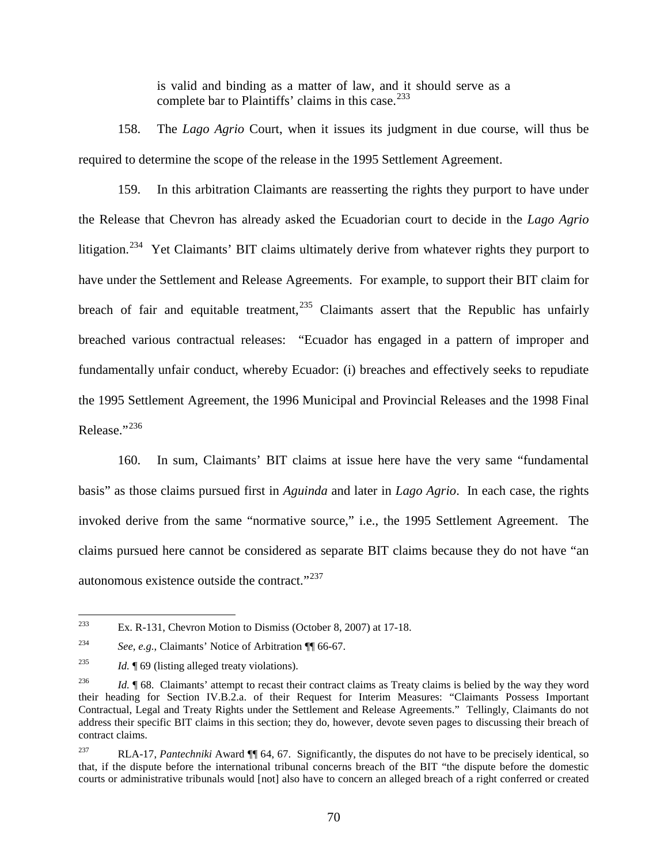is valid and binding as a matter of law, and it should serve as a complete bar to Plaintiffs' claims in this case.<sup>[233](#page-72-0)</sup>

158. The *Lago Agrio* Court, when it issues its judgment in due course, will thus be required to determine the scope of the release in the 1995 Settlement Agreement.

159. In this arbitration Claimants are reasserting the rights they purport to have under the Release that Chevron has already asked the Ecuadorian court to decide in the *Lago Agrio* litigation.<sup>[234](#page-72-1)</sup> Yet Claimants' BIT claims ultimately derive from whatever rights they purport to have under the Settlement and Release Agreements. For example, to support their BIT claim for breach of fair and equitable treatment,  $235$  Claimants assert that the Republic has unfairly breached various contractual releases: "Ecuador has engaged in a pattern of improper and fundamentally unfair conduct, whereby Ecuador: (i) breaches and effectively seeks to repudiate the 1995 Settlement Agreement, the 1996 Municipal and Provincial Releases and the 1998 Final Release."<sup>[236](#page-72-3)</sup>

160. In sum, Claimants' BIT claims at issue here have the very same "fundamental basis" as those claims pursued first in *Aguinda* and later in *Lago Agrio*. In each case, the rights invoked derive from the same "normative source," i.e., the 1995 Settlement Agreement. The claims pursued here cannot be considered as separate BIT claims because they do not have "an autonomous existence outside the contract."<sup>[237](#page-72-4)</sup>

<span id="page-72-0"></span><sup>&</sup>lt;sup>233</sup> Ex. R-131, Chevron Motion to Dismiss (October 8, 2007) at 17-18.

<span id="page-72-1"></span><sup>234</sup> *See*, *e.g.*, Claimants' Notice of Arbitration ¶¶ 66-67.

<span id="page-72-2"></span><sup>235</sup> *Id.* ¶ 69 (listing alleged treaty violations).

<span id="page-72-3"></span><sup>&</sup>lt;sup>236</sup> *Id.* ¶ 68. Claimants' attempt to recast their contract claims as Treaty claims is belied by the way they word their heading for Section IV.B.2.a. of their Request for Interim Measures: "Claimants Possess Important Contractual, Legal and Treaty Rights under the Settlement and Release Agreements." Tellingly, Claimants do not address their specific BIT claims in this section; they do, however, devote seven pages to discussing their breach of contract claims.

<span id="page-72-4"></span><sup>237</sup> RLA-17, *Pantechniki* Award ¶¶ 64, 67. Significantly, the disputes do not have to be precisely identical, so that, if the dispute before the international tribunal concerns breach of the BIT "the dispute before the domestic courts or administrative tribunals would [not] also have to concern an alleged breach of a right conferred or created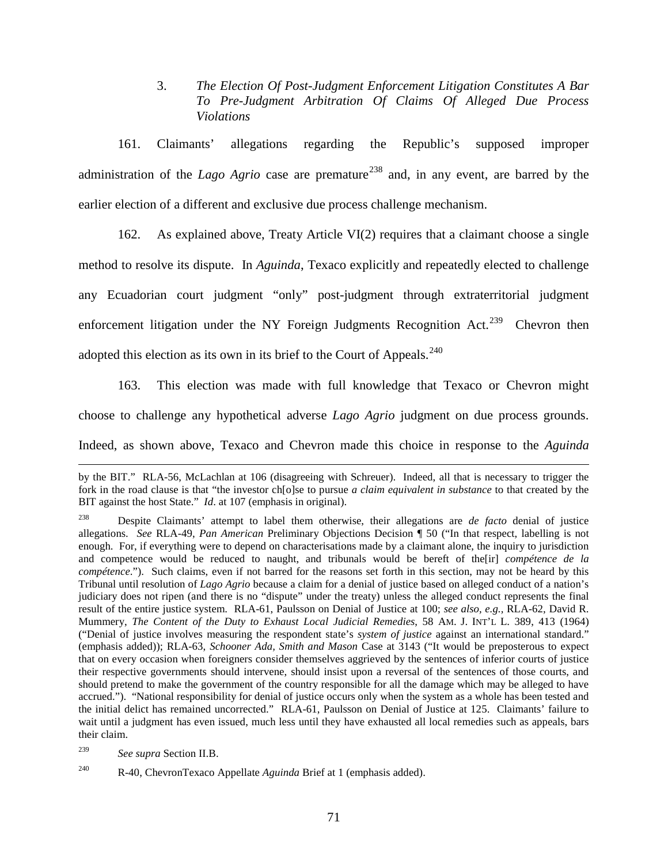3. *The Election Of Post-Judgment Enforcement Litigation Constitutes A Bar To Pre-Judgment Arbitration Of Claims Of Alleged Due Process Violations*

161. Claimants' allegations regarding the Republic's supposed improper administration of the *Lago Agrio* case are premature<sup>[238](#page-73-0)</sup> and, in any event, are barred by the earlier election of a different and exclusive due process challenge mechanism.

162. As explained above, Treaty Article VI(2) requires that a claimant choose a single method to resolve its dispute. In *Aguinda*, Texaco explicitly and repeatedly elected to challenge any Ecuadorian court judgment "only" post-judgment through extraterritorial judgment enforcement litigation under the NY Foreign Judgments Recognition Act.<sup>[239](#page-73-1)</sup> Chevron then adopted this election as its own in its brief to the Court of Appeals.<sup>[240](#page-73-2)</sup>

163. This election was made with full knowledge that Texaco or Chevron might choose to challenge any hypothetical adverse *Lago Agrio* judgment on due process grounds. Indeed, as shown above, Texaco and Chevron made this choice in response to the *Aguinda* 

 $\overline{a}$ 

by the BIT." RLA-56, McLachlan at 106 (disagreeing with Schreuer). Indeed, all that is necessary to trigger the fork in the road clause is that "the investor ch[o]se to pursue *a claim equivalent in substance* to that created by the BIT against the host State." *Id*. at 107 (emphasis in original).

<span id="page-73-0"></span><sup>238</sup> Despite Claimants' attempt to label them otherwise, their allegations are *de facto* denial of justice allegations. *See* RLA-49, *Pan American* Preliminary Objections Decision ¶ 50 ("In that respect, labelling is not enough. For, if everything were to depend on characterisations made by a claimant alone, the inquiry to jurisdiction and competence would be reduced to naught, and tribunals would be bereft of the[ir] *compétence de la compétence*."). Such claims, even if not barred for the reasons set forth in this section, may not be heard by this Tribunal until resolution of *Lago Agrio* because a claim for a denial of justice based on alleged conduct of a nation's judiciary does not ripen (and there is no "dispute" under the treaty) unless the alleged conduct represents the final result of the entire justice system. RLA-61, Paulsson on Denial of Justice at 100; *see also, e.g.,* RLA-62, David R. Mummery, *The Content of the Duty to Exhaust Local Judicial Remedies*, 58 AM. J. INT'L L. 389, 413 (1964) ("Denial of justice involves measuring the respondent state's *system of justice* against an international standard." (emphasis added)); RLA-63, *Schooner Ada, Smith and Mason* Case at 3143 ("It would be preposterous to expect that on every occasion when foreigners consider themselves aggrieved by the sentences of inferior courts of justice their respective governments should intervene, should insist upon a reversal of the sentences of those courts, and should pretend to make the government of the country responsible for all the damage which may be alleged to have accrued."). "National responsibility for denial of justice occurs only when the system as a whole has been tested and the initial delict has remained uncorrected." RLA-61, Paulsson on Denial of Justice at 125. Claimants' failure to wait until a judgment has even issued, much less until they have exhausted all local remedies such as appeals, bars their claim.

<span id="page-73-1"></span><sup>239</sup> *See supra* Section II.B.

<span id="page-73-2"></span><sup>240</sup> R-40, ChevronTexaco Appellate *Aguinda* Brief at 1 (emphasis added).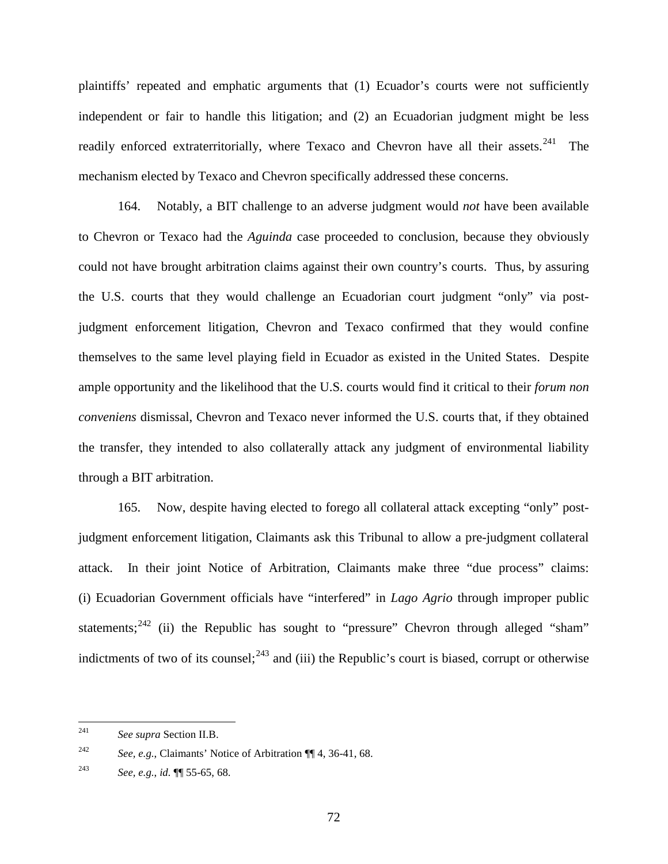plaintiffs' repeated and emphatic arguments that (1) Ecuador's courts were not sufficiently independent or fair to handle this litigation; and (2) an Ecuadorian judgment might be less readily enforced extraterritorially, where Texaco and Chevron have all their assets.<sup>[241](#page-74-0)</sup> The mechanism elected by Texaco and Chevron specifically addressed these concerns.

164. Notably, a BIT challenge to an adverse judgment would *not* have been available to Chevron or Texaco had the *Aguinda* case proceeded to conclusion, because they obviously could not have brought arbitration claims against their own country's courts. Thus, by assuring the U.S. courts that they would challenge an Ecuadorian court judgment "only" via postjudgment enforcement litigation, Chevron and Texaco confirmed that they would confine themselves to the same level playing field in Ecuador as existed in the United States. Despite ample opportunity and the likelihood that the U.S. courts would find it critical to their *forum non conveniens* dismissal, Chevron and Texaco never informed the U.S. courts that, if they obtained the transfer, they intended to also collaterally attack any judgment of environmental liability through a BIT arbitration.

165. Now, despite having elected to forego all collateral attack excepting "only" postjudgment enforcement litigation, Claimants ask this Tribunal to allow a pre-judgment collateral attack. In their joint Notice of Arbitration, Claimants make three "due process" claims: (i) Ecuadorian Government officials have "interfered" in *Lago Agrio* through improper public statements;<sup>[242](#page-74-1)</sup> (ii) the Republic has sought to "pressure" Chevron through alleged "sham" indictments of two of its counsel;  $243$  and (iii) the Republic's court is biased, corrupt or otherwise

<span id="page-74-0"></span> <sup>241</sup> *See supra* Section II.B.

<span id="page-74-1"></span><sup>242</sup> *See, e.g.*, Claimants' Notice of Arbitration ¶¶ 4, 36-41, 68.

<span id="page-74-2"></span><sup>243</sup> *See, e.g.*, *id.* ¶¶ 55-65, 68.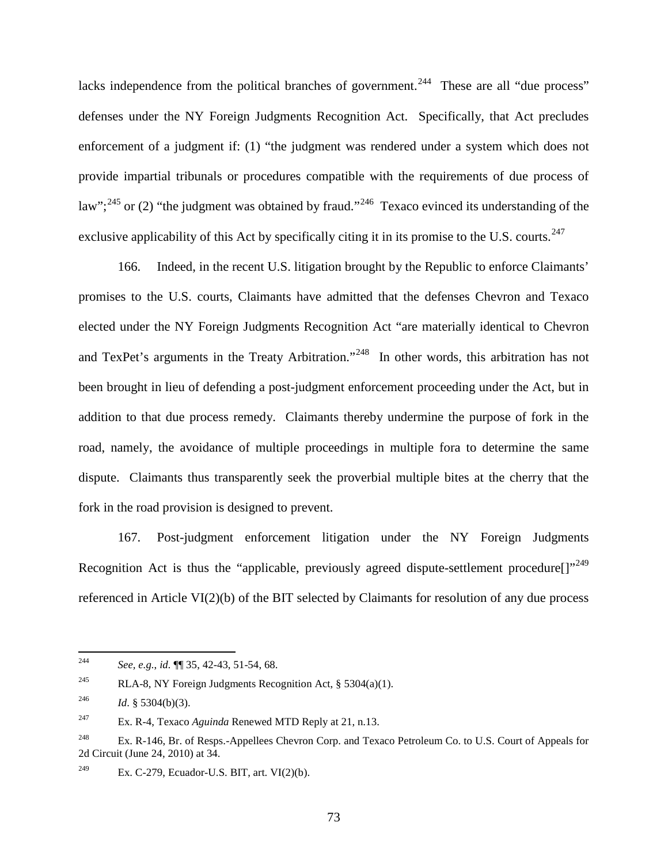lacks independence from the political branches of government.<sup>244</sup> These are all "due process" defenses under the NY Foreign Judgments Recognition Act. Specifically, that Act precludes enforcement of a judgment if: (1) "the judgment was rendered under a system which does not provide impartial tribunals or procedures compatible with the requirements of due process of law";<sup>[245](#page-75-1)</sup> or (2) "the judgment was obtained by fraud."<sup>246</sup> Texaco evinced its understanding of the exclusive applicability of this Act by specifically citing it in its promise to the U.S. courts.<sup>[247](#page-75-3)</sup>

166. Indeed, in the recent U.S. litigation brought by the Republic to enforce Claimants' promises to the U.S. courts, Claimants have admitted that the defenses Chevron and Texaco elected under the NY Foreign Judgments Recognition Act "are materially identical to Chevron and TexPet's arguments in the Treaty Arbitration."<sup>[248](#page-75-4)</sup> In other words, this arbitration has not been brought in lieu of defending a post-judgment enforcement proceeding under the Act, but in addition to that due process remedy. Claimants thereby undermine the purpose of fork in the road, namely, the avoidance of multiple proceedings in multiple fora to determine the same dispute. Claimants thus transparently seek the proverbial multiple bites at the cherry that the fork in the road provision is designed to prevent.

167. Post-judgment enforcement litigation under the NY Foreign Judgments Recognition Act is thus the "applicable, previously agreed dispute-settlement procedure[]",[249](#page-75-5) referenced in Article VI(2)(b) of the BIT selected by Claimants for resolution of any due process

<span id="page-75-0"></span> <sup>244</sup> *See, e.g.*, *id.* ¶¶ 35, 42-43, 51-54, 68.

<span id="page-75-1"></span><sup>&</sup>lt;sup>245</sup> RLA-8, NY Foreign Judgments Recognition Act, § 5304(a)(1).

<span id="page-75-2"></span><sup>&</sup>lt;sup>246</sup> *Id.* § 5304(b)(3).

<span id="page-75-3"></span><sup>247</sup> Ex. R-4, Texaco *Aguinda* Renewed MTD Reply at 21, n.13.

<span id="page-75-4"></span><sup>&</sup>lt;sup>248</sup> Ex. R-146, Br. of Resps.-Appellees Chevron Corp. and Texaco Petroleum Co. to U.S. Court of Appeals for 2d Circuit (June 24, 2010) at 34.

<span id="page-75-5"></span><sup>&</sup>lt;sup>249</sup> Ex. C-279, Ecuador-U.S. BIT, art. VI $(2)(b)$ .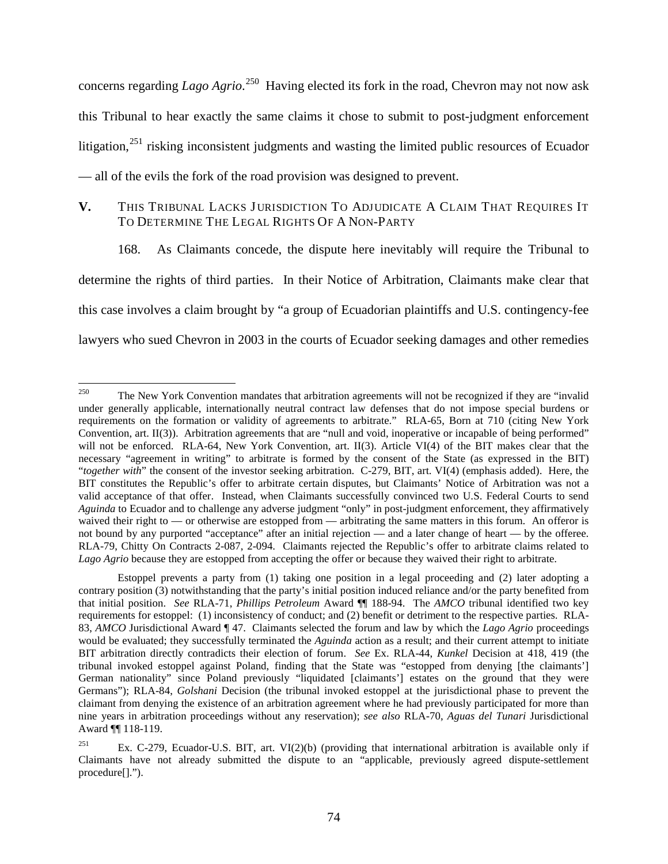concerns regarding *Lago Agrio*.<sup>250</sup> Having elected its fork in the road, Chevron may not now ask this Tribunal to hear exactly the same claims it chose to submit to post-judgment enforcement litigation,<sup>[251](#page-76-1)</sup> risking inconsistent judgments and wasting the limited public resources of Ecuador — all of the evils the fork of the road provision was designed to prevent.

## **V.** THIS TRIBUNAL LACKS JURISDICTION TO ADJUDICATE A CLAIM THAT REQUIRES IT TO DETERMINE THE LEGAL RIGHTS OF A NON-PARTY

168. As Claimants concede, the dispute here inevitably will require the Tribunal to determine the rights of third parties. In their Notice of Arbitration, Claimants make clear that this case involves a claim brought by "a group of Ecuadorian plaintiffs and U.S. contingency-fee lawyers who sued Chevron in 2003 in the courts of Ecuador seeking damages and other remedies

<span id="page-76-0"></span><sup>&</sup>lt;sup>250</sup> The New York Convention mandates that arbitration agreements will not be recognized if they are "invalid" under generally applicable, internationally neutral contract law defenses that do not impose special burdens or requirements on the formation or validity of agreements to arbitrate." RLA-65, Born at 710 (citing New York Convention, art. II(3)). Arbitration agreements that are "null and void, inoperative or incapable of being performed" will not be enforced. RLA-64, New York Convention, art. II(3). Article VI(4) of the BIT makes clear that the necessary "agreement in writing" to arbitrate is formed by the consent of the State (as expressed in the BIT) "*together with*" the consent of the investor seeking arbitration. C-279, BIT, art. VI(4) (emphasis added). Here, the BIT constitutes the Republic's offer to arbitrate certain disputes, but Claimants' Notice of Arbitration was not a valid acceptance of that offer. Instead, when Claimants successfully convinced two U.S. Federal Courts to send *Aguinda* to Ecuador and to challenge any adverse judgment "only" in post-judgment enforcement, they affirmatively waived their right to — or otherwise are estopped from — arbitrating the same matters in this forum. An offeror is not bound by any purported "acceptance" after an initial rejection — and a later change of heart — by the offeree. RLA-79, Chitty On Contracts 2-087, 2-094. Claimants rejected the Republic's offer to arbitrate claims related to *Lago Agrio* because they are estopped from accepting the offer or because they waived their right to arbitrate.

Estoppel prevents a party from (1) taking one position in a legal proceeding and (2) later adopting a contrary position (3) notwithstanding that the party's initial position induced reliance and/or the party benefited from that initial position. *See* RLA-71, *Phillips Petroleum* Award ¶¶ 188-94. The *AMCO* tribunal identified two key requirements for estoppel: (1) inconsistency of conduct; and (2) benefit or detriment to the respective parties. RLA-83, *AMCO* Jurisdictional Award ¶ 47. Claimants selected the forum and law by which the *Lago Agrio* proceedings would be evaluated; they successfully terminated the *Aguinda* action as a result; and their current attempt to initiate BIT arbitration directly contradicts their election of forum. *See* Ex. RLA-44, *Kunkel* Decision at 418, 419 (the tribunal invoked estoppel against Poland, finding that the State was "estopped from denying [the claimants'] German nationality" since Poland previously "liquidated [claimants'] estates on the ground that they were Germans"); RLA-84, *Golshani* Decision (the tribunal invoked estoppel at the jurisdictional phase to prevent the claimant from denying the existence of an arbitration agreement where he had previously participated for more than nine years in arbitration proceedings without any reservation); *see also* RLA-70, *Aguas del Tunari* Jurisdictional Award ¶¶ 118-119.

<span id="page-76-1"></span><sup>&</sup>lt;sup>251</sup> Ex. C-279, Ecuador-U.S. BIT, art. VI(2)(b) (providing that international arbitration is available only if Claimants have not already submitted the dispute to an "applicable, previously agreed dispute-settlement procedure[].").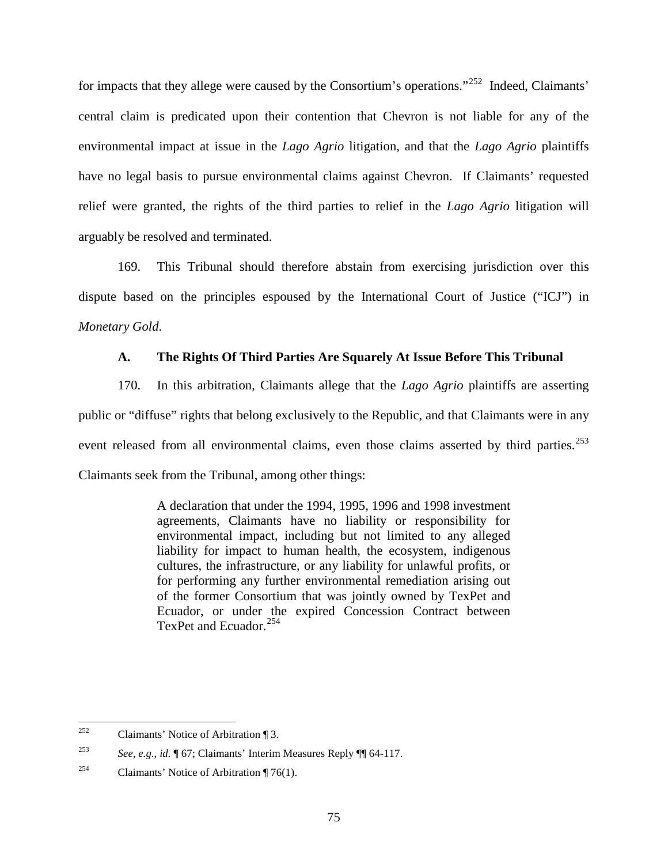for impacts that they allege were caused by the Consortium's operations."<sup>[252](#page-77-0)</sup> Indeed, Claimants' central claim is predicated upon their contention that Chevron is not liable for any of the environmental impact at issue in the *Lago Agrio* litigation, and that the *Lago Agrio* plaintiffs have no legal basis to pursue environmental claims against Chevron. If Claimants' requested relief were granted, the rights of the third parties to relief in the *Lago Agrio* litigation will arguably be resolved and terminated.

169. This Tribunal should therefore abstain from exercising jurisdiction over this dispute based on the principles espoused by the International Court of Justice ("ICJ") in *Monetary Gold*.

## **A. The Rights Of Third Parties Are Squarely At Issue Before This Tribunal**

170. In this arbitration, Claimants allege that the *Lago Agrio* plaintiffs are asserting public or "diffuse" rights that belong exclusively to the Republic, and that Claimants were in any event released from all environmental claims, even those claims asserted by third parties.<sup>[253](#page-77-1)</sup> Claimants seek from the Tribunal, among other things:

> A declaration that under the 1994, 1995, 1996 and 1998 investment agreements, Claimants have no liability or responsibility for environmental impact, including but not limited to any alleged liability for impact to human health, the ecosystem, indigenous cultures, the infrastructure, or any liability for unlawful profits, or for performing any further environmental remediation arising out of the former Consortium that was jointly owned by TexPet and Ecuador, or under the expired Concession Contract between TexPet and Ecuador.<sup>[254](#page-77-2)</sup>

<span id="page-77-0"></span><sup>&</sup>lt;sup>252</sup> Claimants' Notice of Arbitration ¶ 3.

<span id="page-77-1"></span><sup>253</sup> *See, e.g.*, *id.* ¶ 67; Claimants' Interim Measures Reply ¶¶ 64-117.

<span id="page-77-2"></span><sup>&</sup>lt;sup>254</sup> Claimants' Notice of Arbitration  $\P$  76(1).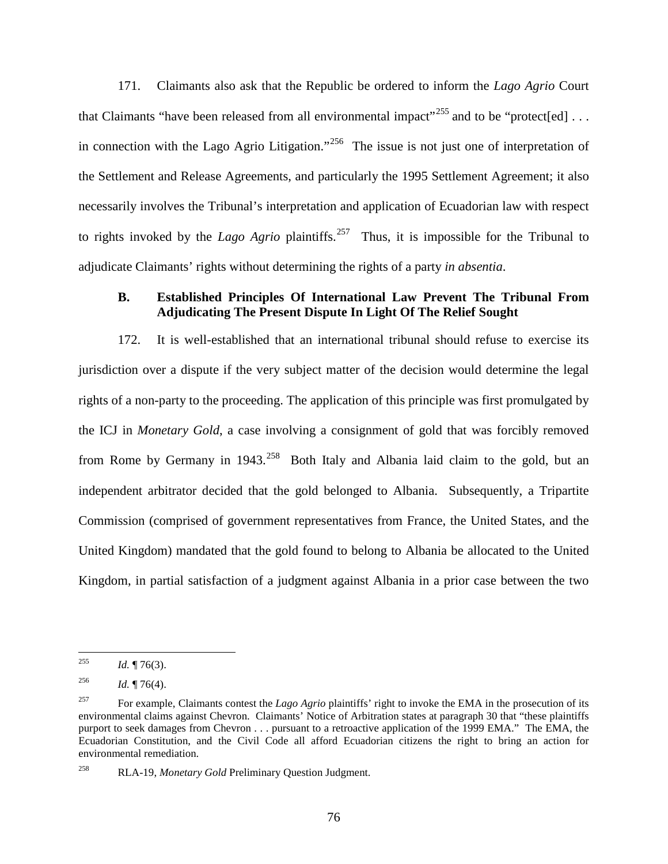171. Claimants also ask that the Republic be ordered to inform the *Lago Agrio* Court that Claimants "have been released from all environmental impact"<sup>[255](#page-78-0)</sup> and to be "protect[ed]  $\dots$ in connection with the Lago Agrio Litigation."<sup>[256](#page-78-1)</sup> The issue is not just one of interpretation of the Settlement and Release Agreements, and particularly the 1995 Settlement Agreement; it also necessarily involves the Tribunal's interpretation and application of Ecuadorian law with respect to rights invoked by the *Lago Agrio* plaintiffs.<sup>[257](#page-78-2)</sup> Thus, it is impossible for the Tribunal to adjudicate Claimants' rights without determining the rights of a party *in absentia*.

## **B. Established Principles Of International Law Prevent The Tribunal From Adjudicating The Present Dispute In Light Of The Relief Sought**

172. It is well-established that an international tribunal should refuse to exercise its jurisdiction over a dispute if the very subject matter of the decision would determine the legal rights of a non-party to the proceeding. The application of this principle was first promulgated by the ICJ in *Monetary Gold*, a case involving a consignment of gold that was forcibly removed from Rome by Germany in  $1943$ <sup>[258](#page-78-3)</sup> Both Italy and Albania laid claim to the gold, but an independent arbitrator decided that the gold belonged to Albania. Subsequently, a Tripartite Commission (comprised of government representatives from France, the United States, and the United Kingdom) mandated that the gold found to belong to Albania be allocated to the United Kingdom, in partial satisfaction of a judgment against Albania in a prior case between the two

<span id="page-78-0"></span><sup>&</sup>lt;sup>255</sup> *Id.* ¶ 76(3).

<span id="page-78-1"></span><sup>&</sup>lt;sup>256</sup> *Id.* ¶ 76(4).

<span id="page-78-2"></span><sup>&</sup>lt;sup>257</sup> For example, Claimants contest the *Lago Agrio* plaintiffs' right to invoke the EMA in the prosecution of its environmental claims against Chevron. Claimants' Notice of Arbitration states at paragraph 30 that "these plaintiffs purport to seek damages from Chevron . . . pursuant to a retroactive application of the 1999 EMA." The EMA, the Ecuadorian Constitution, and the Civil Code all afford Ecuadorian citizens the right to bring an action for environmental remediation.

<span id="page-78-3"></span><sup>258</sup> RLA-19, *Monetary Gold* Preliminary Question Judgment.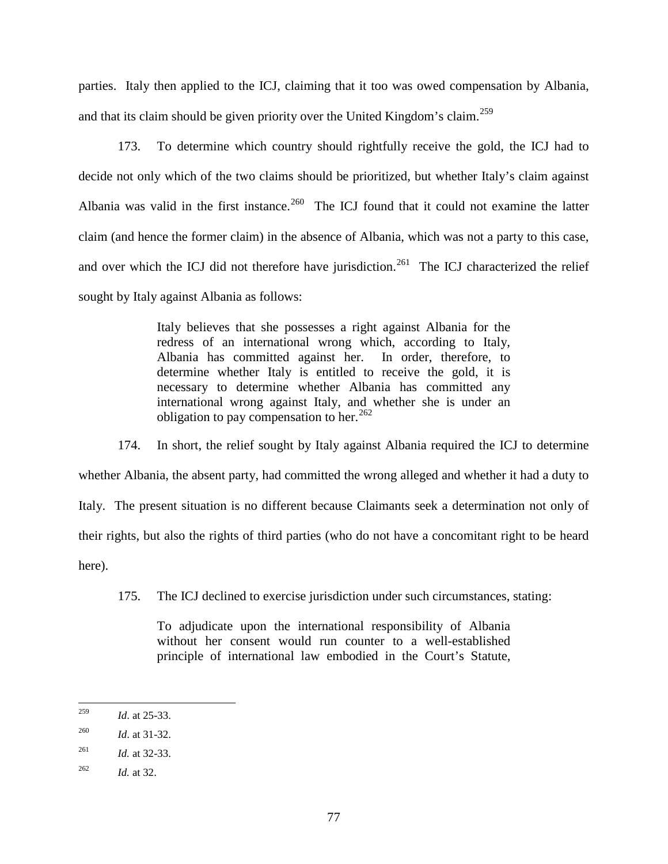parties. Italy then applied to the ICJ, claiming that it too was owed compensation by Albania, and that its claim should be given priority over the United Kingdom's claim.<sup>[259](#page-79-0)</sup>

173. To determine which country should rightfully receive the gold, the ICJ had to decide not only which of the two claims should be prioritized, but whether Italy's claim against Albania was valid in the first instance.<sup>[260](#page-79-1)</sup> The ICJ found that it could not examine the latter claim (and hence the former claim) in the absence of Albania, which was not a party to this case, and over which the ICJ did not therefore have jurisdiction.<sup>[261](#page-79-2)</sup> The ICJ characterized the relief sought by Italy against Albania as follows:

> Italy believes that she possesses a right against Albania for the redress of an international wrong which, according to Italy, Albania has committed against her. In order, therefore, to determine whether Italy is entitled to receive the gold, it is necessary to determine whether Albania has committed any international wrong against Italy, and whether she is under an obligation to pay compensation to her.<sup>[262](#page-79-3)</sup>

174. In short, the relief sought by Italy against Albania required the ICJ to determine whether Albania, the absent party, had committed the wrong alleged and whether it had a duty to Italy. The present situation is no different because Claimants seek a determination not only of their rights, but also the rights of third parties (who do not have a concomitant right to be heard here).

175. The ICJ declined to exercise jurisdiction under such circumstances, stating:

To adjudicate upon the international responsibility of Albania without her consent would run counter to a well-established principle of international law embodied in the Court's Statute,

<span id="page-79-0"></span> <sup>259</sup> *Id*. at 25-33.

<span id="page-79-1"></span><sup>260</sup> *Id*. at 31-32.

<span id="page-79-2"></span><sup>261</sup> *Id.* at 32-33.

<span id="page-79-3"></span><sup>262</sup> *Id.* at 32.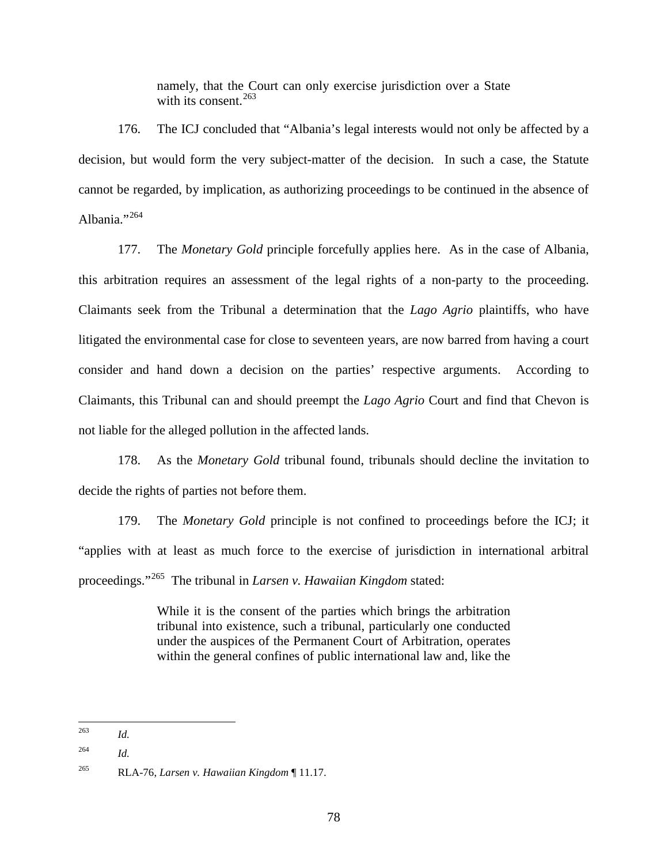namely, that the Court can only exercise jurisdiction over a State with its consent. $263$ 

176. The ICJ concluded that "Albania's legal interests would not only be affected by a decision, but would form the very subject-matter of the decision. In such a case, the Statute cannot be regarded, by implication, as authorizing proceedings to be continued in the absence of Albania."<sup>[264](#page-80-1)</sup>

177. The *Monetary Gold* principle forcefully applies here. As in the case of Albania, this arbitration requires an assessment of the legal rights of a non-party to the proceeding. Claimants seek from the Tribunal a determination that the *Lago Agrio* plaintiffs, who have litigated the environmental case for close to seventeen years, are now barred from having a court consider and hand down a decision on the parties' respective arguments. According to Claimants, this Tribunal can and should preempt the *Lago Agrio* Court and find that Chevon is not liable for the alleged pollution in the affected lands.

178. As the *Monetary Gold* tribunal found, tribunals should decline the invitation to decide the rights of parties not before them.

179. The *Monetary Gold* principle is not confined to proceedings before the ICJ; it "applies with at least as much force to the exercise of jurisdiction in international arbitral proceedings."[265](#page-80-2) The tribunal in *Larsen v. Hawaiian Kingdom* stated:

> While it is the consent of the parties which brings the arbitration tribunal into existence, such a tribunal, particularly one conducted under the auspices of the Permanent Court of Arbitration, operates within the general confines of public international law and, like the

 <sup>263</sup> *Id.*

<span id="page-80-1"></span><span id="page-80-0"></span><sup>264</sup> *Id.*

<span id="page-80-2"></span><sup>265</sup> RLA-76, *Larsen v. Hawaiian Kingdom* ¶ 11.17.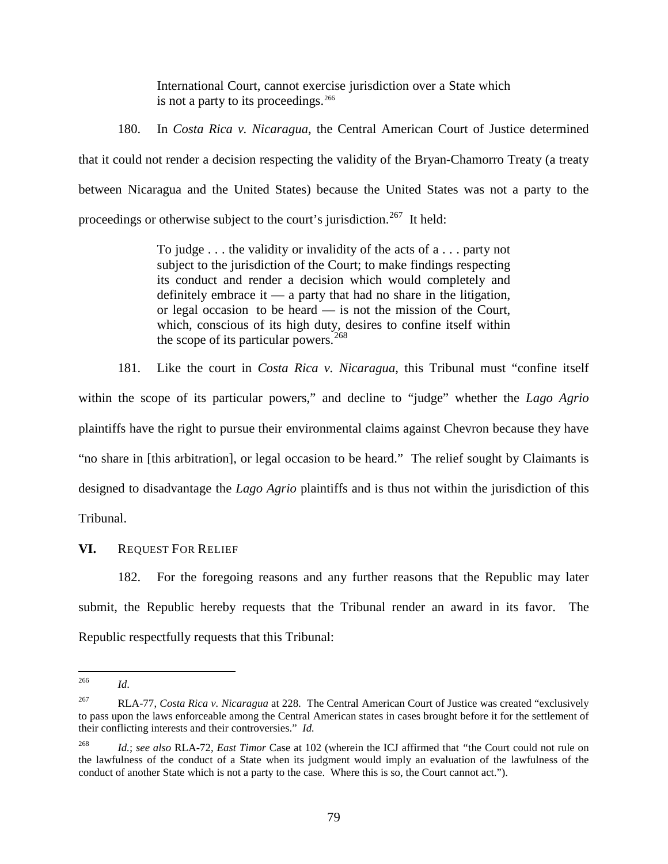International Court, cannot exercise jurisdiction over a State which is not a party to its proceedings.<sup>[266](#page-81-0)</sup>

180. In *Costa Rica v. Nicaragua*, the Central American Court of Justice determined that it could not render a decision respecting the validity of the Bryan-Chamorro Treaty (a treaty between Nicaragua and the United States) because the United States was not a party to the proceedings or otherwise subject to the court's jurisdiction.<sup>[267](#page-81-1)</sup> It held:

> To judge . . . the validity or invalidity of the acts of a . . . party not subject to the jurisdiction of the Court; to make findings respecting its conduct and render a decision which would completely and definitely embrace it  $\frac{1}{1}$  a party that had no share in the litigation, or legal occasion to be heard — is not the mission of the Court, which, conscious of its high duty, desires to confine itself within the scope of its particular powers.<sup>[268](#page-81-2)</sup>

181. Like the court in *Costa Rica v. Nicaragua*, this Tribunal must "confine itself within the scope of its particular powers," and decline to "judge" whether the *Lago Agrio* plaintiffs have the right to pursue their environmental claims against Chevron because they have "no share in [this arbitration], or legal occasion to be heard." The relief sought by Claimants is designed to disadvantage the *Lago Agrio* plaintiffs and is thus not within the jurisdiction of this Tribunal.

**VI.** REQUEST FOR RELIEF

182. For the foregoing reasons and any further reasons that the Republic may later submit, the Republic hereby requests that the Tribunal render an award in its favor. The Republic respectfully requests that this Tribunal:

 <sup>266</sup> *Id*.

<span id="page-81-1"></span><span id="page-81-0"></span><sup>267</sup> RLA-77, *Costa Rica v. Nicaragua* at 228. The Central American Court of Justice was created "exclusively to pass upon the laws enforceable among the Central American states in cases brought before it for the settlement of their conflicting interests and their controversies." *Id.*

<span id="page-81-2"></span><sup>268</sup> *Id.*; *see also* RLA-72, *East Timor* Case at 102 (wherein the ICJ affirmed that *"*the Court could not rule on the lawfulness of the conduct of a State when its judgment would imply an evaluation of the lawfulness of the conduct of another State which is not a party to the case. Where this is so, the Court cannot act.").